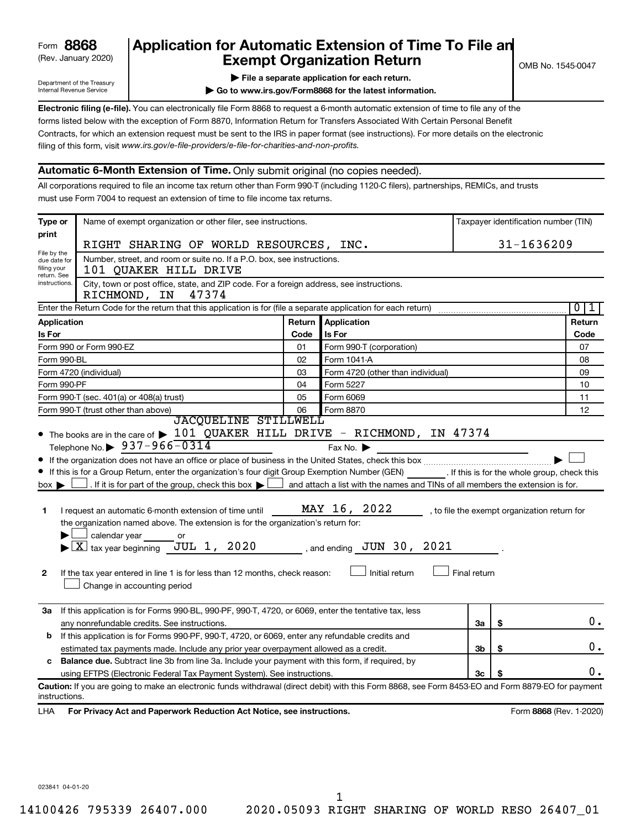## (Rev. January 2020) **Cxempt Organization Return** Manuary 2020) and the settern **Canadian Exempt Organization Return Form 8868 Application for Automatic Extension of Time To File an**<br>**Exempt Organization Return**

Department of the Treasury Internal Revenue Service

**| Go to www.irs.gov/Form8868 for the latest information.**

**Electronic filing (e-file).** You can electronically file Form 8868 to request a 6-month automatic extension of time to file any of the filing of this form, visit www.irs.gov/e-file-providers/e-file-for-charities-and-non-profits. forms listed below with the exception of Form 8870, Information Return for Transfers Associated With Certain Personal Benefit Contracts, for which an extension request must be sent to the IRS in paper format (see instructions). For more details on the electronic

## **Automatic 6-Month Extension of Time.** Only submit original (no copies needed).

All corporations required to file an income tax return other than Form 990-T (including 1120-C filers), partnerships, REMICs, and trusts must use Form 7004 to request an extension of time to file income tax returns.

| Type or                                                   | Name of exempt organization or other filer, see instructions.                                                                                      |            |                                                                                |              | Taxpayer identification number (TIN)         |
|-----------------------------------------------------------|----------------------------------------------------------------------------------------------------------------------------------------------------|------------|--------------------------------------------------------------------------------|--------------|----------------------------------------------|
| print                                                     | RIGHT SHARING OF WORLD RESOURCES, INC.                                                                                                             | 31-1636209 |                                                                                |              |                                              |
| File by the<br>due date for<br>filing your<br>return. See | Number, street, and room or suite no. If a P.O. box, see instructions.<br>101 QUAKER HILL DRIVE                                                    |            |                                                                                |              |                                              |
| instructions.                                             | City, town or post office, state, and ZIP code. For a foreign address, see instructions.<br>RICHMOND, IN 47374                                     |            |                                                                                |              |                                              |
|                                                           | Enter the Return Code for the return that this application is for (file a separate application for each return)                                    |            |                                                                                |              | $\mathbf 0$<br>1                             |
| Application                                               |                                                                                                                                                    | Return I   | <b>Application</b>                                                             |              | Return                                       |
| Is For                                                    |                                                                                                                                                    | Code       | <b>Is For</b>                                                                  |              | Code                                         |
|                                                           | Form 990 or Form 990-EZ                                                                                                                            | 01         | Form 990-T (corporation)                                                       |              | 07                                           |
| Form 990-BL                                               |                                                                                                                                                    | 02         | Form 1041-A                                                                    |              | 08                                           |
|                                                           | Form 4720 (individual)                                                                                                                             | 03         | Form 4720 (other than individual)                                              |              | 09                                           |
| Form 990-PF                                               |                                                                                                                                                    | 04         | Form 5227                                                                      |              | 10                                           |
|                                                           | Form 990-T (sec. 401(a) or 408(a) trust)                                                                                                           | 05         | Form 6069                                                                      |              | 11                                           |
|                                                           | Form 990-T (trust other than above)                                                                                                                | 06         | Form 8870                                                                      |              | 12                                           |
|                                                           | <b>JACQUELINE STILLWELL</b>                                                                                                                        |            |                                                                                |              |                                              |
|                                                           | • The books are in the care of > 101 QUAKER HILL DRIVE - RICHMOND, IN 47374<br>Telephone No. $\triangleright$ 937-966-0314                         |            | Fax No. $\blacktriangleright$                                                  |              |                                              |
|                                                           |                                                                                                                                                    |            |                                                                                |              |                                              |
|                                                           | If this is for a Group Return, enter the organization's four digit Group Exemption Number (GEN) [If this is for the whole group, check this        |            |                                                                                |              |                                              |
| $box \blacktriangleright$                                 | . If it is for part of the group, check this box $\blacktriangleright$                                                                             |            | and attach a list with the names and TINs of all members the extension is for. |              |                                              |
|                                                           |                                                                                                                                                    |            |                                                                                |              |                                              |
| 1                                                         | I request an automatic 6-month extension of time until                                                                                             |            | MAY 16, 2022                                                                   |              | , to file the exempt organization return for |
|                                                           | the organization named above. The extension is for the organization's return for:                                                                  |            |                                                                                |              |                                              |
|                                                           | $\Box$ calendar year<br>or                                                                                                                         |            |                                                                                |              |                                              |
|                                                           | JUL 1, 2020<br>$\blacktriangleright$ $\lfloor$ X $\rfloor$ tax year beginning                                                                      |            | , and ending $JUN$ 30, 2021                                                    |              |                                              |
|                                                           |                                                                                                                                                    |            |                                                                                |              |                                              |
| $\mathbf{2}$                                              | If the tax year entered in line 1 is for less than 12 months, check reason:                                                                        |            | Initial return                                                                 | Final return |                                              |
|                                                           | Change in accounting period                                                                                                                        |            |                                                                                |              |                                              |
|                                                           |                                                                                                                                                    |            |                                                                                |              |                                              |
| За                                                        | If this application is for Forms 990-BL, 990-PF, 990-T, 4720, or 6069, enter the tentative tax, less                                               |            |                                                                                |              |                                              |
|                                                           | any nonrefundable credits. See instructions.                                                                                                       |            |                                                                                | За           | \$<br>0.                                     |
| b                                                         | If this application is for Forms 990-PF, 990-T, 4720, or 6069, enter any refundable credits and                                                    |            |                                                                                |              |                                              |
|                                                           | estimated tax payments made. Include any prior year overpayment allowed as a credit.                                                               |            |                                                                                | 3b           | \$<br>0.                                     |
| c                                                         | <b>Balance due.</b> Subtract line 3b from line 3a. Include your payment with this form, if required, by                                            |            |                                                                                |              |                                              |
|                                                           | using EFTPS (Electronic Federal Tax Payment System). See instructions.                                                                             |            |                                                                                | 3c           | О.                                           |
| instructions.                                             | Caution: If you are going to make an electronic funds withdrawal (direct debit) with this Form 8868, see Form 8453-EO and Form 8879-EO for payment |            |                                                                                |              |                                              |
| LHA                                                       | For Privacy Act and Paperwork Reduction Act Notice, see instructions.                                                                              |            |                                                                                |              | Form 8868 (Rev. 1-2020)                      |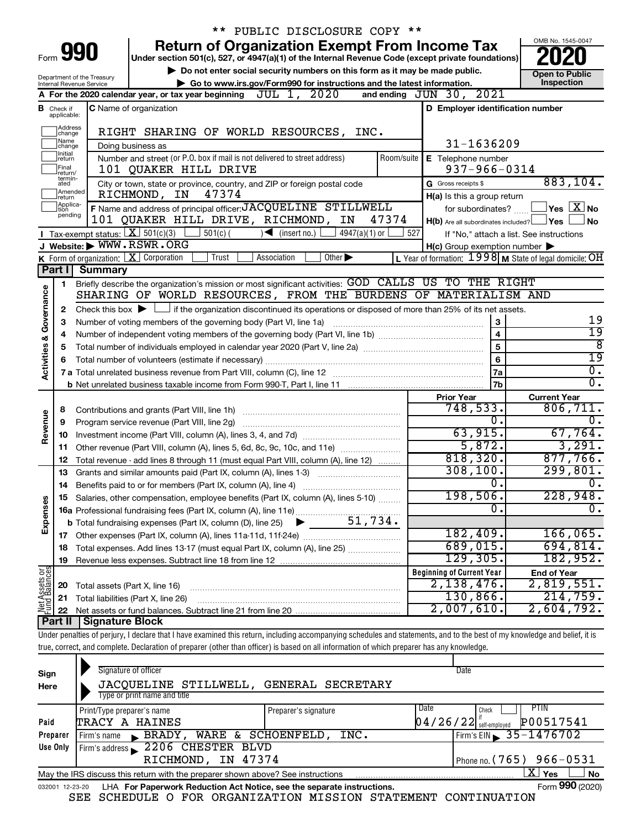|                                |                               |                                                                 | ** PUBLIC DISCLOSURE COPY **                                                                                                                                               |                                                     |                                                           |
|--------------------------------|-------------------------------|-----------------------------------------------------------------|----------------------------------------------------------------------------------------------------------------------------------------------------------------------------|-----------------------------------------------------|-----------------------------------------------------------|
|                                |                               |                                                                 | <b>Return of Organization Exempt From Income Tax</b>                                                                                                                       |                                                     | OMB No. 1545-0047                                         |
|                                |                               | Form 990                                                        | Under section 501(c), 527, or 4947(a)(1) of the Internal Revenue Code (except private foundations)                                                                         |                                                     |                                                           |
|                                |                               |                                                                 | Do not enter social security numbers on this form as it may be made public.                                                                                                |                                                     | <b>Open to Public</b>                                     |
|                                |                               | Department of the Treasury<br>Internal Revenue Service          | Go to www.irs.gov/Form990 for instructions and the latest information.                                                                                                     |                                                     | Inspection                                                |
|                                |                               |                                                                 | JUL 1, 2020<br>A For the 2020 calendar year, or tax year beginning                                                                                                         | and ending JUN 30, 2021                             |                                                           |
|                                | <b>B</b> Check if applicable: |                                                                 | <b>C</b> Name of organization                                                                                                                                              | D Employer identification number                    |                                                           |
|                                |                               |                                                                 |                                                                                                                                                                            |                                                     |                                                           |
|                                | Address<br> change<br> Name   |                                                                 | RIGHT SHARING OF WORLD RESOURCES, INC.                                                                                                                                     |                                                     |                                                           |
|                                | change<br>Initial             |                                                                 | Doing business as                                                                                                                                                          | 31-1636209                                          |                                                           |
|                                | return<br>Final               |                                                                 | Number and street (or P.O. box if mail is not delivered to street address)<br>Room/suite<br>101 QUAKER HILL DRIVE                                                          | E Telephone number<br>$937 - 966 - 0314$            |                                                           |
|                                | return/<br>termin-            |                                                                 |                                                                                                                                                                            |                                                     | 883,104.                                                  |
|                                | ated<br>Amended               |                                                                 | City or town, state or province, country, and ZIP or foreign postal code<br>47374<br>RICHMOND, IN                                                                          | G Gross receipts \$                                 |                                                           |
|                                | Ireturn<br>Applica-<br>Ition  |                                                                 | F Name and address of principal officer: JACQUELINE STILLWELL                                                                                                              | H(a) Is this a group return<br>for subordinates?    | $ {\mathsf Y}$ es $ \overline{{\mathsf X}} $ No           |
|                                | pending                       |                                                                 | 101 QUAKER HILL DRIVE, RICHMOND, IN<br>47374                                                                                                                               | $H(b)$ Are all subordinates included? $\Box$ Yes    | No.                                                       |
|                                |                               |                                                                 | Tax-exempt status: $X \overline{X}$ 501(c)(3)<br>$\frac{1}{2}$ 501(c) (<br>$\sqrt{\bullet}$ (insert no.)<br>$4947(a)(1)$ or                                                | 527                                                 | If "No," attach a list. See instructions                  |
|                                |                               |                                                                 | J Website: WWW.RSWR.ORG                                                                                                                                                    | $H(c)$ Group exemption number $\blacktriangleright$ |                                                           |
|                                |                               | <b>K</b> Form of organization: $\boxed{\mathbf{X}}$ Corporation | Trust<br>Other $\blacktriangleright$<br>Association                                                                                                                        |                                                     | L Year of formation: $1998$ M State of legal domicile: OH |
|                                | Part I                        | <b>Summary</b>                                                  |                                                                                                                                                                            |                                                     |                                                           |
|                                | 1.                            |                                                                 | Briefly describe the organization's mission or most significant activities: GOD CALLS US TO THE RIGHT                                                                      |                                                     |                                                           |
| Governance                     |                               |                                                                 | SHARING OF WORLD RESOURCES, FROM THE BURDENS OF MATERIALISM AND                                                                                                            |                                                     |                                                           |
|                                | 2                             |                                                                 | Check this box $\blacktriangleright$ $\Box$ if the organization discontinued its operations or disposed of more than 25% of its net assets.                                |                                                     |                                                           |
|                                | з                             |                                                                 | Number of voting members of the governing body (Part VI, line 1a)                                                                                                          |                                                     | 19<br>3                                                   |
|                                | 4                             |                                                                 |                                                                                                                                                                            |                                                     | $\overline{19}$<br>$\overline{\mathbf{4}}$                |
|                                | 5                             |                                                                 |                                                                                                                                                                            |                                                     | $\overline{\bf 8}$<br>$\overline{5}$                      |
| <b>Activities &amp;</b>        | 6                             |                                                                 |                                                                                                                                                                            |                                                     | $\overline{19}$<br>6                                      |
|                                |                               |                                                                 |                                                                                                                                                                            |                                                     | $\overline{0}$ .<br><b>7a</b>                             |
|                                |                               |                                                                 |                                                                                                                                                                            |                                                     | $\overline{0}$ .<br>7b                                    |
|                                |                               |                                                                 |                                                                                                                                                                            | <b>Prior Year</b><br>748,533.                       | <b>Current Year</b><br>806, 711.                          |
|                                | 8                             |                                                                 | Contributions and grants (Part VIII, line 1h)                                                                                                                              | 0.                                                  | Ο.                                                        |
| Revenue                        | 9                             |                                                                 | Program service revenue (Part VIII, line 2g)                                                                                                                               | 63,915.                                             | 67,764.                                                   |
|                                | 10                            |                                                                 | 11 Other revenue (Part VIII, column (A), lines 5, 6d, 8c, 9c, 10c, and 11e)                                                                                                | 5,872.                                              | 3,291.                                                    |
|                                | 12                            |                                                                 | Total revenue - add lines 8 through 11 (must equal Part VIII, column (A), line 12)                                                                                         | 818,320.                                            | 877,766.                                                  |
|                                | 13                            |                                                                 | Grants and similar amounts paid (Part IX, column (A), lines 1-3)                                                                                                           | 308, 100.                                           | 299,801.                                                  |
|                                |                               |                                                                 |                                                                                                                                                                            |                                                     | 0.<br>$0$ .                                               |
|                                |                               |                                                                 | Salaries, other compensation, employee benefits (Part IX, column (A), lines 5-10)                                                                                          | $198,506$ .                                         | 228,948.                                                  |
| Expenses                       |                               |                                                                 | 16a Professional fundraising fees (Part IX, column (A), line 11e)                                                                                                          | $\overline{0}$ .                                    | σ.                                                        |
|                                |                               |                                                                 | 51,734.<br><b>b</b> Total fundraising expenses (Part IX, column (D), line 25)                                                                                              |                                                     |                                                           |
|                                |                               |                                                                 |                                                                                                                                                                            | 182,409.                                            | 166,065.                                                  |
|                                | 18                            |                                                                 | Total expenses. Add lines 13-17 (must equal Part IX, column (A), line 25)                                                                                                  | 689,015.                                            | 694, 814.                                                 |
|                                | 19                            |                                                                 |                                                                                                                                                                            | 129,305.                                            | 182,952.                                                  |
|                                |                               |                                                                 |                                                                                                                                                                            | <b>Beginning of Current Year</b>                    | <b>End of Year</b>                                        |
| Net Assets or<br>Fund Balances | 20                            | Total assets (Part X, line 16)                                  |                                                                                                                                                                            | 2,138,476.                                          | 2,819,551.                                                |
|                                | 21                            |                                                                 | Total liabilities (Part X, line 26)                                                                                                                                        | 130,866.                                            | 214,759.<br>2,604,792.                                    |
|                                | 22                            |                                                                 |                                                                                                                                                                            | 2,007,610.                                          |                                                           |
|                                | Part II                       | <b>Signature Block</b>                                          | Under penalties of perjury, I declare that I have examined this return, including accompanying schedules and statements, and to the best of my knowledge and belief, it is |                                                     |                                                           |
|                                |                               |                                                                 |                                                                                                                                                                            |                                                     |                                                           |
|                                |                               |                                                                 | true, correct, and complete. Declaration of preparer (other than officer) is based on all information of which preparer has any knowledge.                                 |                                                     |                                                           |
| Sign                           |                               |                                                                 | Signature of officer                                                                                                                                                       | Date                                                |                                                           |
|                                |                               |                                                                 |                                                                                                                                                                            |                                                     |                                                           |

| Here                                                                                                         | JACQUELINE STILLWELL, GENERAL SECRETARY                                      |                      |                                                                                    |  |  |  |  |  |  |  |
|--------------------------------------------------------------------------------------------------------------|------------------------------------------------------------------------------|----------------------|------------------------------------------------------------------------------------|--|--|--|--|--|--|--|
|                                                                                                              | Type or print name and title                                                 |                      |                                                                                    |  |  |  |  |  |  |  |
|                                                                                                              | Print/Type preparer's name                                                   | Preparer's signature | <b>PTIN</b><br>Date<br>Check                                                       |  |  |  |  |  |  |  |
| Paid                                                                                                         | TRACY A HAINES                                                               |                      | P00517541<br>$\vert 0\,4\,$ / $\,2\,6\,$ / $\,2\,2\vert$ $\mathrm{S}$ alf-employed |  |  |  |  |  |  |  |
| Preparer                                                                                                     | $1$ Firm's EIN 35 - 1476702<br>Firm's name BRADY, WARE & SCHOENFELD,<br>INC. |                      |                                                                                    |  |  |  |  |  |  |  |
| Use Only                                                                                                     | Firm's address 2206 CHESTER BLVD                                             |                      |                                                                                    |  |  |  |  |  |  |  |
|                                                                                                              | RICHMOND, IN 47374<br>Phone no. (765) $966 - 0531$                           |                      |                                                                                    |  |  |  |  |  |  |  |
| ΧI<br>Yes<br><b>No</b><br>May the IRS discuss this return with the preparer shown above? See instructions    |                                                                              |                      |                                                                                    |  |  |  |  |  |  |  |
| Form 990 (2020)<br>LHA For Paperwork Reduction Act Notice, see the separate instructions.<br>032001 12-23-20 |                                                                              |                      |                                                                                    |  |  |  |  |  |  |  |

| $10112-23-20$ LHA For Paperwork Reduction Act Notice, see the separate instructions. |  |  |  |                                                                |  |  |  |  |  |
|--------------------------------------------------------------------------------------|--|--|--|----------------------------------------------------------------|--|--|--|--|--|
|                                                                                      |  |  |  | SEE SCHEDULE O FOR ORGANIZATION MISSION STATEMENT CONTINUATION |  |  |  |  |  |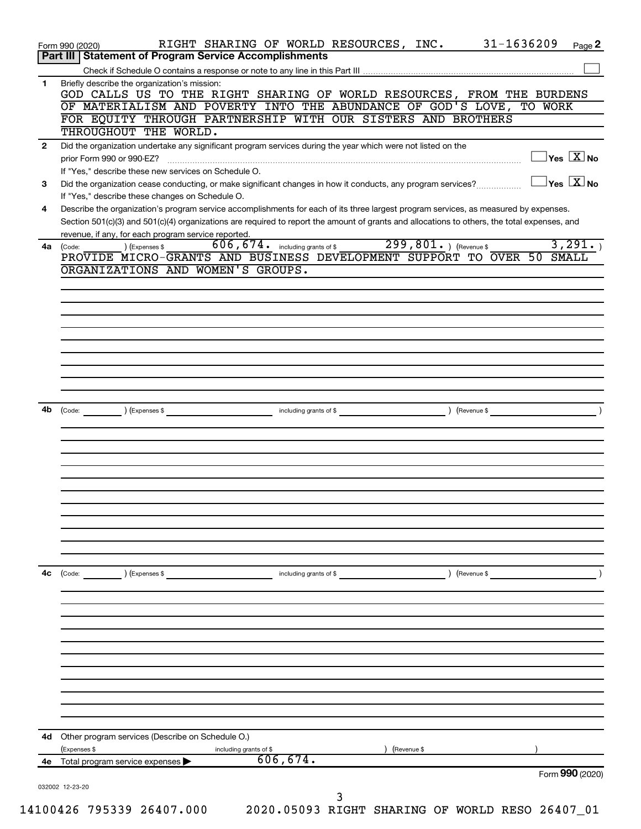| 4e           |                                                                                                                                                                                                                                                                                                                                             | Form 990 (2020)                           |
|--------------|---------------------------------------------------------------------------------------------------------------------------------------------------------------------------------------------------------------------------------------------------------------------------------------------------------------------------------------------|-------------------------------------------|
|              | 606, 674.<br>Total program service expenses                                                                                                                                                                                                                                                                                                 |                                           |
|              | 4d Other program services (Describe on Schedule O.)<br>(Expenses \$<br>) (Revenue \$<br>including grants of \$                                                                                                                                                                                                                              |                                           |
|              |                                                                                                                                                                                                                                                                                                                                             |                                           |
|              |                                                                                                                                                                                                                                                                                                                                             |                                           |
|              |                                                                                                                                                                                                                                                                                                                                             |                                           |
|              |                                                                                                                                                                                                                                                                                                                                             |                                           |
| 4с           | $\left(\text{Code:} \right) \left(\text{Expenses } \$\right)$<br>) (Revenue \$<br>including grants of \$                                                                                                                                                                                                                                    |                                           |
|              |                                                                                                                                                                                                                                                                                                                                             |                                           |
|              |                                                                                                                                                                                                                                                                                                                                             |                                           |
|              |                                                                                                                                                                                                                                                                                                                                             |                                           |
|              |                                                                                                                                                                                                                                                                                                                                             |                                           |
| 4b           | $\blacksquare$ including grants of \$<br>(Code: ) (Expenses \$                                                                                                                                                                                                                                                                              |                                           |
|              |                                                                                                                                                                                                                                                                                                                                             |                                           |
|              |                                                                                                                                                                                                                                                                                                                                             |                                           |
|              |                                                                                                                                                                                                                                                                                                                                             |                                           |
|              | ORGANIZATIONS AND WOMEN'S GROUPS.                                                                                                                                                                                                                                                                                                           |                                           |
| 4a           | 299,801. ) (Revenue \$<br>$\overline{606}$ , $\overline{674}$ $\cdot$ including grants of \$<br>) (Expenses \$<br>(Code:<br>PROVIDE MICRO-GRANTS AND BUSINESS DEVELOPMENT SUPPORT TO OVER 50 SMALL                                                                                                                                          | 3,291.                                    |
| 4            | Describe the organization's program service accomplishments for each of its three largest program services, as measured by expenses.<br>Section 501(c)(3) and 501(c)(4) organizations are required to report the amount of grants and allocations to others, the total expenses, and<br>revenue, if any, for each program service reported. |                                           |
| 3            | Did the organization cease conducting, or make significant changes in how it conducts, any program services?<br>If "Yes," describe these changes on Schedule O.                                                                                                                                                                             | $\mathbb{I}$ Yes $\boxed{\mathrm{X}}$ No  |
|              | prior Form 990 or 990-EZ?<br>If "Yes," describe these new services on Schedule O.                                                                                                                                                                                                                                                           | $\overline{\ }$ Yes $\overline{\rm X}$ No |
| $\mathbf{2}$ | FOR EQUITY THROUGH PARTNERSHIP WITH OUR SISTERS AND BROTHERS<br>THROUGHOUT THE WORLD.<br>Did the organization undertake any significant program services during the year which were not listed on the                                                                                                                                       |                                           |
|              | GOD CALLS US TO THE RIGHT SHARING OF WORLD RESOURCES, FROM THE BURDENS<br>OF MATERIALISM AND POVERTY INTO THE ABUNDANCE OF GOD'S LOVE,                                                                                                                                                                                                      | TO WORK                                   |
|              | Briefly describe the organization's mission:                                                                                                                                                                                                                                                                                                |                                           |
| 1            |                                                                                                                                                                                                                                                                                                                                             |                                           |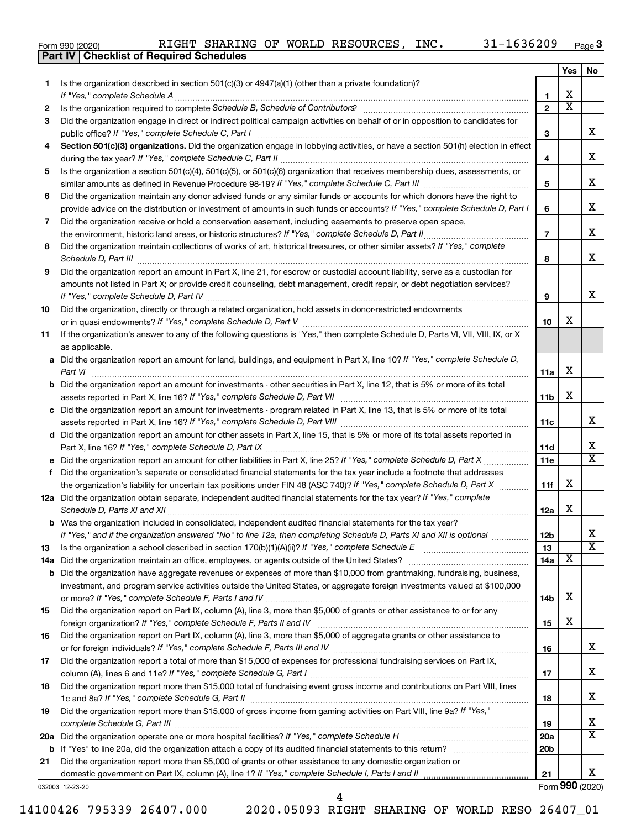|  | Form 990 (2020) |
|--|-----------------|

|     |                                                                                                                                                                                                                                     |                 | Yes                   | No                      |
|-----|-------------------------------------------------------------------------------------------------------------------------------------------------------------------------------------------------------------------------------------|-----------------|-----------------------|-------------------------|
| 1   | Is the organization described in section $501(c)(3)$ or $4947(a)(1)$ (other than a private foundation)?                                                                                                                             |                 |                       |                         |
|     | If "Yes," complete Schedule A                                                                                                                                                                                                       | 1               | х                     |                         |
| 2   |                                                                                                                                                                                                                                     | $\mathbf{2}$    | $\overline{\text{x}}$ |                         |
| 3   | Did the organization engage in direct or indirect political campaign activities on behalf of or in opposition to candidates for                                                                                                     |                 |                       |                         |
|     | public office? If "Yes," complete Schedule C, Part I                                                                                                                                                                                | 3               |                       | x                       |
| 4   | Section 501(c)(3) organizations. Did the organization engage in lobbying activities, or have a section 501(h) election in effect                                                                                                    |                 |                       |                         |
|     |                                                                                                                                                                                                                                     | 4               |                       | x                       |
| 5   | Is the organization a section 501(c)(4), 501(c)(5), or 501(c)(6) organization that receives membership dues, assessments, or                                                                                                        |                 |                       |                         |
|     |                                                                                                                                                                                                                                     | 5               |                       | x.                      |
| 6   | Did the organization maintain any donor advised funds or any similar funds or accounts for which donors have the right to                                                                                                           |                 |                       |                         |
|     | provide advice on the distribution or investment of amounts in such funds or accounts? If "Yes," complete Schedule D, Part I                                                                                                        | 6               |                       | х                       |
| 7   | Did the organization receive or hold a conservation easement, including easements to preserve open space,                                                                                                                           |                 |                       |                         |
|     | the environment, historic land areas, or historic structures? If "Yes," complete Schedule D, Part II                                                                                                                                | $\overline{7}$  |                       | x.                      |
| 8   | Did the organization maintain collections of works of art, historical treasures, or other similar assets? If "Yes," complete                                                                                                        |                 |                       |                         |
|     | Schedule D, Part III <b>Marting Communities</b> and the contract of the contract of the contract of the contract of the contract of the contract of the contract of the contract of the contract of the contract of the contract of | 8               |                       | X.                      |
| 9   | Did the organization report an amount in Part X, line 21, for escrow or custodial account liability, serve as a custodian for                                                                                                       |                 |                       |                         |
|     | amounts not listed in Part X; or provide credit counseling, debt management, credit repair, or debt negotiation services?                                                                                                           |                 |                       |                         |
|     | If "Yes," complete Schedule D, Part IV [[11] Marrior] [12] Marrior Marrior Marrior Marrior Marrior Marrior Marrior Marrior Marrior Marrior Marrior Marrior Marrior Marrior Marrior Marrior Marrior Marrior Marrior Marrior Mar      | 9               |                       | x                       |
| 10  | Did the organization, directly or through a related organization, hold assets in donor-restricted endowments                                                                                                                        |                 |                       |                         |
|     |                                                                                                                                                                                                                                     | 10              | х                     |                         |
| 11  | If the organization's answer to any of the following questions is "Yes," then complete Schedule D, Parts VI, VII, VIII, IX, or X                                                                                                    |                 |                       |                         |
|     | as applicable.                                                                                                                                                                                                                      |                 |                       |                         |
|     | a Did the organization report an amount for land, buildings, and equipment in Part X, line 10? If "Yes," complete Schedule D,                                                                                                       |                 |                       |                         |
|     |                                                                                                                                                                                                                                     | 11a             | х                     |                         |
|     | <b>b</b> Did the organization report an amount for investments - other securities in Part X, line 12, that is 5% or more of its total                                                                                               |                 |                       |                         |
|     | assets reported in Part X, line 16? If "Yes," complete Schedule D, Part VII [[[[[[[[[[[[[[[[[[[[[[[[[[[[[[[[[                                                                                                                       | 11b             | х                     |                         |
|     | c Did the organization report an amount for investments - program related in Part X, line 13, that is 5% or more of its total                                                                                                       |                 |                       |                         |
|     |                                                                                                                                                                                                                                     | 11c             |                       | x.                      |
|     | d Did the organization report an amount for other assets in Part X, line 15, that is 5% or more of its total assets reported in                                                                                                     |                 |                       |                         |
|     |                                                                                                                                                                                                                                     | 11d             |                       | x                       |
|     |                                                                                                                                                                                                                                     | 11e             |                       | $\overline{\texttt{x}}$ |
| f.  | Did the organization's separate or consolidated financial statements for the tax year include a footnote that addresses                                                                                                             |                 |                       |                         |
|     | the organization's liability for uncertain tax positions under FIN 48 (ASC 740)? If "Yes," complete Schedule D, Part X                                                                                                              | 11f             | х                     |                         |
|     | 12a Did the organization obtain separate, independent audited financial statements for the tax year? If "Yes," complete                                                                                                             |                 |                       |                         |
|     | Schedule D, Parts XI and XII                                                                                                                                                                                                        | 12a             | x                     |                         |
|     | <b>b</b> Was the organization included in consolidated, independent audited financial statements for the tax year?                                                                                                                  |                 |                       |                         |
|     | If "Yes," and if the organization answered "No" to line 12a, then completing Schedule D, Parts XI and XII is optional                                                                                                               | 12 <sub>b</sub> |                       | x                       |
| 13  |                                                                                                                                                                                                                                     | 13              |                       | $\overline{\text{x}}$   |
| 14a |                                                                                                                                                                                                                                     | 14a             | х                     |                         |
| b   | Did the organization have aggregate revenues or expenses of more than \$10,000 from grantmaking, fundraising, business,                                                                                                             |                 |                       |                         |
|     | investment, and program service activities outside the United States, or aggregate foreign investments valued at \$100,000                                                                                                          |                 |                       |                         |
|     |                                                                                                                                                                                                                                     | 14b             | x                     |                         |
| 15  | Did the organization report on Part IX, column (A), line 3, more than \$5,000 of grants or other assistance to or for any                                                                                                           |                 |                       |                         |
|     |                                                                                                                                                                                                                                     | 15              | x                     |                         |
| 16  | Did the organization report on Part IX, column (A), line 3, more than \$5,000 of aggregate grants or other assistance to                                                                                                            |                 |                       |                         |
|     |                                                                                                                                                                                                                                     | 16              |                       | X.                      |
| 17  | Did the organization report a total of more than \$15,000 of expenses for professional fundraising services on Part IX,                                                                                                             |                 |                       |                         |
|     |                                                                                                                                                                                                                                     | 17              |                       | х                       |
| 18  | Did the organization report more than \$15,000 total of fundraising event gross income and contributions on Part VIII, lines                                                                                                        |                 |                       |                         |
|     |                                                                                                                                                                                                                                     | 18              |                       | х                       |
| 19  | Did the organization report more than \$15,000 of gross income from gaming activities on Part VIII, line 9a? If "Yes,"                                                                                                              |                 |                       |                         |
|     |                                                                                                                                                                                                                                     | 19              |                       | х                       |
|     |                                                                                                                                                                                                                                     | 20a             |                       | $\overline{\textbf{X}}$ |
| b   |                                                                                                                                                                                                                                     | 20b             |                       |                         |
| 21  | Did the organization report more than \$5,000 of grants or other assistance to any domestic organization or                                                                                                                         |                 |                       |                         |
|     | domestic government on Part IX, column (A), line 1? If "Yes," complete Schedule I, Parts I and II                                                                                                                                   | 21              |                       | X.                      |
|     | 032003 12-23-20                                                                                                                                                                                                                     |                 |                       | Form 990 (2020)         |

4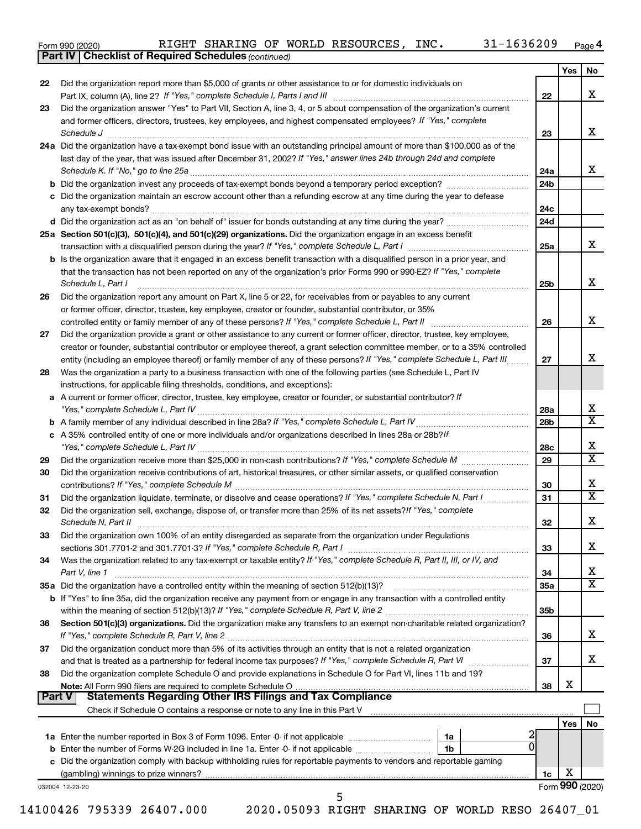|  | Form 990 (2020) |  |
|--|-----------------|--|
|  |                 |  |

*(continued)* **Part IV Checklist of Required Schedules**

|        |                                                                                                                                                                                                                                                                                                                                                                                                                                                                                                            |                 | Yes I | No                      |
|--------|------------------------------------------------------------------------------------------------------------------------------------------------------------------------------------------------------------------------------------------------------------------------------------------------------------------------------------------------------------------------------------------------------------------------------------------------------------------------------------------------------------|-----------------|-------|-------------------------|
| 22     | Did the organization report more than \$5,000 of grants or other assistance to or for domestic individuals on                                                                                                                                                                                                                                                                                                                                                                                              | 22              |       | х                       |
| 23     | Did the organization answer "Yes" to Part VII, Section A, line 3, 4, or 5 about compensation of the organization's current                                                                                                                                                                                                                                                                                                                                                                                 |                 |       |                         |
|        | and former officers, directors, trustees, key employees, and highest compensated employees? If "Yes," complete<br>$\textit{Schedule J} \textit{ \textbf{} \textbf{} \textbf{} \textbf{} \textbf{} \textbf{} \textbf{} \textbf{} \textbf{} \textbf{} \textbf{} \textbf{} \textbf{} \textbf{} \textbf{} \textbf{} \textbf{} \textbf{} \textbf{} \textbf{} \textbf{} \textbf{} \textbf{} \textbf{} \textbf{} \textbf{} \textbf{} \textbf{} \textbf{} \textbf{} \textbf{} \textbf{} \textbf{} \textbf{} \text$ | 23              |       | х                       |
|        | 24a Did the organization have a tax-exempt bond issue with an outstanding principal amount of more than \$100,000 as of the                                                                                                                                                                                                                                                                                                                                                                                |                 |       |                         |
|        | last day of the year, that was issued after December 31, 2002? If "Yes," answer lines 24b through 24d and complete                                                                                                                                                                                                                                                                                                                                                                                         |                 |       | X                       |
|        |                                                                                                                                                                                                                                                                                                                                                                                                                                                                                                            | 24a             |       |                         |
|        | b Did the organization invest any proceeds of tax-exempt bonds beyond a temporary period exception?<br>c Did the organization maintain an escrow account other than a refunding escrow at any time during the year to defease                                                                                                                                                                                                                                                                              | 24b             |       |                         |
|        |                                                                                                                                                                                                                                                                                                                                                                                                                                                                                                            | 24c             |       |                         |
|        |                                                                                                                                                                                                                                                                                                                                                                                                                                                                                                            | 24d             |       |                         |
|        | 25a Section 501(c)(3), 501(c)(4), and 501(c)(29) organizations. Did the organization engage in an excess benefit                                                                                                                                                                                                                                                                                                                                                                                           |                 |       |                         |
|        |                                                                                                                                                                                                                                                                                                                                                                                                                                                                                                            | 25a             |       | X                       |
|        | <b>b</b> Is the organization aware that it engaged in an excess benefit transaction with a disqualified person in a prior year, and<br>that the transaction has not been reported on any of the organization's prior Forms 990 or 990-EZ? If "Yes," complete<br>Schedule L, Part I                                                                                                                                                                                                                         | 25b             |       | X                       |
| 26     | Did the organization report any amount on Part X, line 5 or 22, for receivables from or payables to any current                                                                                                                                                                                                                                                                                                                                                                                            |                 |       |                         |
|        | or former officer, director, trustee, key employee, creator or founder, substantial contributor, or 35%                                                                                                                                                                                                                                                                                                                                                                                                    |                 |       |                         |
|        |                                                                                                                                                                                                                                                                                                                                                                                                                                                                                                            | 26              |       | x                       |
| 27     | Did the organization provide a grant or other assistance to any current or former officer, director, trustee, key employee,                                                                                                                                                                                                                                                                                                                                                                                |                 |       |                         |
|        | creator or founder, substantial contributor or employee thereof, a grant selection committee member, or to a 35% controlled<br>entity (including an employee thereof) or family member of any of these persons? If "Yes," complete Schedule L, Part III                                                                                                                                                                                                                                                    | 27              |       | x                       |
| 28     | Was the organization a party to a business transaction with one of the following parties (see Schedule L, Part IV<br>instructions, for applicable filing thresholds, conditions, and exceptions):                                                                                                                                                                                                                                                                                                          |                 |       |                         |
|        | a A current or former officer, director, trustee, key employee, creator or founder, or substantial contributor? If                                                                                                                                                                                                                                                                                                                                                                                         | 28a             |       | Х                       |
|        |                                                                                                                                                                                                                                                                                                                                                                                                                                                                                                            | 28 <sub>b</sub> |       | $\overline{\text{x}}$   |
|        | c A 35% controlled entity of one or more individuals and/or organizations described in lines 28a or 28b?/f                                                                                                                                                                                                                                                                                                                                                                                                 | 28c             |       | Х                       |
| 29     |                                                                                                                                                                                                                                                                                                                                                                                                                                                                                                            | 29              |       | $\overline{\text{x}}$   |
| 30     | Did the organization receive contributions of art, historical treasures, or other similar assets, or qualified conservation                                                                                                                                                                                                                                                                                                                                                                                | 30              |       | Х                       |
| 31     | Did the organization liquidate, terminate, or dissolve and cease operations? If "Yes," complete Schedule N, Part I                                                                                                                                                                                                                                                                                                                                                                                         | 31              |       | $\overline{\text{x}}$   |
| 32     | Did the organization sell, exchange, dispose of, or transfer more than 25% of its net assets? If "Yes," complete                                                                                                                                                                                                                                                                                                                                                                                           | 32              |       | Х                       |
| 33     | Did the organization own 100% of an entity disregarded as separate from the organization under Regulations                                                                                                                                                                                                                                                                                                                                                                                                 | 33              |       | х                       |
| 34     | Was the organization related to any tax-exempt or taxable entity? If "Yes," complete Schedule R, Part II, III, or IV, and<br>Part V, line 1                                                                                                                                                                                                                                                                                                                                                                | 34              |       | х                       |
|        |                                                                                                                                                                                                                                                                                                                                                                                                                                                                                                            | 35a             |       | $\overline{\texttt{x}}$ |
|        | b If "Yes" to line 35a, did the organization receive any payment from or engage in any transaction with a controlled entity                                                                                                                                                                                                                                                                                                                                                                                | 35 <sub>b</sub> |       |                         |
| 36     | Section 501(c)(3) organizations. Did the organization make any transfers to an exempt non-charitable related organization?                                                                                                                                                                                                                                                                                                                                                                                 | 36              |       | x                       |
| 37     | Did the organization conduct more than 5% of its activities through an entity that is not a related organization                                                                                                                                                                                                                                                                                                                                                                                           | 37              |       | X                       |
| 38     | Did the organization complete Schedule O and provide explanations in Schedule O for Part VI, lines 11b and 19?                                                                                                                                                                                                                                                                                                                                                                                             | 38              | х     |                         |
| Part V | <b>Statements Regarding Other IRS Filings and Tax Compliance</b><br>Check if Schedule O contains a response or note to any line in this Part V [111] [12] Check if Schedule O contains a response or note to any line in this Part V                                                                                                                                                                                                                                                                       |                 |       |                         |
|        |                                                                                                                                                                                                                                                                                                                                                                                                                                                                                                            |                 | Yes   | No                      |
|        |                                                                                                                                                                                                                                                                                                                                                                                                                                                                                                            |                 |       |                         |
|        | 1a                                                                                                                                                                                                                                                                                                                                                                                                                                                                                                         |                 |       |                         |
|        | 0<br>1 <sub>b</sub>                                                                                                                                                                                                                                                                                                                                                                                                                                                                                        |                 |       |                         |
|        | c Did the organization comply with backup withholding rules for reportable payments to vendors and reportable gaming                                                                                                                                                                                                                                                                                                                                                                                       | 1c              | X     |                         |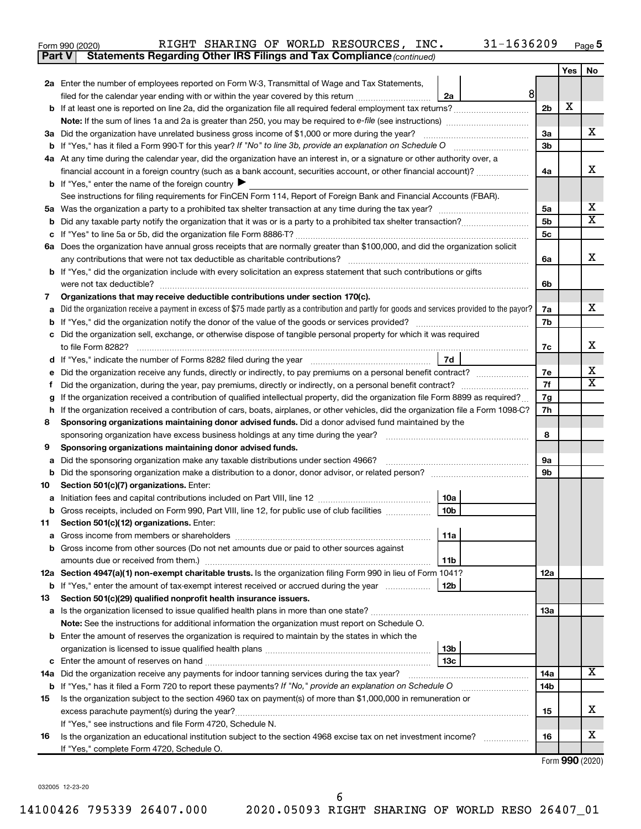| Form 990 (2020) |  |  | RIGHT SHARING OF WORLD RESOURCES, INC.                                              | $31 - 1636209$ | Page |
|-----------------|--|--|-------------------------------------------------------------------------------------|----------------|------|
|                 |  |  | <b>Part V</b> Statements Regarding Other IRS Filings and Tax Compliance (continued) |                |      |

|        |                                                                                                                                                                                                                                                                                                                                                |                | Yes | No |  |  |  |  |  |  |
|--------|------------------------------------------------------------------------------------------------------------------------------------------------------------------------------------------------------------------------------------------------------------------------------------------------------------------------------------------------|----------------|-----|----|--|--|--|--|--|--|
|        | 2a Enter the number of employees reported on Form W-3, Transmittal of Wage and Tax Statements,                                                                                                                                                                                                                                                 |                |     |    |  |  |  |  |  |  |
|        | 8 <sup>1</sup><br>filed for the calendar year ending with or within the year covered by this return<br>2a                                                                                                                                                                                                                                      |                |     |    |  |  |  |  |  |  |
|        | b If at least one is reported on line 2a, did the organization file all required federal employment tax returns?                                                                                                                                                                                                                               | 2 <sub>b</sub> | х   |    |  |  |  |  |  |  |
|        |                                                                                                                                                                                                                                                                                                                                                |                |     |    |  |  |  |  |  |  |
|        | 3a Did the organization have unrelated business gross income of \$1,000 or more during the year?                                                                                                                                                                                                                                               | 3a             |     | x  |  |  |  |  |  |  |
|        |                                                                                                                                                                                                                                                                                                                                                | 3b             |     |    |  |  |  |  |  |  |
|        | 4a At any time during the calendar year, did the organization have an interest in, or a signature or other authority over, a                                                                                                                                                                                                                   |                |     |    |  |  |  |  |  |  |
|        | financial account in a foreign country (such as a bank account, securities account, or other financial account)?                                                                                                                                                                                                                               | 4a             |     | х  |  |  |  |  |  |  |
|        | <b>b</b> If "Yes," enter the name of the foreign country                                                                                                                                                                                                                                                                                       |                |     |    |  |  |  |  |  |  |
|        | See instructions for filing requirements for FinCEN Form 114, Report of Foreign Bank and Financial Accounts (FBAR).                                                                                                                                                                                                                            | 5a             |     | х  |  |  |  |  |  |  |
|        | b                                                                                                                                                                                                                                                                                                                                              |                |     |    |  |  |  |  |  |  |
|        | с                                                                                                                                                                                                                                                                                                                                              |                |     |    |  |  |  |  |  |  |
|        | 6a Does the organization have annual gross receipts that are normally greater than \$100,000, and did the organization solicit                                                                                                                                                                                                                 | 5 <sub>c</sub> |     |    |  |  |  |  |  |  |
|        | any contributions that were not tax deductible as charitable contributions?                                                                                                                                                                                                                                                                    | 6а             |     | х  |  |  |  |  |  |  |
|        | b If "Yes," did the organization include with every solicitation an express statement that such contributions or gifts                                                                                                                                                                                                                         |                |     |    |  |  |  |  |  |  |
|        | were not tax deductible?                                                                                                                                                                                                                                                                                                                       | 6b             |     |    |  |  |  |  |  |  |
| 7      | Organizations that may receive deductible contributions under section 170(c).                                                                                                                                                                                                                                                                  |                |     |    |  |  |  |  |  |  |
|        | Did the organization receive a payment in excess of \$75 made partly as a contribution and partly for goods and services provided to the payor?                                                                                                                                                                                                | 7а             |     | x  |  |  |  |  |  |  |
|        |                                                                                                                                                                                                                                                                                                                                                | 7b             |     |    |  |  |  |  |  |  |
| c      | Did the organization sell, exchange, or otherwise dispose of tangible personal property for which it was required                                                                                                                                                                                                                              |                |     |    |  |  |  |  |  |  |
|        | to file Form 8282?                                                                                                                                                                                                                                                                                                                             | 7c             |     | x  |  |  |  |  |  |  |
|        | 7d                                                                                                                                                                                                                                                                                                                                             |                |     |    |  |  |  |  |  |  |
|        | Did the organization receive any funds, directly or indirectly, to pay premiums on a personal benefit contract?                                                                                                                                                                                                                                | 7е             |     | х  |  |  |  |  |  |  |
|        | Did the organization, during the year, pay premiums, directly or indirectly, on a personal benefit contract?                                                                                                                                                                                                                                   | 7f<br>7g       |     | X  |  |  |  |  |  |  |
|        | If the organization received a contribution of qualified intellectual property, did the organization file Form 8899 as required?                                                                                                                                                                                                               |                |     |    |  |  |  |  |  |  |
| h      | If the organization received a contribution of cars, boats, airplanes, or other vehicles, did the organization file a Form 1098-C?                                                                                                                                                                                                             |                |     |    |  |  |  |  |  |  |
| 8      | Sponsoring organizations maintaining donor advised funds. Did a donor advised fund maintained by the                                                                                                                                                                                                                                           |                |     |    |  |  |  |  |  |  |
|        | sponsoring organization have excess business holdings at any time during the year?                                                                                                                                                                                                                                                             |                |     |    |  |  |  |  |  |  |
| 9      | Sponsoring organizations maintaining donor advised funds.                                                                                                                                                                                                                                                                                      | 9a             |     |    |  |  |  |  |  |  |
| а<br>b | Did the sponsoring organization make any taxable distributions under section 4966?                                                                                                                                                                                                                                                             | 9b             |     |    |  |  |  |  |  |  |
| 10     | Section 501(c)(7) organizations. Enter:                                                                                                                                                                                                                                                                                                        |                |     |    |  |  |  |  |  |  |
| а      | <b>10a</b>                                                                                                                                                                                                                                                                                                                                     |                |     |    |  |  |  |  |  |  |
| b      | 10 <sub>b</sub><br>Gross receipts, included on Form 990, Part VIII, line 12, for public use of club facilities                                                                                                                                                                                                                                 |                |     |    |  |  |  |  |  |  |
| 11     | Section 501(c)(12) organizations. Enter:                                                                                                                                                                                                                                                                                                       |                |     |    |  |  |  |  |  |  |
|        | 11a                                                                                                                                                                                                                                                                                                                                            |                |     |    |  |  |  |  |  |  |
|        | b Gross income from other sources (Do not net amounts due or paid to other sources against                                                                                                                                                                                                                                                     |                |     |    |  |  |  |  |  |  |
|        | amounts due or received from them.)<br>11b                                                                                                                                                                                                                                                                                                     |                |     |    |  |  |  |  |  |  |
|        | 12a Section 4947(a)(1) non-exempt charitable trusts. Is the organization filing Form 990 in lieu of Form 1041?                                                                                                                                                                                                                                 | 12a            |     |    |  |  |  |  |  |  |
|        | 12 <sub>b</sub><br><b>b</b> If "Yes," enter the amount of tax-exempt interest received or accrued during the year                                                                                                                                                                                                                              |                |     |    |  |  |  |  |  |  |
| 13     | Section 501(c)(29) qualified nonprofit health insurance issuers.                                                                                                                                                                                                                                                                               |                |     |    |  |  |  |  |  |  |
|        |                                                                                                                                                                                                                                                                                                                                                | 13a            |     |    |  |  |  |  |  |  |
|        | Note: See the instructions for additional information the organization must report on Schedule O.                                                                                                                                                                                                                                              |                |     |    |  |  |  |  |  |  |
|        | <b>b</b> Enter the amount of reserves the organization is required to maintain by the states in which the                                                                                                                                                                                                                                      |                |     |    |  |  |  |  |  |  |
|        | 13 <sub>b</sub>                                                                                                                                                                                                                                                                                                                                |                |     |    |  |  |  |  |  |  |
|        | 13 <sub>c</sub>                                                                                                                                                                                                                                                                                                                                |                |     | х  |  |  |  |  |  |  |
|        | 14a Did the organization receive any payments for indoor tanning services during the tax year?                                                                                                                                                                                                                                                 | 14a<br>14b     |     |    |  |  |  |  |  |  |
| 15     | b If "Yes," has it filed a Form 720 to report these payments? If "No," provide an explanation on Schedule O<br>and a complete the contract of the contract of the contract of the contract of the contract of the contract of<br>Is the organization subject to the section 4960 tax on payment(s) of more than \$1,000,000 in remuneration or |                |     |    |  |  |  |  |  |  |
|        |                                                                                                                                                                                                                                                                                                                                                | 15             |     | x  |  |  |  |  |  |  |
|        | If "Yes," see instructions and file Form 4720, Schedule N.                                                                                                                                                                                                                                                                                     |                |     |    |  |  |  |  |  |  |
| 16     | Is the organization an educational institution subject to the section 4968 excise tax on net investment income?                                                                                                                                                                                                                                | 16             |     | х  |  |  |  |  |  |  |
|        | If "Yes," complete Form 4720, Schedule O.                                                                                                                                                                                                                                                                                                      |                |     |    |  |  |  |  |  |  |
|        |                                                                                                                                                                                                                                                                                                                                                |                |     |    |  |  |  |  |  |  |

Form (2020) **990**

032005 12-23-20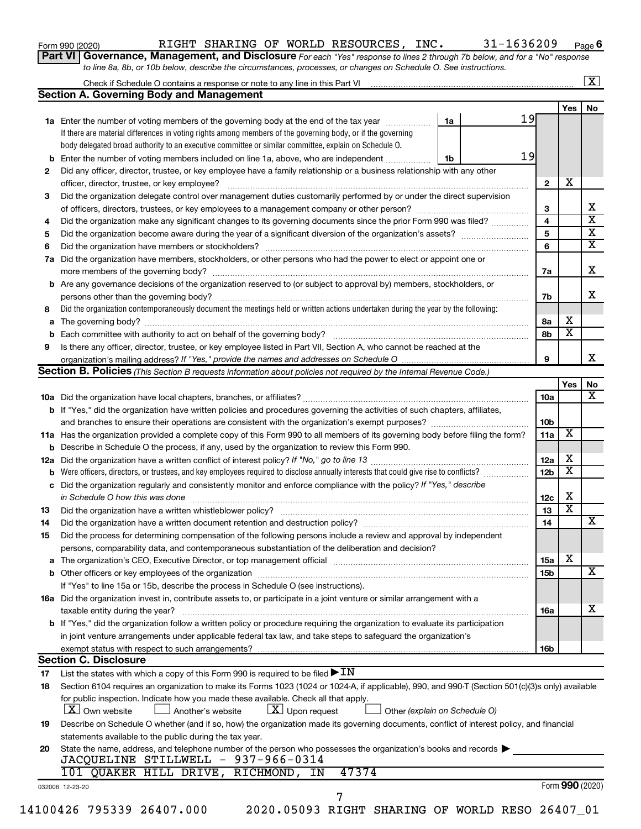| Form 990 (2020) |  |
|-----------------|--|
|-----------------|--|

## Form 990 (2020) RIGHT SHARING OF WORLD RESOURCES , INC. 31-1636209 Page

**Part VI** Governance, Management, and Disclosure For each "Yes" response to lines 2 through 7b below, and for a "No" response *to line 8a, 8b, or 10b below, describe the circumstances, processes, or changes on Schedule O. See instructions.*

|     | Check if Schedule O contains a response or note to any line in this Part VI [11] [12] Check if Schedule O contains a response or note to any line in this Part VI |                               |                 |                         | $\mathbf{X}$ |
|-----|-------------------------------------------------------------------------------------------------------------------------------------------------------------------|-------------------------------|-----------------|-------------------------|--------------|
|     | <b>Section A. Governing Body and Management</b>                                                                                                                   |                               |                 |                         |              |
|     |                                                                                                                                                                   |                               |                 | Yes                     | No           |
|     | <b>1a</b> Enter the number of voting members of the governing body at the end of the tax year                                                                     | 1a                            | 19              |                         |              |
|     | If there are material differences in voting rights among members of the governing body, or if the governing                                                       |                               |                 |                         |              |
|     | body delegated broad authority to an executive committee or similar committee, explain on Schedule O.                                                             |                               |                 |                         |              |
| b   | Enter the number of voting members included on line 1a, above, who are independent                                                                                | 1b                            | 19              |                         |              |
| 2   | Did any officer, director, trustee, or key employee have a family relationship or a business relationship with any other                                          |                               |                 |                         |              |
|     | officer, director, trustee, or key employee?                                                                                                                      |                               | $\mathbf{2}$    | X                       |              |
| 3   | Did the organization delegate control over management duties customarily performed by or under the direct supervision                                             |                               |                 |                         |              |
|     |                                                                                                                                                                   |                               | 3               |                         |              |
| 4   | Did the organization make any significant changes to its governing documents since the prior Form 990 was filed?                                                  |                               | 4               |                         |              |
| 5   |                                                                                                                                                                   |                               | 5               |                         |              |
| 6   |                                                                                                                                                                   |                               | 6               |                         |              |
| 7a  | Did the organization have members, stockholders, or other persons who had the power to elect or appoint one or                                                    |                               |                 |                         |              |
|     |                                                                                                                                                                   |                               | 7a              |                         |              |
| b   | Are any governance decisions of the organization reserved to (or subject to approval by) members, stockholders, or                                                |                               |                 |                         |              |
|     |                                                                                                                                                                   |                               | 7b              |                         |              |
| 8   | Did the organization contemporaneously document the meetings held or written actions undertaken during the year by the following:                                 |                               |                 |                         |              |
| a   |                                                                                                                                                                   |                               | 8а              | X                       |              |
| b   |                                                                                                                                                                   |                               | 8b              | х                       |              |
| 9   | Is there any officer, director, trustee, or key employee listed in Part VII, Section A, who cannot be reached at the                                              |                               |                 |                         |              |
|     |                                                                                                                                                                   |                               | 9               |                         |              |
|     | <b>Section B. Policies</b> (This Section B requests information about policies not required by the Internal Revenue Code.)                                        |                               |                 |                         |              |
|     |                                                                                                                                                                   |                               |                 | Yes                     | No           |
|     |                                                                                                                                                                   |                               | 10a             |                         |              |
|     | <b>b</b> If "Yes," did the organization have written policies and procedures governing the activities of such chapters, affiliates,                               |                               |                 |                         |              |
|     |                                                                                                                                                                   |                               | 10b             |                         |              |
|     | 11a Has the organization provided a complete copy of this Form 990 to all members of its governing body before filing the form?                                   |                               | 11a             | X                       |              |
|     | <b>b</b> Describe in Schedule O the process, if any, used by the organization to review this Form 990.                                                            |                               |                 |                         |              |
|     |                                                                                                                                                                   |                               |                 | х                       |              |
| 12a |                                                                                                                                                                   |                               | 12a             | X                       |              |
| b   | Were officers, directors, or trustees, and key employees required to disclose annually interests that could give rise to conflicts?                               |                               | 12 <sub>b</sub> |                         |              |
| с   | Did the organization regularly and consistently monitor and enforce compliance with the policy? If "Yes," describe                                                |                               |                 | X                       |              |
|     | in Schedule O how this was done manufactured and continuum and contact the state of the state of the state of                                                     |                               | 12c             | $\overline{\textbf{x}}$ |              |
| 13  |                                                                                                                                                                   |                               | 13              |                         |              |
| 14  | Did the organization have a written document retention and destruction policy? [11] manufaction manufaction in                                                    |                               | 14              |                         |              |
| 15  | Did the process for determining compensation of the following persons include a review and approval by independent                                                |                               |                 |                         |              |
|     | persons, comparability data, and contemporaneous substantiation of the deliberation and decision?                                                                 |                               |                 |                         |              |
| а   |                                                                                                                                                                   |                               | 15a             | х                       |              |
|     |                                                                                                                                                                   |                               | <b>15b</b>      |                         |              |
|     | If "Yes" to line 15a or 15b, describe the process in Schedule O (see instructions).                                                                               |                               |                 |                         |              |
|     | 16a Did the organization invest in, contribute assets to, or participate in a joint venture or similar arrangement with a                                         |                               |                 |                         |              |
|     | taxable entity during the year?                                                                                                                                   |                               | 16a             |                         |              |
|     | b If "Yes," did the organization follow a written policy or procedure requiring the organization to evaluate its participation                                    |                               |                 |                         |              |
|     | in joint venture arrangements under applicable federal tax law, and take steps to safeguard the organization's                                                    |                               |                 |                         |              |
|     | exempt status with respect to such arrangements?                                                                                                                  |                               | 16b             |                         |              |
|     | <b>Section C. Disclosure</b>                                                                                                                                      |                               |                 |                         |              |
| 17  | List the states with which a copy of this Form 990 is required to be filed $\blacktriangleright$ IN                                                               |                               |                 |                         |              |
| 18  | Section 6104 requires an organization to make its Forms 1023 (1024 or 1024-A, if applicable), 990, and 990-T (Section 501(c)(3)s only) available                  |                               |                 |                         |              |
|     | for public inspection. Indicate how you made these available. Check all that apply.<br>$X$ Own website<br>$\lfloor x \rfloor$ Upon request<br>Another's website   | Other (explain on Schedule O) |                 |                         |              |
| 19  | Describe on Schedule O whether (and if so, how) the organization made its governing documents, conflict of interest policy, and financial                         |                               |                 |                         |              |
|     | statements available to the public during the tax year.                                                                                                           |                               |                 |                         |              |
| 20  | State the name, address, and telephone number of the person who possesses the organization's books and records                                                    |                               |                 |                         |              |
|     | JACQUELINE STILLWELL - 937-966-0314                                                                                                                               |                               |                 |                         |              |
|     | 101 QUAKER HILL DRIVE, RICHMOND, IN<br>47374                                                                                                                      |                               |                 |                         |              |
|     | 032006 12-23-20                                                                                                                                                   |                               |                 | Form 990 (2020)         |              |
|     | 7                                                                                                                                                                 |                               |                 |                         |              |
|     | 14100426 795339 26407.000<br>2020.05093 RIGHT SHARING OF WORLD RESO 26407_01                                                                                      |                               |                 |                         |              |
|     |                                                                                                                                                                   |                               |                 |                         |              |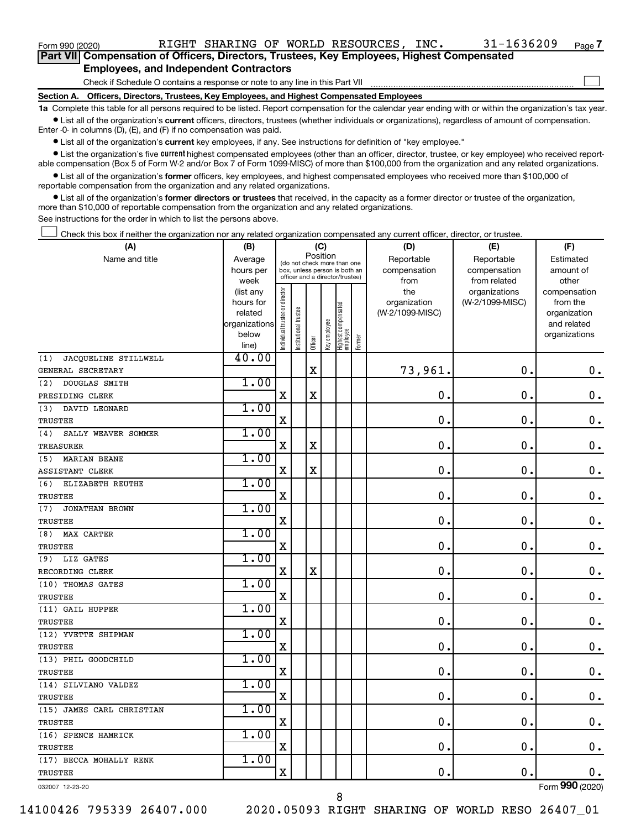| Form 990 (2020)                                                                            |                                                                              |  |  | RIGHT SHARING OF WORLD RESOURCES, INC. |  | $31 - 1636209$ | Page 7 |  |  |  |
|--------------------------------------------------------------------------------------------|------------------------------------------------------------------------------|--|--|----------------------------------------|--|----------------|--------|--|--|--|
| Part VII Compensation of Officers, Directors, Trustees, Key Employees, Highest Compensated |                                                                              |  |  |                                        |  |                |        |  |  |  |
| <b>Employees, and Independent Contractors</b>                                              |                                                                              |  |  |                                        |  |                |        |  |  |  |
|                                                                                            | Check if Schedule O contains a response or note to any line in this Part VII |  |  |                                        |  |                |        |  |  |  |
| Section A. Officers, Directors, Trustees, Key Employees, and Highest Compensated Employees |                                                                              |  |  |                                        |  |                |        |  |  |  |

**1a**  Complete this table for all persons required to be listed. Report compensation for the calendar year ending with or within the organization's tax year.  $\bullet$  List all of the organization's current officers, directors, trustees (whether individuals or organizations), regardless of amount of compensation.

Enter -0- in columns (D), (E), and (F) if no compensation was paid.

**•** List all of the organization's current key employees, if any. See instructions for definition of "key employee."

• List the organization's five *current* highest compensated employees (other than an officer, director, trustee, or key employee) who received reportable compensation (Box 5 of Form W-2 and/or Box 7 of Form 1099-MISC) of more than \$100,000 from the organization and any related organizations.

 $\bullet$  List all of the organization's former officers, key employees, and highest compensated employees who received more than \$100,000 of reportable compensation from the organization and any related organizations.

**•** List all of the organization's former directors or trustees that received, in the capacity as a former director or trustee of the organization, more than \$10,000 of reportable compensation from the organization and any related organizations.

See instructions for the order in which to list the persons above.

Check this box if neither the organization nor any related organization compensated any current officer, director, or trustee.  $\Box$ 

| (A)                         | (B)                  |                               |                                                                  | (C)         |              |                                 |        | (D)                             | (E)             | (F)                      |
|-----------------------------|----------------------|-------------------------------|------------------------------------------------------------------|-------------|--------------|---------------------------------|--------|---------------------------------|-----------------|--------------------------|
| Name and title              | Average              |                               | (do not check more than one                                      |             | Position     |                                 |        | Reportable                      | Reportable      | Estimated                |
|                             | hours per            |                               | box, unless person is both an<br>officer and a director/trustee) |             |              |                                 |        | compensation                    | compensation    | amount of                |
|                             | week                 |                               |                                                                  |             |              |                                 |        | from                            | from related    | other                    |
|                             | (list any            |                               |                                                                  |             |              |                                 |        | the                             | organizations   | compensation             |
|                             | hours for<br>related |                               |                                                                  |             |              |                                 |        | organization<br>(W-2/1099-MISC) | (W-2/1099-MISC) | from the<br>organization |
|                             | organizations        |                               |                                                                  |             |              |                                 |        |                                 |                 | and related              |
|                             | below                |                               |                                                                  |             |              |                                 |        |                                 |                 | organizations            |
|                             | line)                | ndividual trustee or director | nstitutional trustee                                             | Officer     | Key employee | Highest compensated<br>employee | Former |                                 |                 |                          |
| JACQUELINE STILLWELL<br>(1) | 40.00                |                               |                                                                  |             |              |                                 |        |                                 |                 |                          |
| GENERAL SECRETARY           |                      |                               |                                                                  | X           |              |                                 |        | 73,961.                         | $\mathbf 0$ .   | 0.                       |
| DOUGLAS SMITH<br>(2)        | 1.00                 |                               |                                                                  |             |              |                                 |        |                                 |                 |                          |
| PRESIDING CLERK             |                      | $\mathbf X$                   |                                                                  | $\mathbf X$ |              |                                 |        | $\mathbf 0$ .                   | $\mathbf 0$ .   | $0$ .                    |
| DAVID LEONARD<br>(3)        | 1.00                 |                               |                                                                  |             |              |                                 |        |                                 |                 |                          |
| <b>TRUSTEE</b>              |                      | Χ                             |                                                                  |             |              |                                 |        | 0.                              | $\mathbf 0$ .   | $\mathbf 0$ .            |
| SALLY WEAVER SOMMER<br>(4)  | 1.00                 |                               |                                                                  |             |              |                                 |        |                                 |                 |                          |
| TREASURER                   |                      | $\mathbf X$                   |                                                                  | $\rm X$     |              |                                 |        | $\mathbf 0$ .                   | $\mathbf 0$ .   | $\mathbf 0$ .            |
| <b>MARIAN BEANE</b><br>(5)  | 1.00                 |                               |                                                                  |             |              |                                 |        |                                 |                 |                          |
| ASSISTANT CLERK             |                      | X                             |                                                                  | X           |              |                                 |        | $\mathbf 0$                     | 0               | $\boldsymbol{0}$ .       |
| ELIZABETH REUTHE<br>(6)     | 1.00                 |                               |                                                                  |             |              |                                 |        |                                 |                 |                          |
| <b>TRUSTEE</b>              |                      | X                             |                                                                  |             |              |                                 |        | $\mathbf 0$                     | $\mathbf 0$ .   | $\mathbf 0$ .            |
| (7)<br>JONATHAN BROWN       | 1.00                 |                               |                                                                  |             |              |                                 |        |                                 |                 |                          |
| TRUSTEE                     |                      | $\mathbf X$                   |                                                                  |             |              |                                 |        | 0                               | $\mathbf 0$     | $\mathbf 0$ .            |
| MAX CARTER<br>(8)           | 1.00                 |                               |                                                                  |             |              |                                 |        |                                 |                 |                          |
| <b>TRUSTEE</b>              |                      | X                             |                                                                  |             |              |                                 |        | $\mathbf 0$                     | $\mathbf 0$ .   | $\mathbf 0$ .            |
| LIZ GATES<br>(9)            | 1.00                 |                               |                                                                  |             |              |                                 |        |                                 |                 |                          |
| RECORDING CLERK             |                      | $\mathbf X$                   |                                                                  | X           |              |                                 |        | 0                               | $\mathbf 0$     | $0$ .                    |
| (10) THOMAS GATES           | 1.00                 |                               |                                                                  |             |              |                                 |        |                                 |                 |                          |
| <b>TRUSTEE</b>              |                      | X                             |                                                                  |             |              |                                 |        | $\mathbf 0$                     | 0.              | 0.                       |
| (11) GAIL HUPPER            | 1.00                 |                               |                                                                  |             |              |                                 |        |                                 |                 |                          |
| <b>TRUSTEE</b>              |                      | X                             |                                                                  |             |              |                                 |        | $\mathbf 0$ .                   | $\mathbf 0$ .   | $\mathbf 0$ .            |
| (12) YVETTE SHIPMAN         | 1.00                 |                               |                                                                  |             |              |                                 |        |                                 |                 |                          |
| <b>TRUSTEE</b>              |                      | X                             |                                                                  |             |              |                                 |        | $\mathbf{0}$ .                  | $\mathbf 0$ .   | $0$ .                    |
| (13) PHIL GOODCHILD         | 1.00                 |                               |                                                                  |             |              |                                 |        |                                 |                 |                          |
| <b>TRUSTEE</b>              |                      | $\rm X$                       |                                                                  |             |              |                                 |        | $\mathbf{0}$ .                  | $\mathbf 0$ .   | $\mathbf 0$ .            |
| (14) SILVIANO VALDEZ        | 1.00                 |                               |                                                                  |             |              |                                 |        |                                 |                 |                          |
| TRUSTEE                     |                      | X                             |                                                                  |             |              |                                 |        | $\mathbf 0$                     | 0               | $\mathbf 0$ .            |
| (15) JAMES CARL CHRISTIAN   | 1.00                 |                               |                                                                  |             |              |                                 |        |                                 |                 |                          |
| TRUSTEE                     |                      | $\mathbf X$                   |                                                                  |             |              |                                 |        | $\mathbf 0$                     | $\mathbf 0$ .   | $\mathbf 0$ .            |
| (16) SPENCE HAMRICK         | 1.00                 |                               |                                                                  |             |              |                                 |        |                                 |                 |                          |
| <b>TRUSTEE</b>              |                      | X                             |                                                                  |             |              |                                 |        | 0                               | $\mathbf 0$     | $\mathbf 0$ .            |
| (17) BECCA MOHALLY RENK     | 1.00                 |                               |                                                                  |             |              |                                 |        |                                 |                 |                          |
| <b>TRUSTEE</b>              |                      | X                             |                                                                  |             |              |                                 |        | 0.                              | $\mathbf 0$ .   | 0.                       |
| 032007 12-23-20             |                      |                               |                                                                  |             |              |                                 |        |                                 |                 | Form 990 (2020)          |

14100426 795339 26407.000 2020.05093 RIGHT SHARING OF WORLD RESO 26407\_01

8

Form (2020) **990**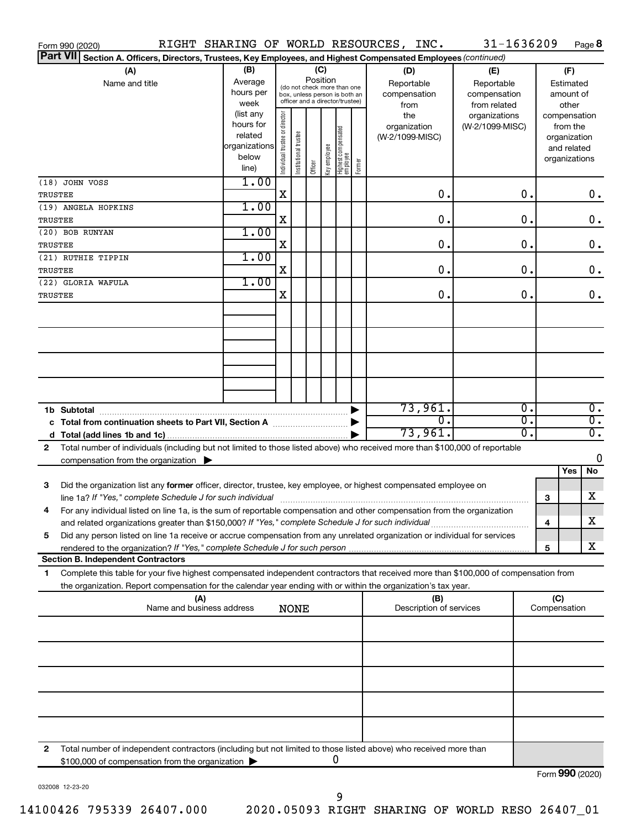| Form 990 (2020)                |                                                                                                                                                                                                                                                                                                                                                        |                                                                      |                                |                       |                                                                                                                    |              |                                   |        | RIGHT SHARING OF WORLD RESOURCES, INC.    | 31-1636209                                        |                                   |                               |                                         | Page 8                               |
|--------------------------------|--------------------------------------------------------------------------------------------------------------------------------------------------------------------------------------------------------------------------------------------------------------------------------------------------------------------------------------------------------|----------------------------------------------------------------------|--------------------------------|-----------------------|--------------------------------------------------------------------------------------------------------------------|--------------|-----------------------------------|--------|-------------------------------------------|---------------------------------------------------|-----------------------------------|-------------------------------|-----------------------------------------|--------------------------------------|
| <b>Part VII</b>                | Section A. Officers, Directors, Trustees, Key Employees, and Highest Compensated Employees (continued)                                                                                                                                                                                                                                                 |                                                                      |                                |                       |                                                                                                                    |              |                                   |        |                                           |                                                   |                                   |                               |                                         |                                      |
|                                | (A)<br>Name and title                                                                                                                                                                                                                                                                                                                                  | (B)<br>Average<br>hours per<br>week                                  |                                |                       | (C)<br>Position<br>(do not check more than one<br>box, unless person is both an<br>officer and a director/trustee) |              |                                   |        | (D)<br>Reportable<br>compensation<br>from | (E)<br>Reportable<br>compensation<br>from related |                                   |                               | (F)<br>Estimated<br>amount of<br>other  |                                      |
|                                |                                                                                                                                                                                                                                                                                                                                                        | (list any<br>hours for<br>related<br>organizations<br>below<br>line) | Individual trustee or director | Institutional trustee | Officer                                                                                                            | Key employee | Highest compensated<br>  employee | Former | the<br>organization<br>(W-2/1099-MISC)    | organizations<br>(W-2/1099-MISC)                  |                                   | compensation<br>organizations | from the<br>organization<br>and related |                                      |
| (18) JOHN VOSS<br>TRUSTEE      |                                                                                                                                                                                                                                                                                                                                                        | 1.00                                                                 | X                              |                       |                                                                                                                    |              |                                   |        | 0.                                        |                                                   | 0.                                |                               |                                         | $0$ .                                |
| (19) ANGELA HOPKINS<br>TRUSTEE |                                                                                                                                                                                                                                                                                                                                                        | 1.00                                                                 | х                              |                       |                                                                                                                    |              |                                   |        | 0.                                        |                                                   | 0.                                |                               |                                         | 0.                                   |
| (20) BOB RUNYAN<br>TRUSTEE     |                                                                                                                                                                                                                                                                                                                                                        | 1.00                                                                 | х                              |                       |                                                                                                                    |              |                                   |        | 0.                                        |                                                   | 0.                                |                               |                                         | 0.                                   |
| (21) RUTHIE TIPPIN<br>TRUSTEE  |                                                                                                                                                                                                                                                                                                                                                        | 1.00                                                                 | X                              |                       |                                                                                                                    |              |                                   |        | 0.                                        |                                                   | 0.                                |                               |                                         | 0.                                   |
| (22) GLORIA WAFULA<br>TRUSTEE  |                                                                                                                                                                                                                                                                                                                                                        | 1.00                                                                 | X                              |                       |                                                                                                                    |              |                                   |        | 0.                                        |                                                   | 0.                                |                               |                                         | $0$ .                                |
|                                |                                                                                                                                                                                                                                                                                                                                                        |                                                                      |                                |                       |                                                                                                                    |              |                                   |        |                                           |                                                   |                                   |                               |                                         |                                      |
|                                |                                                                                                                                                                                                                                                                                                                                                        |                                                                      |                                |                       |                                                                                                                    |              |                                   |        |                                           |                                                   |                                   |                               |                                         |                                      |
|                                |                                                                                                                                                                                                                                                                                                                                                        |                                                                      |                                |                       |                                                                                                                    |              |                                   |        | 73,961.                                   |                                                   | σ.                                |                               |                                         | $\overline{0}$ .                     |
|                                | c Total from continuation sheets to Part VII, Section A manufactured by                                                                                                                                                                                                                                                                                |                                                                      |                                |                       |                                                                                                                    |              |                                   |        | σ.<br>73,961.                             |                                                   | $\overline{\mathfrak{o}}$ .<br>σ. |                               |                                         | $\overline{0}$ .<br>$\overline{0}$ . |
| 2                              | Total number of individuals (including but not limited to those listed above) who received more than \$100,000 of reportable<br>compensation from the organization $\blacktriangleright$                                                                                                                                                               |                                                                      |                                |                       |                                                                                                                    |              |                                   |        |                                           |                                                   |                                   |                               | Yes                                     | 0<br>No                              |
| 3                              | Did the organization list any former officer, director, trustee, key employee, or highest compensated employee on                                                                                                                                                                                                                                      |                                                                      |                                |                       |                                                                                                                    |              |                                   |        |                                           |                                                   |                                   | 3                             |                                         | X                                    |
|                                | line 1a? If "Yes," complete Schedule J for such individual manufacture content to the set of the set of the such re<br>For any individual listed on line 1a, is the sum of reportable compensation and other compensation from the organization<br>and related organizations greater than \$150,000? If "Yes," complete Schedule J for such individual |                                                                      |                                |                       |                                                                                                                    |              |                                   |        |                                           |                                                   |                                   | 4                             |                                         | х                                    |
| 5                              | Did any person listed on line 1a receive or accrue compensation from any unrelated organization or individual for services                                                                                                                                                                                                                             |                                                                      |                                |                       |                                                                                                                    |              |                                   |        |                                           |                                                   |                                   | 5                             |                                         | x                                    |
|                                | <b>Section B. Independent Contractors</b>                                                                                                                                                                                                                                                                                                              |                                                                      |                                |                       |                                                                                                                    |              |                                   |        |                                           |                                                   |                                   |                               |                                         |                                      |
| 1                              | Complete this table for your five highest compensated independent contractors that received more than \$100,000 of compensation from<br>the organization. Report compensation for the calendar year ending with or within the organization's tax year.                                                                                                 |                                                                      |                                |                       |                                                                                                                    |              |                                   |        |                                           |                                                   |                                   |                               |                                         |                                      |
|                                | (A)<br>Name and business address                                                                                                                                                                                                                                                                                                                       |                                                                      |                                | <b>NONE</b>           |                                                                                                                    |              |                                   |        | (B)<br>Description of services            |                                                   |                                   | (C)<br>Compensation           |                                         |                                      |
|                                |                                                                                                                                                                                                                                                                                                                                                        |                                                                      |                                |                       |                                                                                                                    |              |                                   |        |                                           |                                                   |                                   |                               |                                         |                                      |
|                                |                                                                                                                                                                                                                                                                                                                                                        |                                                                      |                                |                       |                                                                                                                    |              |                                   |        |                                           |                                                   |                                   |                               |                                         |                                      |
|                                |                                                                                                                                                                                                                                                                                                                                                        |                                                                      |                                |                       |                                                                                                                    |              |                                   |        |                                           |                                                   |                                   |                               |                                         |                                      |
|                                |                                                                                                                                                                                                                                                                                                                                                        |                                                                      |                                |                       |                                                                                                                    |              |                                   |        |                                           |                                                   |                                   |                               |                                         |                                      |
| 2                              | Total number of independent contractors (including but not limited to those listed above) who received more than<br>\$100,000 of compensation from the organization                                                                                                                                                                                    |                                                                      |                                |                       |                                                                                                                    |              | 0                                 |        |                                           |                                                   |                                   |                               |                                         |                                      |
|                                |                                                                                                                                                                                                                                                                                                                                                        |                                                                      |                                |                       |                                                                                                                    |              |                                   |        |                                           |                                                   |                                   | Form 990 (2020)               |                                         |                                      |

032008 12-23-20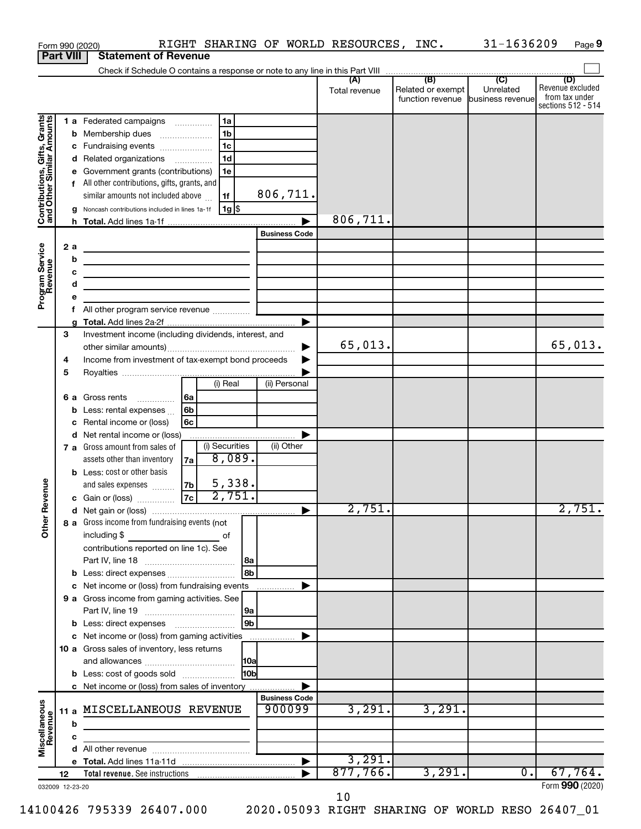| Form 990 (2020)                                           |    |         |                                                                                                                       |                                      |                          |                      | RIGHT SHARING OF WORLD RESOURCES, INC. |                                       | 31-1636209                    | Page 9                                                          |
|-----------------------------------------------------------|----|---------|-----------------------------------------------------------------------------------------------------------------------|--------------------------------------|--------------------------|----------------------|----------------------------------------|---------------------------------------|-------------------------------|-----------------------------------------------------------------|
| <b>Part VIII</b>                                          |    |         | <b>Statement of Revenue</b>                                                                                           |                                      |                          |                      |                                        |                                       |                               |                                                                 |
|                                                           |    |         |                                                                                                                       |                                      |                          |                      |                                        |                                       |                               |                                                                 |
|                                                           |    |         |                                                                                                                       |                                      |                          |                      | Total revenue                          | Related or exempt<br>function revenue | Unrelated<br>business revenue | (D)<br>Revenue excluded<br>from tax under<br>sections 512 - 514 |
|                                                           |    |         | 1 a Federated campaigns                                                                                               |                                      | 1a                       |                      |                                        |                                       |                               |                                                                 |
|                                                           |    |         | <b>b</b> Membership dues                                                                                              | $\ldots \ldots \ldots \ldots \ldots$ | 1 <sub>b</sub>           |                      |                                        |                                       |                               |                                                                 |
|                                                           |    |         | c Fundraising events                                                                                                  |                                      | 1 <sub>c</sub>           |                      |                                        |                                       |                               |                                                                 |
|                                                           |    |         | d Related organizations                                                                                               |                                      | 1 <sub>d</sub>           |                      |                                        |                                       |                               |                                                                 |
|                                                           |    |         | e Government grants (contributions)                                                                                   |                                      | 1e                       |                      |                                        |                                       |                               |                                                                 |
|                                                           |    |         | f All other contributions, gifts, grants, and                                                                         |                                      |                          |                      |                                        |                                       |                               |                                                                 |
|                                                           |    |         | similar amounts not included above                                                                                    |                                      | 1f                       | 806,711.             |                                        |                                       |                               |                                                                 |
| Contributions, Gifts, Grants<br>and Other Similar Amounts |    |         | Noncash contributions included in lines 1a-1f                                                                         |                                      | 1g   \$                  |                      | 806,711.                               |                                       |                               |                                                                 |
|                                                           |    |         |                                                                                                                       |                                      |                          | <b>Business Code</b> |                                        |                                       |                               |                                                                 |
|                                                           |    |         |                                                                                                                       |                                      |                          |                      |                                        |                                       |                               |                                                                 |
|                                                           |    | 2a<br>b | <u> 1989 - Johann Barn, mars ann an t-Amhain Aonaich an t-Aonaich an t-Aonaich ann an t-Aonaich ann an t-Aonaich</u>  |                                      |                          |                      |                                        |                                       |                               |                                                                 |
| Program Service<br>Revenue                                |    | с       | the control of the control of the control of the control of the control of                                            |                                      |                          |                      |                                        |                                       |                               |                                                                 |
|                                                           |    | d       | <u> 1989 - Johann Barn, mars ann an t-Amhain Aonaich an t-Aonaich an t-Aonaich ann an t-Aonaich ann an t-Aonaich</u>  |                                      |                          |                      |                                        |                                       |                               |                                                                 |
|                                                           |    | е       | <u> 1989 - Johann Barbara, martin amerikan basal dan berasal dalam basal dalam basal dalam basal dalam basal dala</u> |                                      |                          |                      |                                        |                                       |                               |                                                                 |
|                                                           |    |         | f All other program service revenue                                                                                   |                                      |                          |                      |                                        |                                       |                               |                                                                 |
|                                                           |    |         |                                                                                                                       |                                      |                          | ▶                    |                                        |                                       |                               |                                                                 |
|                                                           | 3  |         | Investment income (including dividends, interest, and                                                                 |                                      |                          |                      |                                        |                                       |                               |                                                                 |
|                                                           |    |         |                                                                                                                       |                                      |                          |                      | 65,013.                                |                                       |                               | 65,013.                                                         |
|                                                           | 4  |         | Income from investment of tax-exempt bond proceeds                                                                    |                                      |                          |                      |                                        |                                       |                               |                                                                 |
|                                                           | 5  |         |                                                                                                                       |                                      |                          |                      |                                        |                                       |                               |                                                                 |
|                                                           |    |         |                                                                                                                       |                                      | (i) Real                 | (ii) Personal        |                                        |                                       |                               |                                                                 |
|                                                           |    |         | 6 a Gross rents<br>.                                                                                                  | 6a                                   |                          |                      |                                        |                                       |                               |                                                                 |
|                                                           |    | b       | Less: rental expenses                                                                                                 | 6b                                   |                          |                      |                                        |                                       |                               |                                                                 |
|                                                           |    | c       | Rental income or (loss)                                                                                               | 6c                                   |                          |                      |                                        |                                       |                               |                                                                 |
|                                                           |    |         | d Net rental income or (loss)                                                                                         |                                      |                          | ▶                    |                                        |                                       |                               |                                                                 |
|                                                           |    |         | 7 a Gross amount from sales of                                                                                        |                                      | (i) Securities<br>8,089. | (ii) Other           |                                        |                                       |                               |                                                                 |
|                                                           |    |         | assets other than inventory<br><b>b</b> Less: cost or other basis                                                     | 7a                                   |                          |                      |                                        |                                       |                               |                                                                 |
|                                                           |    |         | and sales expenses                                                                                                    | 7b                                   | 5,338.                   |                      |                                        |                                       |                               |                                                                 |
| evenue                                                    |    |         | c Gain or (loss)                                                                                                      | 7c                                   | 2,751.                   |                      |                                        |                                       |                               |                                                                 |
|                                                           |    |         |                                                                                                                       |                                      |                          |                      | 2,751.                                 |                                       |                               | 2,751.                                                          |
| Other F                                                   |    |         | 8 a Gross income from fundraising events (not                                                                         |                                      |                          |                      |                                        |                                       |                               |                                                                 |
|                                                           |    |         | including \$                                                                                                          |                                      | of                       |                      |                                        |                                       |                               |                                                                 |
|                                                           |    |         | contributions reported on line 1c). See                                                                               |                                      |                          |                      |                                        |                                       |                               |                                                                 |
|                                                           |    |         |                                                                                                                       |                                      |                          |                      |                                        |                                       |                               |                                                                 |
|                                                           |    |         | <b>b</b> Less: direct expenses                                                                                        |                                      | 8b                       |                      |                                        |                                       |                               |                                                                 |
|                                                           |    |         | c Net income or (loss) from fundraising events                                                                        |                                      |                          |                      |                                        |                                       |                               |                                                                 |
|                                                           |    |         | 9 a Gross income from gaming activities. See                                                                          |                                      |                          |                      |                                        |                                       |                               |                                                                 |
|                                                           |    |         |                                                                                                                       |                                      |                          |                      |                                        |                                       |                               |                                                                 |
|                                                           |    |         |                                                                                                                       |                                      | 9b                       |                      |                                        |                                       |                               |                                                                 |
|                                                           |    |         | c Net income or (loss) from gaming activities                                                                         |                                      |                          | ▶                    |                                        |                                       |                               |                                                                 |
|                                                           |    |         | 10 a Gross sales of inventory, less returns                                                                           |                                      |                          |                      |                                        |                                       |                               |                                                                 |
|                                                           |    |         |                                                                                                                       |                                      | <b>10b</b>               |                      |                                        |                                       |                               |                                                                 |
|                                                           |    |         | <b>b</b> Less: cost of goods sold                                                                                     |                                      |                          |                      |                                        |                                       |                               |                                                                 |
|                                                           |    |         | c Net income or (loss) from sales of inventory                                                                        |                                      |                          | <b>Business Code</b> |                                        |                                       |                               |                                                                 |
| Miscellaneous<br>Revenue                                  |    |         | 11 a MISCELLANEOUS REVENUE                                                                                            |                                      |                          | 900099               | 3,291.                                 | 3,291.                                |                               |                                                                 |
|                                                           |    | b       |                                                                                                                       |                                      |                          |                      |                                        |                                       |                               |                                                                 |
|                                                           |    | c       |                                                                                                                       |                                      |                          |                      |                                        |                                       |                               |                                                                 |
|                                                           |    |         |                                                                                                                       |                                      |                          |                      |                                        |                                       |                               |                                                                 |
|                                                           |    |         |                                                                                                                       |                                      |                          |                      | 3,291.                                 |                                       |                               |                                                                 |
|                                                           |    |         |                                                                                                                       |                                      |                          |                      | 877,766.                               | 3,291.                                | 0.                            | 67,764.                                                         |
|                                                           | 12 |         |                                                                                                                       |                                      |                          |                      |                                        |                                       |                               | Form 990 (2020)                                                 |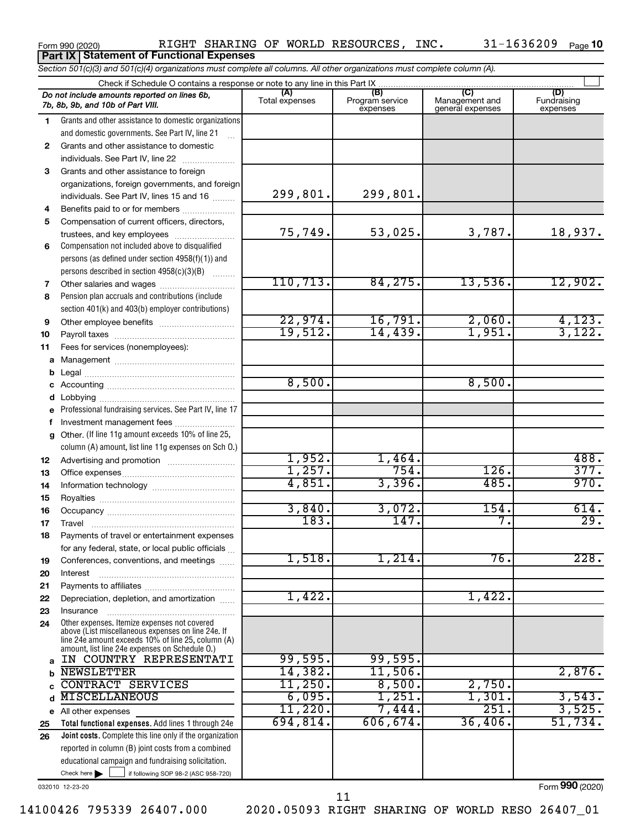Form 990 (2020) RIGHT SHARING OF WORLD RESOURCES , INC. 31-1636209 <sub>Page</sub> **Part IX Statement of Functional Expenses**

31-1636209 <sub>Page</sub> 10

**Total functional expenses.**  Add lines 1 through 24e **Joint costs.** Complete this line only if the organization **(A) (B) (C) (D)** Fundraising **1 2 3** Grants and other assistance to foreign **4 5 6 7 8 9 10 11 a** Management ~~~~~~~~~~~~~~~~ **b c d e f g 12 13 14 15 16 17 18 19 20 21 22 23 24 a b c d** MISCELLANEOUS 6,095. **1,251.** 1,301. 3,543. **e** All other expenses **25 26** *Section 501(c)(3) and 501(c)(4) organizations must complete all columns. All other organizations must complete column (A).* Grants and other assistance to domestic organizations and domestic governments. See Part IV, line 21 Compensation not included above to disqualified persons (as defined under section 4958(f)(1)) and persons described in section  $4958(c)(3)(B)$   $\ldots$ Pension plan accruals and contributions (include section 401(k) and 403(b) employer contributions) Professional fundraising services. See Part IV, line 17 Other. (If line 11g amount exceeds 10% of line 25, column (A) amount, list line 11g expenses on Sch O.) Other expenses. Itemize expenses not covered above (List miscellaneous expenses on line 24e. If line 24e amount exceeds 10% of line 25, column (A) amount, list line 24e expenses on Schedule O.) reported in column (B) joint costs from a combined educational campaign and fundraising solicitation. Check if Schedule O contains a response or note to any line in this Part IX Total expenses Program service expenses Management and general expenses expenses .<br>... Grants and other assistance to domestic  $individuals. See Part IV, line 22$  ........... organizations, foreign governments, and foreign individuals. See Part IV, lines 15 and 16  $\ldots$ Benefits paid to or for members .................... Compensation of current officers, directors, trustees, and key employees ........................ Other salaries and wages ~~~~~~~~~~ Other employee benefits ~~~~~~~~~~ Payroll taxes ~~~~~~~~~~~~~~~~ Fees for services (nonemployees): Legal ~~~~~~~~~~~~~~~~~~~~ Accounting ~~~~~~~~~~~~~~~~~ Lobbying ~~~~~~~~~~~~~~~~~~ Investment management fees ....................... Advertising and promotion .......................... Office expenses ~~~~~~~~~~~~~~~ Information technology ~~~~~~~~~~~ Royalties ~~~~~~~~~~~~~~~~~~ Occupancy ~~~~~~~~~~~~~~~~~ Travel ~~~~~~~~~~~~~~~~~~~ Payments of travel or entertainment expenses for any federal, state, or local public officials ... Conferences, conventions, and meetings Interest ~~~~~~~~~~~~~~~~~~ Payments to affiliates ~~~~~~~~~~~~ Depreciation, depletion, and amortization ...... Insurance ~~~~~~~~~~~~~~~~~ *Do not include amounts reported on lines 6b, 7b, 8b, 9b, and 10b of Part VIII.*  $\Box$ 299,801. 299,801. 75,749. 53,025. 3,787. 18,937. 110,713. 84,275. 13,536. 12,902. 22,974. 16,791. 2,060. 4,123. 19,512. 14,439. 1,951. 3,122. 8,500. 8,500.  $1,952.$   $1,464.$   $488.$  $1,257.$  754.  $126.$  377. 4,851. 3,396. 485. 970.  $3,840.$   $3,072.$   $154.$   $614.$ 183. 147. 7. 29. 1,518. 1,214. 76. 228. 1,422. 1,422. IN COUNTRY REPRESENTATI 99,595. 99,595. NEWSLETTER 14,382. 11,506. 2,876. CONTRACT SERVICES 11,250. 8,500. 2,750. 11,220. 7,444. 251. 3,525. 694,814. 606,674. 36,406. 51,734.

032010 12-23-20

Check here |

Form (2020) **990**

Check here  $\begin{array}{c} \begin{array}{|c} \hline \end{array} \end{array}$  if following SOP 98-2 (ASC 958-720)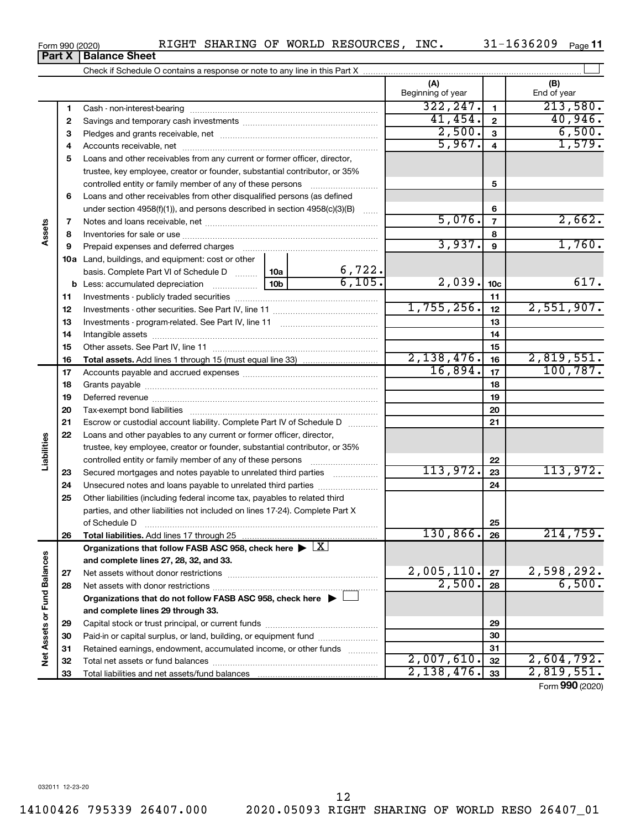14100426 795339 26407.000 2020.05093 RIGHT SHARING OF WORLD RESO 26407\_01 12

Form 990 (2020) RIGHT SHARING OF WORLD RESOURCES , INC. 31-1636209 <sub>Page</sub>

31-1636209 Page 11

|                             | Part X   | <b>Balance Sheet</b>                                                                                                           |                 |                       |                          |                 |                             |
|-----------------------------|----------|--------------------------------------------------------------------------------------------------------------------------------|-----------------|-----------------------|--------------------------|-----------------|-----------------------------|
|                             |          |                                                                                                                                |                 |                       |                          |                 |                             |
|                             |          |                                                                                                                                |                 |                       | (A)<br>Beginning of year |                 | (B)<br>End of year          |
|                             | 1        |                                                                                                                                |                 |                       | 322, 247.                | $\mathbf{1}$    | 213,580.                    |
|                             | 2        |                                                                                                                                |                 |                       | 41,454.                  | $\mathbf{2}$    | 40,946.                     |
|                             | 3        |                                                                                                                                |                 |                       | 2,500.                   | $\mathbf{3}$    | 6,500.                      |
|                             | 4        |                                                                                                                                |                 |                       | 5,967.                   | 4               | 1,579.                      |
|                             | 5        | Loans and other receivables from any current or former officer, director,                                                      |                 |                       |                          |                 |                             |
|                             |          | trustee, key employee, creator or founder, substantial contributor, or 35%                                                     |                 |                       |                          |                 |                             |
|                             |          | controlled entity or family member of any of these persons                                                                     |                 |                       |                          | 5               |                             |
|                             | 6        | Loans and other receivables from other disqualified persons (as defined                                                        |                 |                       |                          |                 |                             |
|                             |          | under section $4958(f)(1)$ , and persons described in section $4958(c)(3)(B)$                                                  |                 | $\ldots$              |                          | 6               |                             |
|                             | 7        |                                                                                                                                |                 |                       | 5,076.                   | $\overline{7}$  | 2,662.                      |
| Assets                      | 8        |                                                                                                                                |                 | 8                     |                          |                 |                             |
|                             | 9        | Prepaid expenses and deferred charges                                                                                          |                 |                       | 3,937.                   | 9               | 1,760.                      |
|                             |          | 10a Land, buildings, and equipment: cost or other                                                                              |                 |                       |                          |                 |                             |
|                             |          | basis. Complete Part VI of Schedule D                                                                                          | 10a l           | $\frac{6,722}{6,105}$ |                          |                 |                             |
|                             |          | <b>b</b> Less: accumulated depreciation                                                                                        | 10 <sub>b</sub> |                       | 2,039.                   | 10 <sub>c</sub> | 617.                        |
|                             | 11       |                                                                                                                                |                 |                       |                          | 11              |                             |
|                             | 12       |                                                                                                                                |                 |                       | 1,755,256.               | 12              | 2,551,907.                  |
|                             | 13       |                                                                                                                                |                 |                       |                          | 13              |                             |
|                             | 14       |                                                                                                                                |                 |                       |                          | 14              |                             |
|                             | 15       |                                                                                                                                |                 |                       |                          | 15              |                             |
|                             | 16       |                                                                                                                                |                 |                       | 2,138,476.               | 16              | 2,819,551.                  |
|                             | 17       |                                                                                                                                |                 |                       | 16,894.                  | 17              | 100, 787.                   |
|                             | 18       |                                                                                                                                |                 | 18                    |                          |                 |                             |
|                             | 19       |                                                                                                                                |                 |                       | 19                       |                 |                             |
|                             | 20       |                                                                                                                                |                 |                       |                          | 20              |                             |
|                             | 21       | Escrow or custodial account liability. Complete Part IV of Schedule D                                                          |                 |                       |                          | 21              |                             |
| Liabilities                 | 22       | Loans and other payables to any current or former officer, director,                                                           |                 |                       |                          |                 |                             |
|                             |          | trustee, key employee, creator or founder, substantial contributor, or 35%                                                     |                 |                       |                          |                 |                             |
|                             |          | controlled entity or family member of any of these persons [                                                                   |                 |                       | 113,972.                 | 22<br>23        | 113,972.                    |
|                             | 23<br>24 | Secured mortgages and notes payable to unrelated third parties<br>Unsecured notes and loans payable to unrelated third parties |                 |                       |                          | 24              |                             |
|                             | 25       | Other liabilities (including federal income tax, payables to related third                                                     |                 |                       |                          |                 |                             |
|                             |          | parties, and other liabilities not included on lines 17-24). Complete Part X                                                   |                 |                       |                          |                 |                             |
|                             |          | of Schedule D                                                                                                                  |                 |                       |                          | 25              |                             |
|                             | 26       | Total liabilities. Add lines 17 through 25                                                                                     |                 |                       | 130,866.                 | 26              | 214,759.                    |
|                             |          | Organizations that follow FASB ASC 958, check here $\blacktriangleright \lfloor \underline{X} \rfloor$                         |                 |                       |                          |                 |                             |
|                             |          | and complete lines 27, 28, 32, and 33.                                                                                         |                 |                       |                          |                 |                             |
|                             | 27       |                                                                                                                                |                 |                       | 2,005,110.               | 27              |                             |
|                             | 28       |                                                                                                                                |                 |                       | 2,500.                   | 28              | $\frac{2,598,292.}{6,500.}$ |
|                             |          | Organizations that do not follow FASB ASC 958, check here $\blacktriangleright$                                                |                 |                       |                          |                 |                             |
|                             |          | and complete lines 29 through 33.                                                                                              |                 |                       |                          |                 |                             |
| Net Assets or Fund Balances | 29       |                                                                                                                                |                 |                       |                          | 29              |                             |
|                             | 30       | Paid-in or capital surplus, or land, building, or equipment fund                                                               |                 |                       |                          | 30              |                             |
|                             | 31       | Retained earnings, endowment, accumulated income, or other funds                                                               |                 |                       |                          | 31              |                             |
|                             | 32       |                                                                                                                                |                 |                       | 2,007,610.               | 32              | 2,604,792.                  |
|                             | 33       |                                                                                                                                |                 |                       | 2,138,476.               | 33              | 2,819,551.                  |
|                             |          |                                                                                                                                |                 |                       |                          |                 | Form 990 (2020)             |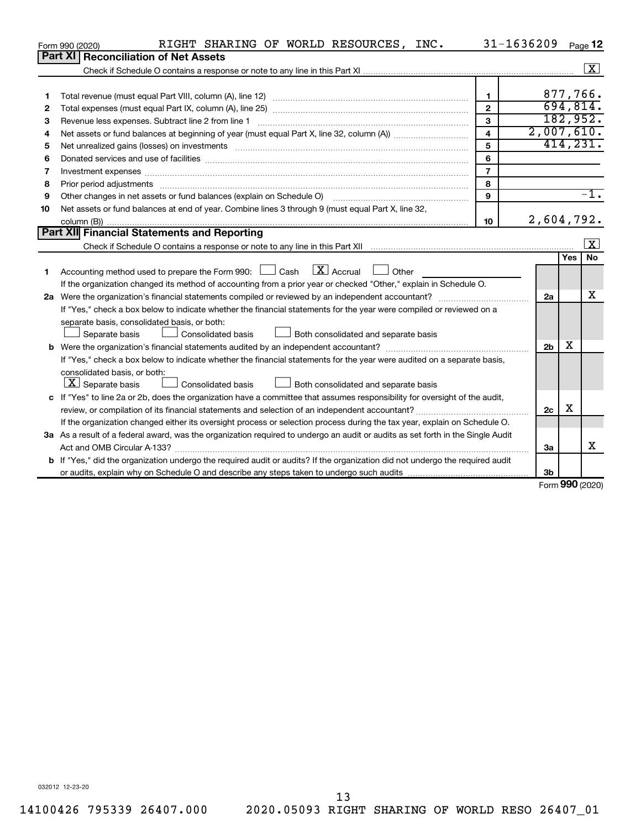|    | RIGHT SHARING OF WORLD RESOURCES, INC.<br>Form 990 (2020)                                                                                                                                                                      | $31 - 1636209$          |                |           | Page 12                 |
|----|--------------------------------------------------------------------------------------------------------------------------------------------------------------------------------------------------------------------------------|-------------------------|----------------|-----------|-------------------------|
|    | <b>Reconciliation of Net Assets</b><br>Part XI                                                                                                                                                                                 |                         |                |           |                         |
|    |                                                                                                                                                                                                                                |                         |                |           | X                       |
|    |                                                                                                                                                                                                                                |                         |                |           |                         |
| 1  |                                                                                                                                                                                                                                | $\mathbf{1}$            |                | 877,766.  |                         |
| 2  |                                                                                                                                                                                                                                | $\mathfrak{p}$          |                | 694,814.  |                         |
| 3  | Revenue less expenses. Subtract line 2 from line 1                                                                                                                                                                             | 3                       |                |           | 182,952.                |
| 4  |                                                                                                                                                                                                                                | $\overline{\mathbf{4}}$ | 2,007,610.     |           |                         |
| 5  | Net unrealized gains (losses) on investments [11] matter in the content of the state of the state of the state of the state of the state of the state of the state of the state of the state of the state of the state of the  | 5                       |                | 414, 231. |                         |
| 6  |                                                                                                                                                                                                                                | 6                       |                |           |                         |
| 7  | Investment expenses [[11] has a series and a series of the series of the series and series and series and series and series and series and series and series and series and series and series and series and series and series | $\overline{7}$          |                |           |                         |
| 8  | Prior period adjustments www.communication.communication.communication.com/                                                                                                                                                    | 8                       |                |           |                         |
| 9  | Other changes in net assets or fund balances (explain on Schedule O) [11] [2000] [2000] [2000] [2000] [2000] [                                                                                                                 | 9                       |                |           | $-1$ .                  |
| 10 | Net assets or fund balances at end of year. Combine lines 3 through 9 (must equal Part X, line 32,                                                                                                                             |                         |                |           |                         |
|    |                                                                                                                                                                                                                                | 10                      | 2,604,792.     |           |                         |
|    | Part XII Financial Statements and Reporting                                                                                                                                                                                    |                         |                |           |                         |
|    |                                                                                                                                                                                                                                |                         |                |           | $\overline{\textbf{X}}$ |
|    |                                                                                                                                                                                                                                |                         |                | Yes       | <b>No</b>               |
| 1  | $\mathbf{X}$ Accrual<br>Accounting method used to prepare the Form 990: $\Box$ Cash<br>Other                                                                                                                                   |                         |                |           |                         |
|    | If the organization changed its method of accounting from a prior year or checked "Other," explain in Schedule O.                                                                                                              |                         |                |           |                         |
|    | 2a Were the organization's financial statements compiled or reviewed by an independent accountant?                                                                                                                             |                         | 2a             |           | X                       |
|    | If "Yes," check a box below to indicate whether the financial statements for the year were compiled or reviewed on a                                                                                                           |                         |                |           |                         |
|    | separate basis, consolidated basis, or both:                                                                                                                                                                                   |                         |                |           |                         |
|    | Consolidated basis<br>Both consolidated and separate basis<br>Separate basis                                                                                                                                                   |                         |                | X         |                         |
|    |                                                                                                                                                                                                                                |                         | 2 <sub>b</sub> |           |                         |
|    | If "Yes," check a box below to indicate whether the financial statements for the year were audited on a separate basis,                                                                                                        |                         |                |           |                         |
|    | consolidated basis, or both:                                                                                                                                                                                                   |                         |                |           |                         |
|    | $\lfloor x \rfloor$ Separate basis<br>Consolidated basis<br>Both consolidated and separate basis                                                                                                                               |                         |                |           |                         |
|    | c If "Yes" to line 2a or 2b, does the organization have a committee that assumes responsibility for oversight of the audit,                                                                                                    |                         |                | х         |                         |
|    | review, or compilation of its financial statements and selection of an independent accountant?                                                                                                                                 |                         | 2c             |           |                         |
|    | If the organization changed either its oversight process or selection process during the tax year, explain on Schedule O.                                                                                                      |                         |                |           |                         |
|    | 3a As a result of a federal award, was the organization required to undergo an audit or audits as set forth in the Single Audit                                                                                                |                         |                |           | x                       |
|    |                                                                                                                                                                                                                                |                         | За             |           |                         |
|    | b If "Yes," did the organization undergo the required audit or audits? If the organization did not undergo the required audit                                                                                                  |                         |                |           |                         |
|    |                                                                                                                                                                                                                                |                         | 3b             |           |                         |

Form (2020) **990**

032012 12-23-20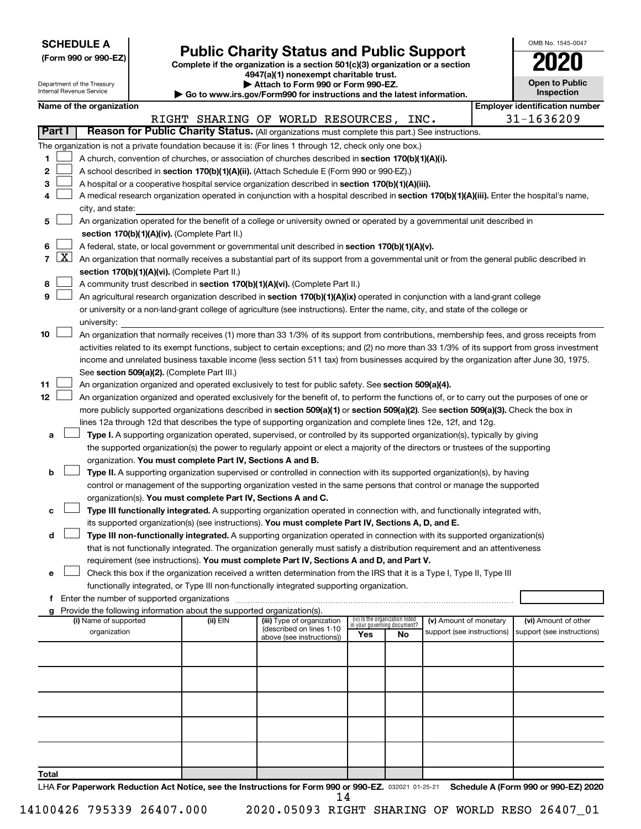**SCHEDULE A**

Department of the Treasury Internal Revenue Service

Form 990 or 990-EZ) **Public Charity Status and Public Support**<br>
Complete if the organization is a section 501(c)(3) organization or a section<br> **2020 4947(a)(1) nonexempt charitable trust.**

**| Attach to Form 990 or Form 990-EZ.** 

**| Go to www.irs.gov/Form990 for instructions and the latest information.**

| OMB No 1545-0047                    |
|-------------------------------------|
| 020                                 |
| <b>Open to Public</b><br>Inspection |
|                                     |

|               |              | Name of the organization                                                                                                                                                                                                                           |          |                                        |     |                                   |                            | <b>Employer identification number</b> |
|---------------|--------------|----------------------------------------------------------------------------------------------------------------------------------------------------------------------------------------------------------------------------------------------------|----------|----------------------------------------|-----|-----------------------------------|----------------------------|---------------------------------------|
|               |              |                                                                                                                                                                                                                                                    |          | RIGHT SHARING OF WORLD RESOURCES, INC. |     |                                   |                            | 31-1636209                            |
| <b>Part I</b> |              | Reason for Public Charity Status. (All organizations must complete this part.) See instructions.                                                                                                                                                   |          |                                        |     |                                   |                            |                                       |
|               |              | The organization is not a private foundation because it is: (For lines 1 through 12, check only one box.)                                                                                                                                          |          |                                        |     |                                   |                            |                                       |
| 1             |              | A church, convention of churches, or association of churches described in <b>section 170(b)(1)(A)(i).</b>                                                                                                                                          |          |                                        |     |                                   |                            |                                       |
| 2             |              | A school described in section 170(b)(1)(A)(ii). (Attach Schedule E (Form 990 or 990-EZ).)                                                                                                                                                          |          |                                        |     |                                   |                            |                                       |
| з             |              | A hospital or a cooperative hospital service organization described in section 170(b)(1)(A)(iii).                                                                                                                                                  |          |                                        |     |                                   |                            |                                       |
| 4             |              | A medical research organization operated in conjunction with a hospital described in section 170(b)(1)(A)(iii). Enter the hospital's name,                                                                                                         |          |                                        |     |                                   |                            |                                       |
|               |              | city, and state:                                                                                                                                                                                                                                   |          |                                        |     |                                   |                            |                                       |
| 5             |              | An organization operated for the benefit of a college or university owned or operated by a governmental unit described in                                                                                                                          |          |                                        |     |                                   |                            |                                       |
|               |              | section 170(b)(1)(A)(iv). (Complete Part II.)                                                                                                                                                                                                      |          |                                        |     |                                   |                            |                                       |
| 6             |              | A federal, state, or local government or governmental unit described in section 170(b)(1)(A)(v).                                                                                                                                                   |          |                                        |     |                                   |                            |                                       |
| 7             | <u>  X  </u> | An organization that normally receives a substantial part of its support from a governmental unit or from the general public described in                                                                                                          |          |                                        |     |                                   |                            |                                       |
|               |              | section 170(b)(1)(A)(vi). (Complete Part II.)                                                                                                                                                                                                      |          |                                        |     |                                   |                            |                                       |
| 8             |              | A community trust described in section 170(b)(1)(A)(vi). (Complete Part II.)                                                                                                                                                                       |          |                                        |     |                                   |                            |                                       |
| 9             |              | An agricultural research organization described in section 170(b)(1)(A)(ix) operated in conjunction with a land-grant college                                                                                                                      |          |                                        |     |                                   |                            |                                       |
|               |              | or university or a non-land-grant college of agriculture (see instructions). Enter the name, city, and state of the college or                                                                                                                     |          |                                        |     |                                   |                            |                                       |
|               |              | university:                                                                                                                                                                                                                                        |          |                                        |     |                                   |                            |                                       |
| 10            |              | An organization that normally receives (1) more than 33 1/3% of its support from contributions, membership fees, and gross receipts from                                                                                                           |          |                                        |     |                                   |                            |                                       |
|               |              | activities related to its exempt functions, subject to certain exceptions; and (2) no more than 33 1/3% of its support from gross investment                                                                                                       |          |                                        |     |                                   |                            |                                       |
|               |              | income and unrelated business taxable income (less section 511 tax) from businesses acquired by the organization after June 30, 1975.                                                                                                              |          |                                        |     |                                   |                            |                                       |
|               |              | See section 509(a)(2). (Complete Part III.)                                                                                                                                                                                                        |          |                                        |     |                                   |                            |                                       |
| 11<br>12      |              | An organization organized and operated exclusively to test for public safety. See section 509(a)(4).<br>An organization organized and operated exclusively for the benefit of, to perform the functions of, or to carry out the purposes of one or |          |                                        |     |                                   |                            |                                       |
|               |              | more publicly supported organizations described in section 509(a)(1) or section 509(a)(2). See section 509(a)(3). Check the box in                                                                                                                 |          |                                        |     |                                   |                            |                                       |
|               |              | lines 12a through 12d that describes the type of supporting organization and complete lines 12e, 12f, and 12g.                                                                                                                                     |          |                                        |     |                                   |                            |                                       |
| а             |              | Type I. A supporting organization operated, supervised, or controlled by its supported organization(s), typically by giving                                                                                                                        |          |                                        |     |                                   |                            |                                       |
|               |              | the supported organization(s) the power to regularly appoint or elect a majority of the directors or trustees of the supporting                                                                                                                    |          |                                        |     |                                   |                            |                                       |
|               |              | organization. You must complete Part IV, Sections A and B.                                                                                                                                                                                         |          |                                        |     |                                   |                            |                                       |
| b             |              | Type II. A supporting organization supervised or controlled in connection with its supported organization(s), by having                                                                                                                            |          |                                        |     |                                   |                            |                                       |
|               |              | control or management of the supporting organization vested in the same persons that control or manage the supported                                                                                                                               |          |                                        |     |                                   |                            |                                       |
|               |              | organization(s). You must complete Part IV, Sections A and C.                                                                                                                                                                                      |          |                                        |     |                                   |                            |                                       |
| с             |              | Type III functionally integrated. A supporting organization operated in connection with, and functionally integrated with,                                                                                                                         |          |                                        |     |                                   |                            |                                       |
|               |              | its supported organization(s) (see instructions). You must complete Part IV, Sections A, D, and E.                                                                                                                                                 |          |                                        |     |                                   |                            |                                       |
| d             |              | Type III non-functionally integrated. A supporting organization operated in connection with its supported organization(s)                                                                                                                          |          |                                        |     |                                   |                            |                                       |
|               |              | that is not functionally integrated. The organization generally must satisfy a distribution requirement and an attentiveness                                                                                                                       |          |                                        |     |                                   |                            |                                       |
|               |              | requirement (see instructions). You must complete Part IV, Sections A and D, and Part V.                                                                                                                                                           |          |                                        |     |                                   |                            |                                       |
| е             |              | Check this box if the organization received a written determination from the IRS that it is a Type I, Type II, Type III                                                                                                                            |          |                                        |     |                                   |                            |                                       |
|               |              | functionally integrated, or Type III non-functionally integrated supporting organization.                                                                                                                                                          |          |                                        |     |                                   |                            |                                       |
| f.            |              |                                                                                                                                                                                                                                                    |          |                                        |     |                                   |                            |                                       |
| g             |              | Provide the following information about the supported organization(s).<br>(i) Name of supported                                                                                                                                                    | (ii) EIN | (iii) Type of organization             |     | (iv) Is the organization listed   | (v) Amount of monetary     | (vi) Amount of other                  |
|               |              | organization                                                                                                                                                                                                                                       |          | (described on lines 1-10               | Yes | in your governing document?<br>No | support (see instructions) | support (see instructions)            |
|               |              |                                                                                                                                                                                                                                                    |          | above (see instructions))              |     |                                   |                            |                                       |
|               |              |                                                                                                                                                                                                                                                    |          |                                        |     |                                   |                            |                                       |
|               |              |                                                                                                                                                                                                                                                    |          |                                        |     |                                   |                            |                                       |
|               |              |                                                                                                                                                                                                                                                    |          |                                        |     |                                   |                            |                                       |
|               |              |                                                                                                                                                                                                                                                    |          |                                        |     |                                   |                            |                                       |
|               |              |                                                                                                                                                                                                                                                    |          |                                        |     |                                   |                            |                                       |
|               |              |                                                                                                                                                                                                                                                    |          |                                        |     |                                   |                            |                                       |
|               |              |                                                                                                                                                                                                                                                    |          |                                        |     |                                   |                            |                                       |
|               |              |                                                                                                                                                                                                                                                    |          |                                        |     |                                   |                            |                                       |
|               |              |                                                                                                                                                                                                                                                    |          |                                        |     |                                   |                            |                                       |
| Total         |              |                                                                                                                                                                                                                                                    |          |                                        |     |                                   |                            |                                       |

LHA For Paperwork Reduction Act Notice, see the Instructions for Form 990 or 990-EZ. 032021 01-25-21 Schedule A (Form 990 or 990-EZ) 2020 14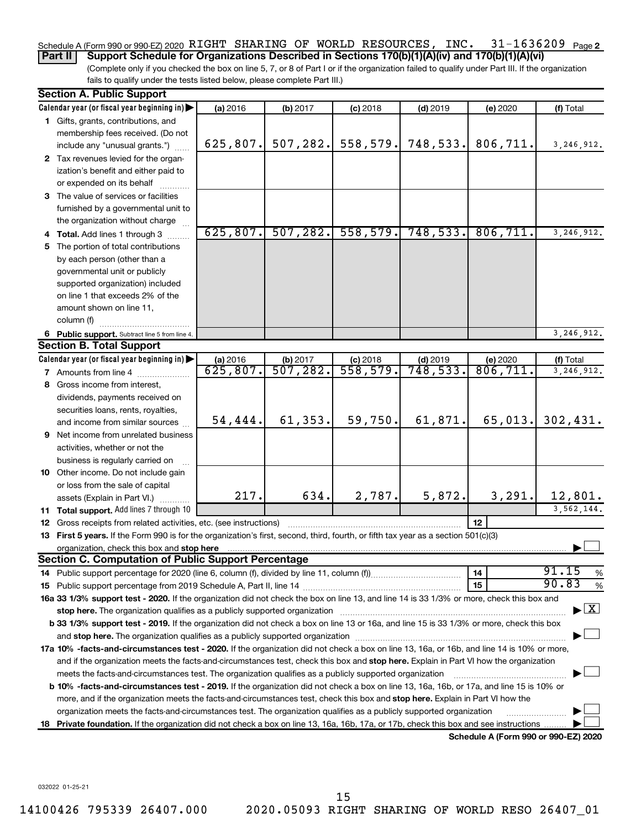#### 31-1636209 Page 2 Schedule A (Form 990 or 990-EZ) 2020  $\,$  RIGHT  $\,$  SHARING  $\,$  OF  $\,$  WORLD  $\,$  RESOURCES ,  $\,$  INC  $\,$   $\,$   $\,$  31-1636209  $\,$   $_{\rm Page}$

(Complete only if you checked the box on line 5, 7, or 8 of Part I or if the organization failed to qualify under Part III. If the organization fails to qualify under the tests listed below, please complete Part III.) **Part II Support Schedule for Organizations Described in Sections 170(b)(1)(A)(iv) and 170(b)(1)(A)(vi)**

|    | <b>Section A. Public Support</b>                                                                                                           |           |                        |                      |                          |                                      |                                    |
|----|--------------------------------------------------------------------------------------------------------------------------------------------|-----------|------------------------|----------------------|--------------------------|--------------------------------------|------------------------------------|
|    | Calendar year (or fiscal year beginning in)                                                                                                | (a) 2016  | (b) 2017               | $(c)$ 2018           | $(d)$ 2019               | (e) 2020                             | (f) Total                          |
|    | 1 Gifts, grants, contributions, and                                                                                                        |           |                        |                      |                          |                                      |                                    |
|    | membership fees received. (Do not                                                                                                          |           |                        |                      |                          |                                      |                                    |
|    | include any "unusual grants.")                                                                                                             | 625,807.  | 507, 282.              | 558, 579.            | 748,533.                 | 806,711.                             | 3, 246, 912.                       |
|    | 2 Tax revenues levied for the organ-                                                                                                       |           |                        |                      |                          |                                      |                                    |
|    | ization's benefit and either paid to                                                                                                       |           |                        |                      |                          |                                      |                                    |
|    | or expended on its behalf                                                                                                                  |           |                        |                      |                          |                                      |                                    |
|    | 3 The value of services or facilities                                                                                                      |           |                        |                      |                          |                                      |                                    |
|    | furnished by a governmental unit to                                                                                                        |           |                        |                      |                          |                                      |                                    |
|    | the organization without charge                                                                                                            |           |                        |                      |                          |                                      |                                    |
|    | 4 Total. Add lines 1 through 3                                                                                                             | 625, 807. | 507, 282.              | 558,579.             | 748, 533.                | 806, 711.                            | 3, 246, 912.                       |
| 5. | The portion of total contributions                                                                                                         |           |                        |                      |                          |                                      |                                    |
|    | by each person (other than a                                                                                                               |           |                        |                      |                          |                                      |                                    |
|    | governmental unit or publicly                                                                                                              |           |                        |                      |                          |                                      |                                    |
|    | supported organization) included                                                                                                           |           |                        |                      |                          |                                      |                                    |
|    | on line 1 that exceeds 2% of the                                                                                                           |           |                        |                      |                          |                                      |                                    |
|    | amount shown on line 11,                                                                                                                   |           |                        |                      |                          |                                      |                                    |
|    | column (f)                                                                                                                                 |           |                        |                      |                          |                                      |                                    |
|    | 6 Public support. Subtract line 5 from line 4.                                                                                             |           |                        |                      |                          |                                      | 3, 246, 912.                       |
|    | <b>Section B. Total Support</b>                                                                                                            |           |                        |                      |                          |                                      |                                    |
|    | Calendar year (or fiscal year beginning in)                                                                                                | (a) 2016  |                        |                      |                          | (e) 2020                             | (f) Total                          |
|    | 7 Amounts from line 4                                                                                                                      | 625,807.  | $\frac{6}{507}$ , 282. | c) 2018<br>558, 579. | (d) $2019$<br>$748, 533$ | 806,711                              | 3,246,912.                         |
|    | 8 Gross income from interest,                                                                                                              |           |                        |                      |                          |                                      |                                    |
|    | dividends, payments received on                                                                                                            |           |                        |                      |                          |                                      |                                    |
|    | securities loans, rents, royalties,                                                                                                        |           |                        |                      |                          |                                      |                                    |
|    | and income from similar sources                                                                                                            | 54,444.   | 61, 353.               | 59,750.              | 61,871.                  | 65,013.                              | 302, 431.                          |
|    | <b>9</b> Net income from unrelated business                                                                                                |           |                        |                      |                          |                                      |                                    |
|    | activities, whether or not the                                                                                                             |           |                        |                      |                          |                                      |                                    |
|    | business is regularly carried on                                                                                                           |           |                        |                      |                          |                                      |                                    |
|    | 10 Other income. Do not include gain                                                                                                       |           |                        |                      |                          |                                      |                                    |
|    | or loss from the sale of capital                                                                                                           |           |                        |                      |                          |                                      |                                    |
|    | assets (Explain in Part VI.)                                                                                                               | 217.      | 634.                   | 2,787.               | 5,872.                   | 3,291.                               | 12,801.                            |
|    | 11 Total support. Add lines 7 through 10                                                                                                   |           |                        |                      |                          |                                      | 3,562,144.                         |
|    | <b>12</b> Gross receipts from related activities, etc. (see instructions)                                                                  |           |                        |                      |                          | 12                                   |                                    |
|    | 13 First 5 years. If the Form 990 is for the organization's first, second, third, fourth, or fifth tax year as a section 501(c)(3)         |           |                        |                      |                          |                                      |                                    |
|    | organization, check this box and stop here                                                                                                 |           |                        |                      |                          |                                      |                                    |
|    | <b>Section C. Computation of Public Support Percentage</b>                                                                                 |           |                        |                      |                          |                                      |                                    |
|    |                                                                                                                                            |           |                        |                      |                          | 14                                   | 91.15<br>%                         |
|    |                                                                                                                                            |           |                        |                      |                          | 15                                   | 90.83<br>%                         |
|    | 16a 33 1/3% support test - 2020. If the organization did not check the box on line 13, and line 14 is 33 1/3% or more, check this box and  |           |                        |                      |                          |                                      |                                    |
|    | stop here. The organization qualifies as a publicly supported organization manufaction manufacture or the organization                     |           |                        |                      |                          |                                      | $\blacktriangleright$ $\mathbf{X}$ |
|    | b 33 1/3% support test - 2019. If the organization did not check a box on line 13 or 16a, and line 15 is 33 1/3% or more, check this box   |           |                        |                      |                          |                                      |                                    |
|    |                                                                                                                                            |           |                        |                      |                          |                                      |                                    |
|    | 17a 10% -facts-and-circumstances test - 2020. If the organization did not check a box on line 13, 16a, or 16b, and line 14 is 10% or more, |           |                        |                      |                          |                                      |                                    |
|    | and if the organization meets the facts-and-circumstances test, check this box and stop here. Explain in Part VI how the organization      |           |                        |                      |                          |                                      |                                    |
|    | meets the facts-and-circumstances test. The organization qualifies as a publicly supported organization                                    |           |                        |                      |                          |                                      |                                    |
|    | b 10% -facts-and-circumstances test - 2019. If the organization did not check a box on line 13, 16a, 16b, or 17a, and line 15 is 10% or    |           |                        |                      |                          |                                      |                                    |
|    | more, and if the organization meets the facts-and-circumstances test, check this box and stop here. Explain in Part VI how the             |           |                        |                      |                          |                                      |                                    |
|    | organization meets the facts-and-circumstances test. The organization qualifies as a publicly supported organization                       |           |                        |                      |                          |                                      |                                    |
| 18 | <b>Private foundation.</b> If the organization did not check a box on line 13, 16a, 16b, 17a, or 17b, check this box and see instructions  |           |                        |                      |                          |                                      |                                    |
|    |                                                                                                                                            |           |                        |                      |                          | Schedule A (Form 990 or 990-F7) 2020 |                                    |

**Schedule A (Form 990 or 990-EZ) 2020**

032022 01-25-21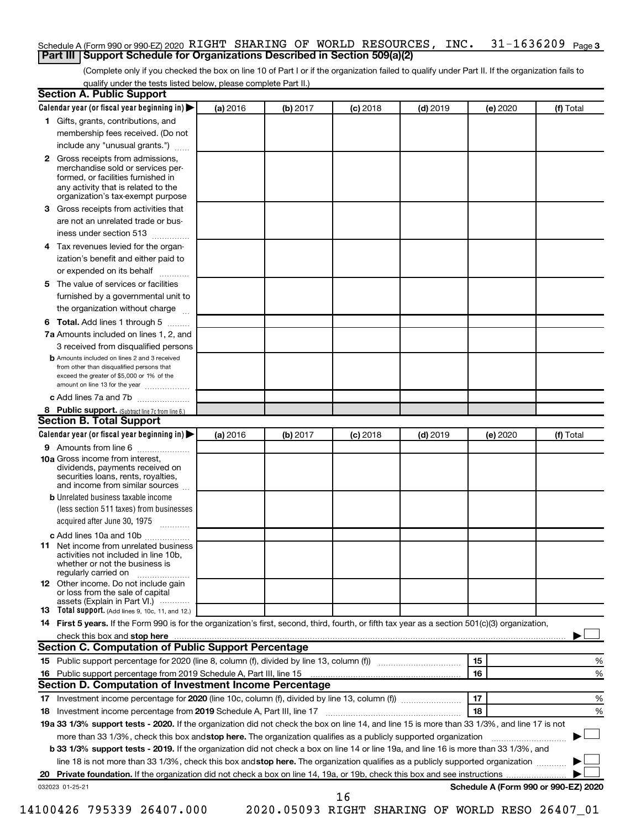#### 31-1636209 Page 3 Schedule A (Form 990 or 990-EZ) 2020  $\,$  RIGHT  $\,$  SHARING  $\,$  OF  $\,$  WORLD  $\,$  RESOURCES ,  $\,$  INC  $\,$   $\,$   $\,$  31-1636209  $\,$   $_{\rm Page}$ **Part III Support Schedule for Organizations Described in Section 509(a)(2)**

(Complete only if you checked the box on line 10 of Part I or if the organization failed to qualify under Part II. If the organization fails to qualify under the tests listed below, please complete Part II.)

| <b>Section A. Public Support</b>                                                                                                                                                 |          |          |            |            |          |                                      |
|----------------------------------------------------------------------------------------------------------------------------------------------------------------------------------|----------|----------|------------|------------|----------|--------------------------------------|
| Calendar year (or fiscal year beginning in)                                                                                                                                      | (a) 2016 | (b) 2017 | $(c)$ 2018 | $(d)$ 2019 | (e) 2020 | (f) Total                            |
| 1 Gifts, grants, contributions, and                                                                                                                                              |          |          |            |            |          |                                      |
| membership fees received. (Do not                                                                                                                                                |          |          |            |            |          |                                      |
| include any "unusual grants.")                                                                                                                                                   |          |          |            |            |          |                                      |
| 2 Gross receipts from admissions,<br>merchandise sold or services per-<br>formed, or facilities furnished in<br>any activity that is related to the                              |          |          |            |            |          |                                      |
| organization's tax-exempt purpose                                                                                                                                                |          |          |            |            |          |                                      |
| <b>3</b> Gross receipts from activities that                                                                                                                                     |          |          |            |            |          |                                      |
| are not an unrelated trade or bus-                                                                                                                                               |          |          |            |            |          |                                      |
| iness under section 513                                                                                                                                                          |          |          |            |            |          |                                      |
| 4 Tax revenues levied for the organ-<br>ization's benefit and either paid to                                                                                                     |          |          |            |            |          |                                      |
| or expended on its behalf                                                                                                                                                        |          |          |            |            |          |                                      |
| 5 The value of services or facilities                                                                                                                                            |          |          |            |            |          |                                      |
| furnished by a governmental unit to                                                                                                                                              |          |          |            |            |          |                                      |
| the organization without charge                                                                                                                                                  |          |          |            |            |          |                                      |
| <b>6 Total.</b> Add lines 1 through 5                                                                                                                                            |          |          |            |            |          |                                      |
| 7a Amounts included on lines 1, 2, and                                                                                                                                           |          |          |            |            |          |                                      |
| 3 received from disqualified persons                                                                                                                                             |          |          |            |            |          |                                      |
| <b>b</b> Amounts included on lines 2 and 3 received<br>from other than disqualified persons that<br>exceed the greater of \$5,000 or 1% of the<br>amount on line 13 for the year |          |          |            |            |          |                                      |
| c Add lines 7a and 7b                                                                                                                                                            |          |          |            |            |          |                                      |
| 8 Public support. (Subtract line 7c from line 6.)                                                                                                                                |          |          |            |            |          |                                      |
| <b>Section B. Total Support</b>                                                                                                                                                  |          |          |            |            |          |                                      |
| Calendar year (or fiscal year beginning in)                                                                                                                                      | (a) 2016 | (b) 2017 | $(c)$ 2018 | $(d)$ 2019 | (e) 2020 | (f) Total                            |
| <b>9</b> Amounts from line 6                                                                                                                                                     |          |          |            |            |          |                                      |
| <b>10a</b> Gross income from interest,<br>dividends, payments received on<br>securities loans, rents, royalties,<br>and income from similar sources                              |          |          |            |            |          |                                      |
| <b>b</b> Unrelated business taxable income                                                                                                                                       |          |          |            |            |          |                                      |
| (less section 511 taxes) from businesses<br>acquired after June 30, 1975                                                                                                         |          |          |            |            |          |                                      |
| c Add lines 10a and 10b                                                                                                                                                          |          |          |            |            |          |                                      |
| <b>11</b> Net income from unrelated business<br>activities not included in line 10b.<br>whether or not the business is<br>regularly carried on                                   |          |          |            |            |          |                                      |
| <b>12</b> Other income. Do not include gain<br>or loss from the sale of capital<br>assets (Explain in Part VI.)                                                                  |          |          |            |            |          |                                      |
| <b>13</b> Total support. (Add lines 9, 10c, 11, and 12.)                                                                                                                         |          |          |            |            |          |                                      |
| 14 First 5 years. If the Form 990 is for the organization's first, second, third, fourth, or fifth tax year as a section 501(c)(3) organization,                                 |          |          |            |            |          |                                      |
| check this box and stop here                                                                                                                                                     |          |          |            |            |          |                                      |
| <b>Section C. Computation of Public Support Percentage</b>                                                                                                                       |          |          |            |            |          |                                      |
| 15 Public support percentage for 2020 (line 8, column (f), divided by line 13, column (f) <i></i>                                                                                |          |          |            |            | 15       | ℅                                    |
| 16 Public support percentage from 2019 Schedule A, Part III, line 15                                                                                                             |          |          |            |            | 16       | %                                    |
| Section D. Computation of Investment Income Percentage                                                                                                                           |          |          |            |            |          |                                      |
|                                                                                                                                                                                  |          |          |            |            | 17       | %                                    |
| 18 Investment income percentage from 2019 Schedule A, Part III, line 17                                                                                                          |          |          |            |            | 18       | %                                    |
| 19a 33 1/3% support tests - 2020. If the organization did not check the box on line 14, and line 15 is more than 33 1/3%, and line 17 is not                                     |          |          |            |            |          |                                      |
| more than 33 1/3%, check this box and stop here. The organization qualifies as a publicly supported organization                                                                 |          |          |            |            |          |                                      |
| b 33 1/3% support tests - 2019. If the organization did not check a box on line 14 or line 19a, and line 16 is more than 33 1/3%, and                                            |          |          |            |            |          |                                      |
| line 18 is not more than 33 1/3%, check this box and stop here. The organization qualifies as a publicly supported organization                                                  |          |          |            |            |          |                                      |
|                                                                                                                                                                                  |          |          |            |            |          |                                      |
|                                                                                                                                                                                  |          |          |            |            |          | Schedule A (Form 990 or 990-EZ) 2020 |
| 032023 01-25-21                                                                                                                                                                  |          |          | 16         |            |          |                                      |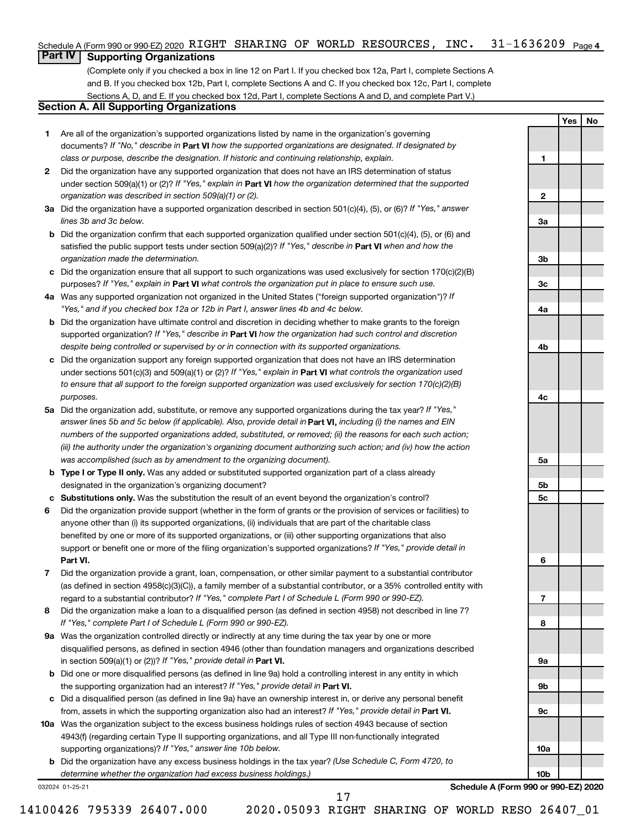31-1636209 Page 4 Schedule A (Form 990 or 990-EZ) 2020  $\,$  RIGHT  $\,$  SHARING  $\,$  OF  $\,$  WORLD  $\,$  RESOURCES ,  $\,$  INC  $\,$   $\,$   $\,$  31-1636209  $\,$   $_{\rm Page}$ 

## **Part IV Supporting Organizations**

(Complete only if you checked a box in line 12 on Part I. If you checked box 12a, Part I, complete Sections A and B. If you checked box 12b, Part I, complete Sections A and C. If you checked box 12c, Part I, complete Sections A, D, and E. If you checked box 12d, Part I, complete Sections A and D, and complete Part V.)

## **Section A. All Supporting Organizations**

- **1** Are all of the organization's supported organizations listed by name in the organization's governing documents? If "No," describe in Part VI how the supported organizations are designated. If designated by *class or purpose, describe the designation. If historic and continuing relationship, explain.*
- **2** Did the organization have any supported organization that does not have an IRS determination of status under section 509(a)(1) or (2)? If "Yes," explain in Part **VI** how the organization determined that the supported *organization was described in section 509(a)(1) or (2).*
- **3a** Did the organization have a supported organization described in section 501(c)(4), (5), or (6)? If "Yes," answer *lines 3b and 3c below.*
- **b** Did the organization confirm that each supported organization qualified under section 501(c)(4), (5), or (6) and satisfied the public support tests under section 509(a)(2)? If "Yes," describe in Part VI when and how the *organization made the determination.*
- **c** Did the organization ensure that all support to such organizations was used exclusively for section 170(c)(2)(B) purposes? If "Yes," explain in Part VI what controls the organization put in place to ensure such use.
- **4 a** *If* Was any supported organization not organized in the United States ("foreign supported organization")? *"Yes," and if you checked box 12a or 12b in Part I, answer lines 4b and 4c below.*
- **b** Did the organization have ultimate control and discretion in deciding whether to make grants to the foreign supported organization? If "Yes," describe in Part VI how the organization had such control and discretion *despite being controlled or supervised by or in connection with its supported organizations.*
- **c** Did the organization support any foreign supported organization that does not have an IRS determination under sections 501(c)(3) and 509(a)(1) or (2)? If "Yes," explain in Part VI what controls the organization used *to ensure that all support to the foreign supported organization was used exclusively for section 170(c)(2)(B) purposes.*
- **5a** Did the organization add, substitute, or remove any supported organizations during the tax year? If "Yes," answer lines 5b and 5c below (if applicable). Also, provide detail in **Part VI,** including (i) the names and EIN *numbers of the supported organizations added, substituted, or removed; (ii) the reasons for each such action; (iii) the authority under the organization's organizing document authorizing such action; and (iv) how the action was accomplished (such as by amendment to the organizing document).*
- **b Type I or Type II only.** Was any added or substituted supported organization part of a class already designated in the organization's organizing document?
- **c Substitutions only.**  Was the substitution the result of an event beyond the organization's control?
- **6** Did the organization provide support (whether in the form of grants or the provision of services or facilities) to **Part VI.** support or benefit one or more of the filing organization's supported organizations? If "Yes," provide detail in anyone other than (i) its supported organizations, (ii) individuals that are part of the charitable class benefited by one or more of its supported organizations, or (iii) other supporting organizations that also
- **7** Did the organization provide a grant, loan, compensation, or other similar payment to a substantial contributor regard to a substantial contributor? If "Yes," complete Part I of Schedule L (Form 990 or 990-EZ). (as defined in section 4958(c)(3)(C)), a family member of a substantial contributor, or a 35% controlled entity with
- **8** Did the organization make a loan to a disqualified person (as defined in section 4958) not described in line 7? *If "Yes," complete Part I of Schedule L (Form 990 or 990-EZ).*
- **9 a** Was the organization controlled directly or indirectly at any time during the tax year by one or more in section 509(a)(1) or (2))? If "Yes," provide detail in **Part VI.** disqualified persons, as defined in section 4946 (other than foundation managers and organizations described
- **b** Did one or more disqualified persons (as defined in line 9a) hold a controlling interest in any entity in which the supporting organization had an interest? If "Yes," provide detail in Part VI.
- **c** Did a disqualified person (as defined in line 9a) have an ownership interest in, or derive any personal benefit from, assets in which the supporting organization also had an interest? If "Yes," provide detail in Part VI.
- **10 a** Was the organization subject to the excess business holdings rules of section 4943 because of section supporting organizations)? If "Yes," answer line 10b below. 4943(f) (regarding certain Type II supporting organizations, and all Type III non-functionally integrated
	- **b** Did the organization have any excess business holdings in the tax year? (Use Schedule C, Form 4720, to *determine whether the organization had excess business holdings.)*

032024 01-25-21

**Schedule A (Form 990 or 990-EZ) 2020**

14100426 795339 26407.000 2020.05093 RIGHT SHARING OF WORLD RESO 26407\_01 17

**Yes No**

**1**

**2**

**3a**

**3b**

**3c**

**4a**

**4b**

**4c**

**5a**

**5b 5c**

**6**

**7**

**8**

**9a**

**9b**

**9c**

**10a**

**10b**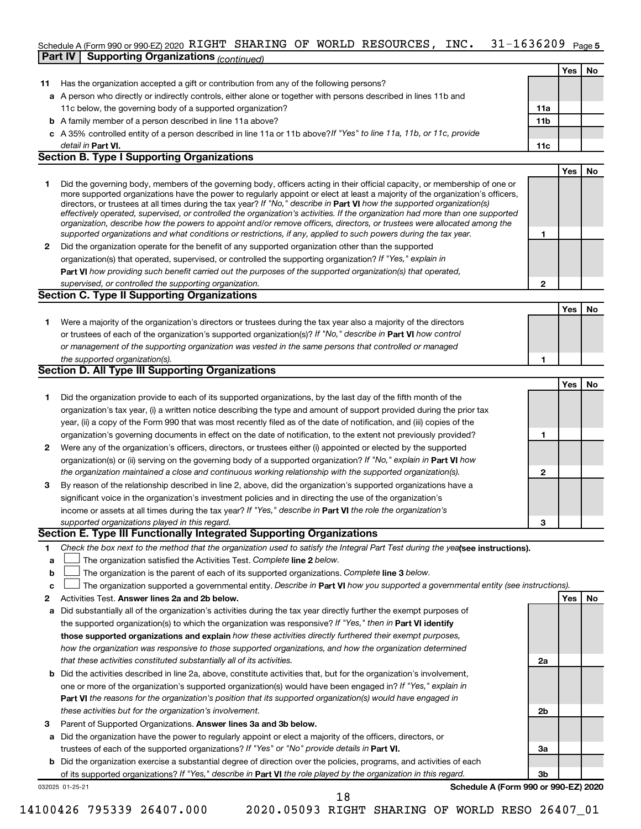### 31-1636209 Page 5 Schedule A (Form 990 or 990-EZ) 2020  $\,$  RIGHT  $\,$  SHARING  $\,$  OF  $\,$  WORLD  $\,$  RESOURCES ,  $\,$  INC  $\,$   $\,$   $\,$  31-1636209  $\,$   $_{\rm Page}$

|    | <b>Part IV   Supporting Organizations (continued)</b>                                                                                                                                                                                                    |                 |     |    |
|----|----------------------------------------------------------------------------------------------------------------------------------------------------------------------------------------------------------------------------------------------------------|-----------------|-----|----|
|    |                                                                                                                                                                                                                                                          |                 | Yes | No |
| 11 | Has the organization accepted a gift or contribution from any of the following persons?                                                                                                                                                                  |                 |     |    |
|    | a A person who directly or indirectly controls, either alone or together with persons described in lines 11b and                                                                                                                                         |                 |     |    |
|    | 11c below, the governing body of a supported organization?                                                                                                                                                                                               | 11a             |     |    |
|    | <b>b</b> A family member of a person described in line 11a above?                                                                                                                                                                                        | 11 <sub>b</sub> |     |    |
|    | c A 35% controlled entity of a person described in line 11a or 11b above?If "Yes" to line 11a, 11b, or 11c, provide                                                                                                                                      |                 |     |    |
|    | detail in Part VI.                                                                                                                                                                                                                                       | 11c             |     |    |
|    | <b>Section B. Type I Supporting Organizations</b>                                                                                                                                                                                                        |                 |     |    |
|    |                                                                                                                                                                                                                                                          |                 | Yes | No |
| 1  | Did the governing body, members of the governing body, officers acting in their official capacity, or membership of one or                                                                                                                               |                 |     |    |
|    | more supported organizations have the power to regularly appoint or elect at least a majority of the organization's officers,<br>directors, or trustees at all times during the tax year? If "No," describe in Part VI how the supported organization(s) |                 |     |    |
|    | effectively operated, supervised, or controlled the organization's activities. If the organization had more than one supported                                                                                                                           |                 |     |    |
|    | organization, describe how the powers to appoint and/or remove officers, directors, or trustees were allocated among the                                                                                                                                 |                 |     |    |
|    | supported organizations and what conditions or restrictions, if any, applied to such powers during the tax year.                                                                                                                                         | 1               |     |    |
| 2  | Did the organization operate for the benefit of any supported organization other than the supported                                                                                                                                                      |                 |     |    |
|    | organization(s) that operated, supervised, or controlled the supporting organization? If "Yes," explain in                                                                                                                                               |                 |     |    |
|    | Part VI how providing such benefit carried out the purposes of the supported organization(s) that operated,                                                                                                                                              |                 |     |    |
|    | supervised, or controlled the supporting organization.                                                                                                                                                                                                   | $\mathbf{2}$    |     |    |
|    | <b>Section C. Type II Supporting Organizations</b>                                                                                                                                                                                                       |                 |     |    |
|    |                                                                                                                                                                                                                                                          |                 | Yes | No |
| 1. | Were a majority of the organization's directors or trustees during the tax year also a majority of the directors                                                                                                                                         |                 |     |    |
|    | or trustees of each of the organization's supported organization(s)? If "No," describe in <b>Part VI</b> how control                                                                                                                                     |                 |     |    |
|    | or management of the supporting organization was vested in the same persons that controlled or managed                                                                                                                                                   |                 |     |    |
|    | the supported organization(s).                                                                                                                                                                                                                           | 1               |     |    |
|    | Section D. All Type III Supporting Organizations                                                                                                                                                                                                         |                 |     |    |
|    |                                                                                                                                                                                                                                                          |                 | Yes | No |
| 1  | Did the organization provide to each of its supported organizations, by the last day of the fifth month of the                                                                                                                                           |                 |     |    |
|    | organization's tax year, (i) a written notice describing the type and amount of support provided during the prior tax                                                                                                                                    |                 |     |    |
|    | year, (ii) a copy of the Form 990 that was most recently filed as of the date of notification, and (iii) copies of the<br>organization's governing documents in effect on the date of notification, to the extent not previously provided?               | 1               |     |    |
| 2  | Were any of the organization's officers, directors, or trustees either (i) appointed or elected by the supported                                                                                                                                         |                 |     |    |
|    | organization(s) or (ii) serving on the governing body of a supported organization? If "No," explain in Part VI how                                                                                                                                       |                 |     |    |
|    | the organization maintained a close and continuous working relationship with the supported organization(s).                                                                                                                                              | 2               |     |    |
| 3  | By reason of the relationship described in line 2, above, did the organization's supported organizations have a                                                                                                                                          |                 |     |    |
|    | significant voice in the organization's investment policies and in directing the use of the organization's                                                                                                                                               |                 |     |    |
|    | income or assets at all times during the tax year? If "Yes," describe in Part VI the role the organization's                                                                                                                                             |                 |     |    |
|    | supported organizations played in this regard.                                                                                                                                                                                                           |                 |     |    |
|    | Section E. Type III Functionally Integrated Supporting Organizations                                                                                                                                                                                     |                 |     |    |
| 1. | Check the box next to the method that the organization used to satisfy the Integral Part Test during the yealsee instructions).                                                                                                                          |                 |     |    |
| a  | The organization satisfied the Activities Test. Complete line 2 below.                                                                                                                                                                                   |                 |     |    |
| b  | The organization is the parent of each of its supported organizations. Complete line 3 below.                                                                                                                                                            |                 |     |    |
| c  | The organization supported a governmental entity. Describe in Part VI how you supported a governmental entity (see instructions).                                                                                                                        |                 |     |    |
| 2  | Activities Test. Answer lines 2a and 2b below.                                                                                                                                                                                                           |                 | Yes | No |
| a  | Did substantially all of the organization's activities during the tax year directly further the exempt purposes of                                                                                                                                       |                 |     |    |
|    | the supported organization(s) to which the organization was responsive? If "Yes," then in Part VI identify                                                                                                                                               |                 |     |    |
|    | those supported organizations and explain how these activities directly furthered their exempt purposes,                                                                                                                                                 |                 |     |    |
|    | how the organization was responsive to those supported organizations, and how the organization determined                                                                                                                                                |                 |     |    |
|    | that these activities constituted substantially all of its activities.                                                                                                                                                                                   | 2a              |     |    |
| b  | Did the activities described in line 2a, above, constitute activities that, but for the organization's involvement,                                                                                                                                      |                 |     |    |
|    | one or more of the organization's supported organization(s) would have been engaged in? If "Yes," explain in                                                                                                                                             |                 |     |    |
|    | Part VI the reasons for the organization's position that its supported organization(s) would have engaged in                                                                                                                                             |                 |     |    |
|    | these activities but for the organization's involvement.                                                                                                                                                                                                 | 2b              |     |    |

**3** Parent of Supported Organizations. Answer lines 3a and 3b below.

032025 01-25-21

- **a** Did the organization have the power to regularly appoint or elect a majority of the officers, directors, or trustees of each of the supported organizations? If "Yes" or "No" provide details in Part VI.
- **b** Did the organization exercise a substantial degree of direction over the policies, programs, and activities of each of its supported organizations? If "Yes," describe in Part VI the role played by the organization in this regard.

**Schedule A (Form 990 or 990-EZ) 2020**

**3a**

**3b**

14100426 795339 26407.000 2020.05093 RIGHT SHARING OF WORLD RESO 26407\_01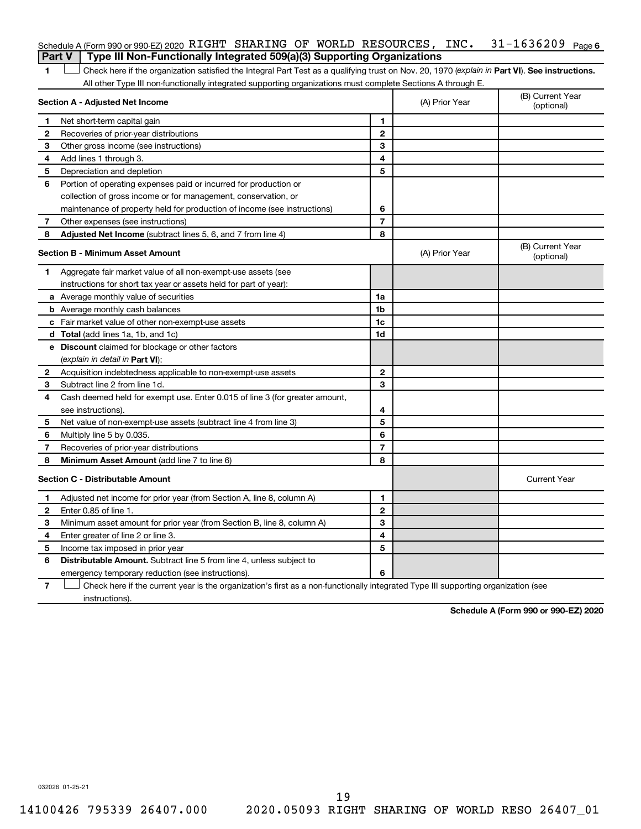#### 31-1636209 Page 6 Schedule A (Form 990 or 990-EZ) 2020  $\,$  RIGHT  $\,$  SHARING  $\,$  OF  $\,$  WORLD  $\,$  RESOURCES ,  $\,$  INC  $\,$   $\,$   $\,$  31-1636209  $\,$   $_{\rm Page}$ **Part V Type III Non-Functionally Integrated 509(a)(3) Supporting Organizations**

1 **Letter See instructions.** Check here if the organization satisfied the Integral Part Test as a qualifying trust on Nov. 20, 1970 (*explain in* Part **VI**). See instructions. All other Type III non-functionally integrated supporting organizations must complete Sections A through E.

|   | Section A - Adjusted Net Income                                             |                | (A) Prior Year | (B) Current Year<br>(optional) |
|---|-----------------------------------------------------------------------------|----------------|----------------|--------------------------------|
| 1 | Net short-term capital gain                                                 | 1              |                |                                |
| 2 | Recoveries of prior-year distributions                                      | $\mathbf{2}$   |                |                                |
| 3 | Other gross income (see instructions)                                       | 3              |                |                                |
| 4 | Add lines 1 through 3.                                                      | 4              |                |                                |
| 5 | Depreciation and depletion                                                  | 5              |                |                                |
| 6 | Portion of operating expenses paid or incurred for production or            |                |                |                                |
|   | collection of gross income or for management, conservation, or              |                |                |                                |
|   | maintenance of property held for production of income (see instructions)    | 6              |                |                                |
| 7 | Other expenses (see instructions)                                           | $\overline{7}$ |                |                                |
| 8 | Adjusted Net Income (subtract lines 5, 6, and 7 from line 4)                | 8              |                |                                |
|   | <b>Section B - Minimum Asset Amount</b>                                     |                | (A) Prior Year | (B) Current Year<br>(optional) |
| 1 | Aggregate fair market value of all non-exempt-use assets (see               |                |                |                                |
|   | instructions for short tax year or assets held for part of year):           |                |                |                                |
|   | a Average monthly value of securities                                       | 1a             |                |                                |
|   | <b>b</b> Average monthly cash balances                                      | 1 <sub>b</sub> |                |                                |
|   | c Fair market value of other non-exempt-use assets                          | 1c             |                |                                |
|   | d Total (add lines 1a, 1b, and 1c)                                          | 1d             |                |                                |
|   | <b>e</b> Discount claimed for blockage or other factors                     |                |                |                                |
|   | (explain in detail in Part VI):                                             |                |                |                                |
| 2 | Acquisition indebtedness applicable to non-exempt-use assets                | $\mathbf{2}$   |                |                                |
| 3 | Subtract line 2 from line 1d.                                               | 3              |                |                                |
| 4 | Cash deemed held for exempt use. Enter 0.015 of line 3 (for greater amount, |                |                |                                |
|   | see instructions).                                                          | 4              |                |                                |
| 5 | Net value of non-exempt-use assets (subtract line 4 from line 3)            | 5              |                |                                |
| 6 | Multiply line 5 by 0.035.                                                   | 6              |                |                                |
| 7 | Recoveries of prior-year distributions                                      | 7              |                |                                |
| 8 | <b>Minimum Asset Amount (add line 7 to line 6)</b>                          | 8              |                |                                |
|   | <b>Section C - Distributable Amount</b>                                     |                |                | <b>Current Year</b>            |
| 1 | Adjusted net income for prior year (from Section A, line 8, column A)       | 1              |                |                                |
| 2 | Enter 0.85 of line 1.                                                       | $\mathbf{2}$   |                |                                |
| 3 | Minimum asset amount for prior year (from Section B, line 8, column A)      | 3              |                |                                |
| 4 | Enter greater of line 2 or line 3.                                          | 4              |                |                                |
| 5 | Income tax imposed in prior year                                            | 5              |                |                                |
| 6 | <b>Distributable Amount.</b> Subtract line 5 from line 4, unless subject to |                |                |                                |
|   | emergency temporary reduction (see instructions).                           | 6              |                |                                |
|   |                                                                             |                |                |                                |

**7** Check here if the current year is the organization's first as a non-functionally integrated Type III supporting organization (see † instructions).

**Schedule A (Form 990 or 990-EZ) 2020**

032026 01-25-21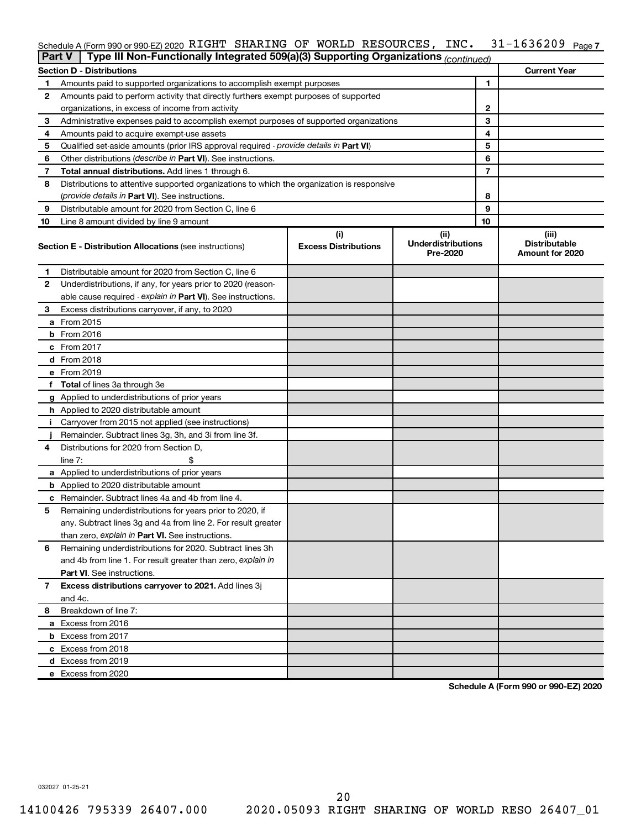#### 31-1636209 Page 7 Schedule A (Form 990 or 990-EZ) 2020  $\,$  RIGHT  $\,$  SHARING  $\,$  OF  $\,$  WORLD  $\,$  RESOURCES ,  $\,$  INC  $\,$   $\,$   $\,$  31-1636209  $\,$   $_{\rm Page}$

| <b>Part V</b> | Type III Non-Functionally Integrated 509(a)(3) Supporting Organizations (continued)        |                             |                                       |              |                                         |
|---------------|--------------------------------------------------------------------------------------------|-----------------------------|---------------------------------------|--------------|-----------------------------------------|
|               | <b>Section D - Distributions</b>                                                           |                             |                                       |              | <b>Current Year</b>                     |
| 1             | Amounts paid to supported organizations to accomplish exempt purposes                      |                             |                                       | 1            |                                         |
| 2             | Amounts paid to perform activity that directly furthers exempt purposes of supported       |                             |                                       |              |                                         |
|               | organizations, in excess of income from activity                                           |                             |                                       | $\mathbf{2}$ |                                         |
| 3             | Administrative expenses paid to accomplish exempt purposes of supported organizations      |                             |                                       | 3            |                                         |
| 4             | Amounts paid to acquire exempt-use assets                                                  |                             |                                       | 4            |                                         |
| 5             | Qualified set-aside amounts (prior IRS approval required - provide details in Part VI)     |                             |                                       | 5            |                                         |
| 6             | Other distributions ( <i>describe in Part VI</i> ). See instructions.                      |                             |                                       | 6            |                                         |
| 7             | Total annual distributions. Add lines 1 through 6.                                         |                             |                                       | 7            |                                         |
| 8             | Distributions to attentive supported organizations to which the organization is responsive |                             |                                       |              |                                         |
|               | ( <i>provide details in Part VI</i> ). See instructions.                                   |                             |                                       | 8            |                                         |
| 9             | Distributable amount for 2020 from Section C, line 6                                       |                             |                                       | 9            |                                         |
| 10            | Line 8 amount divided by line 9 amount                                                     |                             |                                       | 10           |                                         |
|               |                                                                                            | (i)                         | (ii)                                  |              | (iii)                                   |
|               | <b>Section E - Distribution Allocations (see instructions)</b>                             | <b>Excess Distributions</b> | <b>Underdistributions</b><br>Pre-2020 |              | <b>Distributable</b><br>Amount for 2020 |
| 1             | Distributable amount for 2020 from Section C, line 6                                       |                             |                                       |              |                                         |
| 2             | Underdistributions, if any, for years prior to 2020 (reason-                               |                             |                                       |              |                                         |
|               | able cause required - explain in Part VI). See instructions.                               |                             |                                       |              |                                         |
| З             | Excess distributions carryover, if any, to 2020                                            |                             |                                       |              |                                         |
|               | a From 2015                                                                                |                             |                                       |              |                                         |
|               | <b>b</b> From 2016                                                                         |                             |                                       |              |                                         |
|               | c From 2017                                                                                |                             |                                       |              |                                         |
|               | <b>d</b> From 2018                                                                         |                             |                                       |              |                                         |
|               | e From 2019                                                                                |                             |                                       |              |                                         |
|               | f Total of lines 3a through 3e                                                             |                             |                                       |              |                                         |
|               | g Applied to underdistributions of prior years                                             |                             |                                       |              |                                         |
|               | <b>h</b> Applied to 2020 distributable amount                                              |                             |                                       |              |                                         |
| Ť.            | Carryover from 2015 not applied (see instructions)                                         |                             |                                       |              |                                         |
|               | Remainder. Subtract lines 3g, 3h, and 3i from line 3f.                                     |                             |                                       |              |                                         |
| 4             | Distributions for 2020 from Section D,                                                     |                             |                                       |              |                                         |
|               | line $7:$                                                                                  |                             |                                       |              |                                         |
|               | a Applied to underdistributions of prior years                                             |                             |                                       |              |                                         |
|               | <b>b</b> Applied to 2020 distributable amount                                              |                             |                                       |              |                                         |
|               | c Remainder. Subtract lines 4a and 4b from line 4.                                         |                             |                                       |              |                                         |
| 5             | Remaining underdistributions for years prior to 2020, if                                   |                             |                                       |              |                                         |
|               | any. Subtract lines 3g and 4a from line 2. For result greater                              |                             |                                       |              |                                         |
|               | than zero, explain in Part VI. See instructions.                                           |                             |                                       |              |                                         |
| 6             | Remaining underdistributions for 2020. Subtract lines 3h                                   |                             |                                       |              |                                         |
|               | and 4b from line 1. For result greater than zero, explain in                               |                             |                                       |              |                                         |
|               | <b>Part VI.</b> See instructions.                                                          |                             |                                       |              |                                         |
| 7             | Excess distributions carryover to 2021. Add lines 3j                                       |                             |                                       |              |                                         |
|               | and 4c.                                                                                    |                             |                                       |              |                                         |
| 8             | Breakdown of line 7:                                                                       |                             |                                       |              |                                         |
|               | a Excess from 2016                                                                         |                             |                                       |              |                                         |
|               | <b>b</b> Excess from 2017                                                                  |                             |                                       |              |                                         |
|               | c Excess from 2018                                                                         |                             |                                       |              |                                         |
|               | d Excess from 2019                                                                         |                             |                                       |              |                                         |
|               | e Excess from 2020                                                                         |                             |                                       |              |                                         |
|               |                                                                                            |                             |                                       |              |                                         |

**Schedule A (Form 990 or 990-EZ) 2020**

032027 01-25-21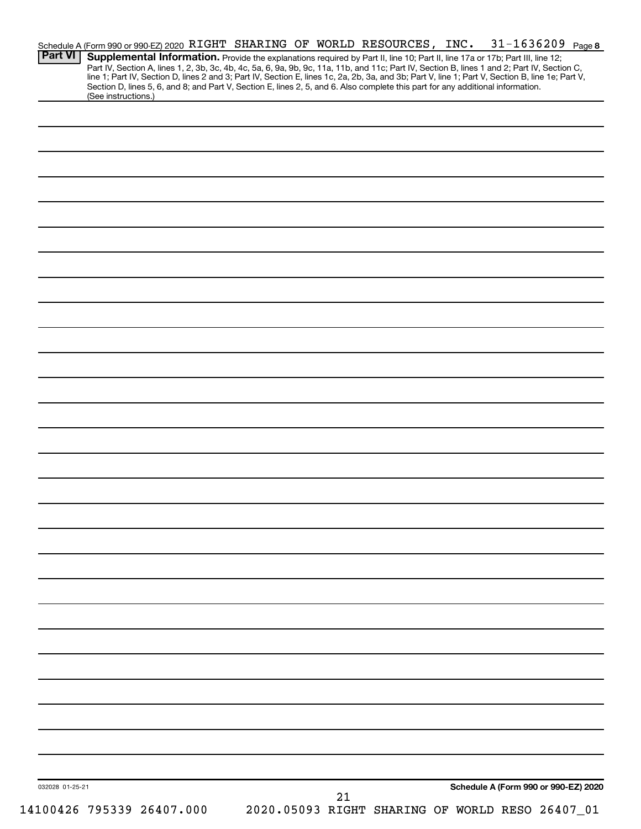| <b>Part VI</b>  |                           | Schedule A (Form 990 or 990-EZ) 2020 RIGHT SHARING OF WORLD RESOURCES, INC.<br>Supplemental Information. Provide the explanations required by Part II, line 10; Part II, line 17a or 17b; Part III, line 12;<br>Section D, lines 5, 6, and 8; and Part V, Section E, lines 2, 5, and 6. Also complete this part for any additional information. |    |  | $31 - 1636209$ Page 8<br>Part IV, Section A, lines 1, 2, 3b, 3c, 4b, 4c, 5a, 6, 9a, 9b, 9c, 11a, 11b, and 11c; Part IV, Section B, lines 1 and 2; Part IV, Section C,<br>line 1; Part IV, Section D, lines 2 and 3; Part IV, Section E, lines 1c, 2a, 2b, |  |
|-----------------|---------------------------|-------------------------------------------------------------------------------------------------------------------------------------------------------------------------------------------------------------------------------------------------------------------------------------------------------------------------------------------------|----|--|-----------------------------------------------------------------------------------------------------------------------------------------------------------------------------------------------------------------------------------------------------------|--|
|                 | (See instructions.)       |                                                                                                                                                                                                                                                                                                                                                 |    |  |                                                                                                                                                                                                                                                           |  |
|                 |                           |                                                                                                                                                                                                                                                                                                                                                 |    |  |                                                                                                                                                                                                                                                           |  |
|                 |                           |                                                                                                                                                                                                                                                                                                                                                 |    |  |                                                                                                                                                                                                                                                           |  |
|                 |                           |                                                                                                                                                                                                                                                                                                                                                 |    |  |                                                                                                                                                                                                                                                           |  |
|                 |                           |                                                                                                                                                                                                                                                                                                                                                 |    |  |                                                                                                                                                                                                                                                           |  |
|                 |                           |                                                                                                                                                                                                                                                                                                                                                 |    |  |                                                                                                                                                                                                                                                           |  |
|                 |                           |                                                                                                                                                                                                                                                                                                                                                 |    |  |                                                                                                                                                                                                                                                           |  |
|                 |                           |                                                                                                                                                                                                                                                                                                                                                 |    |  |                                                                                                                                                                                                                                                           |  |
|                 |                           |                                                                                                                                                                                                                                                                                                                                                 |    |  |                                                                                                                                                                                                                                                           |  |
|                 |                           |                                                                                                                                                                                                                                                                                                                                                 |    |  |                                                                                                                                                                                                                                                           |  |
|                 |                           |                                                                                                                                                                                                                                                                                                                                                 |    |  |                                                                                                                                                                                                                                                           |  |
|                 |                           |                                                                                                                                                                                                                                                                                                                                                 |    |  |                                                                                                                                                                                                                                                           |  |
|                 |                           |                                                                                                                                                                                                                                                                                                                                                 |    |  |                                                                                                                                                                                                                                                           |  |
|                 |                           |                                                                                                                                                                                                                                                                                                                                                 |    |  |                                                                                                                                                                                                                                                           |  |
|                 |                           |                                                                                                                                                                                                                                                                                                                                                 |    |  |                                                                                                                                                                                                                                                           |  |
|                 |                           |                                                                                                                                                                                                                                                                                                                                                 |    |  |                                                                                                                                                                                                                                                           |  |
|                 |                           |                                                                                                                                                                                                                                                                                                                                                 |    |  |                                                                                                                                                                                                                                                           |  |
|                 |                           |                                                                                                                                                                                                                                                                                                                                                 |    |  |                                                                                                                                                                                                                                                           |  |
|                 |                           |                                                                                                                                                                                                                                                                                                                                                 |    |  |                                                                                                                                                                                                                                                           |  |
|                 |                           |                                                                                                                                                                                                                                                                                                                                                 |    |  |                                                                                                                                                                                                                                                           |  |
|                 |                           |                                                                                                                                                                                                                                                                                                                                                 |    |  |                                                                                                                                                                                                                                                           |  |
|                 |                           |                                                                                                                                                                                                                                                                                                                                                 |    |  |                                                                                                                                                                                                                                                           |  |
|                 |                           |                                                                                                                                                                                                                                                                                                                                                 |    |  |                                                                                                                                                                                                                                                           |  |
|                 |                           |                                                                                                                                                                                                                                                                                                                                                 |    |  |                                                                                                                                                                                                                                                           |  |
|                 |                           |                                                                                                                                                                                                                                                                                                                                                 |    |  |                                                                                                                                                                                                                                                           |  |
|                 |                           |                                                                                                                                                                                                                                                                                                                                                 |    |  |                                                                                                                                                                                                                                                           |  |
|                 |                           |                                                                                                                                                                                                                                                                                                                                                 |    |  |                                                                                                                                                                                                                                                           |  |
|                 |                           |                                                                                                                                                                                                                                                                                                                                                 |    |  |                                                                                                                                                                                                                                                           |  |
|                 |                           |                                                                                                                                                                                                                                                                                                                                                 |    |  |                                                                                                                                                                                                                                                           |  |
|                 |                           |                                                                                                                                                                                                                                                                                                                                                 |    |  |                                                                                                                                                                                                                                                           |  |
|                 |                           |                                                                                                                                                                                                                                                                                                                                                 |    |  |                                                                                                                                                                                                                                                           |  |
|                 |                           |                                                                                                                                                                                                                                                                                                                                                 |    |  |                                                                                                                                                                                                                                                           |  |
|                 |                           |                                                                                                                                                                                                                                                                                                                                                 |    |  |                                                                                                                                                                                                                                                           |  |
|                 |                           |                                                                                                                                                                                                                                                                                                                                                 |    |  |                                                                                                                                                                                                                                                           |  |
|                 |                           |                                                                                                                                                                                                                                                                                                                                                 |    |  |                                                                                                                                                                                                                                                           |  |
|                 |                           |                                                                                                                                                                                                                                                                                                                                                 |    |  |                                                                                                                                                                                                                                                           |  |
| 032028 01-25-21 |                           |                                                                                                                                                                                                                                                                                                                                                 | 21 |  | Schedule A (Form 990 or 990-EZ) 2020                                                                                                                                                                                                                      |  |
|                 | 14100426 795339 26407.000 |                                                                                                                                                                                                                                                                                                                                                 |    |  | 2020.05093 RIGHT SHARING OF WORLD RESO 26407_01                                                                                                                                                                                                           |  |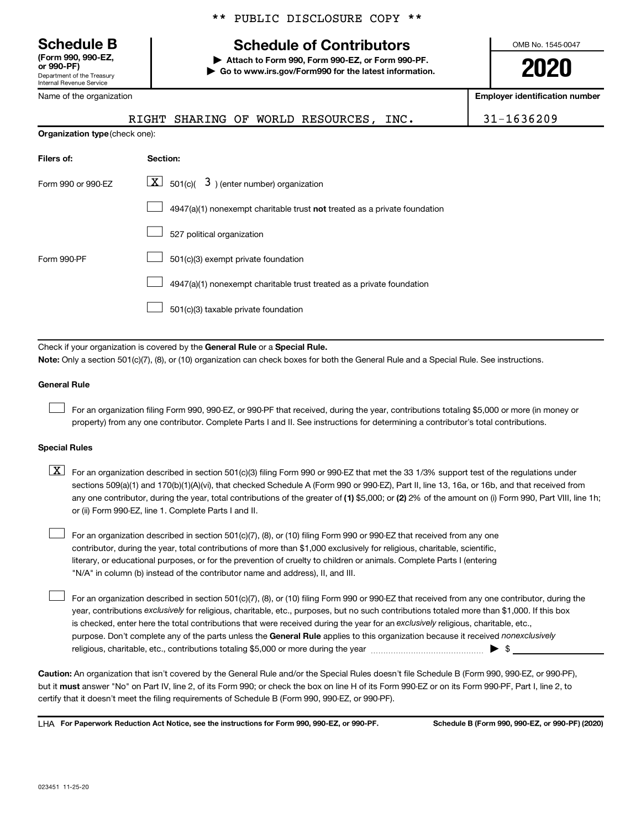**(Form 990, 990-EZ,**

Department of the Treasury Internal Revenue Service

Name of the organization

## **Schedule B Schedule of Contributors**

**or 990-PF) | Attach to Form 990, Form 990-EZ, or Form 990-PF. | Go to www.irs.gov/Form990 for the latest information.** OMB No. 1545-0047

**2020**

**Employer identification number**

|                                | SHARING OF WORLD RESOURCES, INC.<br>RIGHT                                    | $31 - 1636209$ |
|--------------------------------|------------------------------------------------------------------------------|----------------|
| Organization type (check one): |                                                                              |                |
| Filers of:                     | Section:                                                                     |                |
| Form 990 or 990-EZ             | $\boxed{\textbf{X}}$ 501(c)( 3) (enter number) organization                  |                |
|                                | 4947(a)(1) nonexempt charitable trust not treated as a private foundation    |                |
|                                | 527 political organization                                                   |                |
| Form 990-PF                    | 501(c)(3) exempt private foundation                                          |                |
|                                | 4947(a)(1) nonexempt charitable trust treated as a private foundation        |                |
|                                | 501(c)(3) taxable private foundation                                         |                |
|                                |                                                                              |                |
|                                | Check if your organization is covered by the General Rule or a Special Rule. |                |

**Note:**  Only a section 501(c)(7), (8), or (10) organization can check boxes for both the General Rule and a Special Rule. See instructions.

### **General Rule**

 $\Box$ 

 $\Box$ 

For an organization filing Form 990, 990-EZ, or 990-PF that received, during the year, contributions totaling \$5,000 or more (in money or property) from any one contributor. Complete Parts I and II. See instructions for determining a contributor's total contributions.

## **Special Rules**

any one contributor, during the year, total contributions of the greater of (1) \$5,000; or (2) 2% of the amount on (i) Form 990, Part VIII, line 1h;  $\boxed{\text{X}}$  For an organization described in section 501(c)(3) filing Form 990 or 990-EZ that met the 33 1/3% support test of the regulations under sections 509(a)(1) and 170(b)(1)(A)(vi), that checked Schedule A (Form 990 or 990-EZ), Part II, line 13, 16a, or 16b, and that received from or (ii) Form 990-EZ, line 1. Complete Parts I and II.

For an organization described in section 501(c)(7), (8), or (10) filing Form 990 or 990-EZ that received from any one contributor, during the year, total contributions of more than \$1,000 exclusively for religious, charitable, scientific, literary, or educational purposes, or for the prevention of cruelty to children or animals. Complete Parts I (entering "N/A" in column (b) instead of the contributor name and address), II, and III.  $\Box$ 

purpose. Don't complete any of the parts unless the General Rule applies to this organization because it received nonexclusively year, contributions exclusively for religious, charitable, etc., purposes, but no such contributions totaled more than \$1,000. If this box is checked, enter here the total contributions that were received during the year for an exclusively religious, charitable, etc., For an organization described in section 501(c)(7), (8), or (10) filing Form 990 or 990-EZ that received from any one contributor, during the religious, charitable, etc., contributions totaling \$5,000 or more during the year  $~\ldots\ldots\ldots\ldots\ldots\ldots\ldots\ldots\blacktriangleright~$ \$

**Caution:**  An organization that isn't covered by the General Rule and/or the Special Rules doesn't file Schedule B (Form 990, 990-EZ, or 990-PF),  **must** but it answer "No" on Part IV, line 2, of its Form 990; or check the box on line H of its Form 990-EZ or on its Form 990-PF, Part I, line 2, to certify that it doesn't meet the filing requirements of Schedule B (Form 990, 990-EZ, or 990-PF).

**For Paperwork Reduction Act Notice, see the instructions for Form 990, 990-EZ, or 990-PF. Schedule B (Form 990, 990-EZ, or 990-PF) (2020)** LHA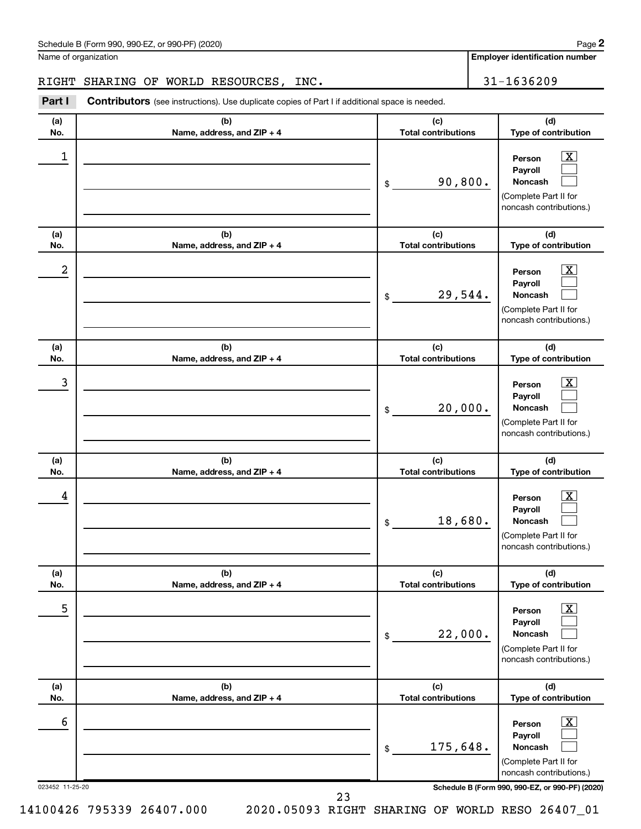| Schedule B (Form 990, 990-EZ, or 990-PF) (2020)<br>. The state of the state $\mathcal{L}$ is the state of the state of the state of the state of the state of the state of the state of the state of the state of the state of the state of the state of the state of the state of th | Page |
|---------------------------------------------------------------------------------------------------------------------------------------------------------------------------------------------------------------------------------------------------------------------------------------|------|
|---------------------------------------------------------------------------------------------------------------------------------------------------------------------------------------------------------------------------------------------------------------------------------------|------|

Name of organization

**Employer identification number 2**

## RIGHT SHARING OF WORLD RESOURCES, INC. | 31-1636209

**Part I** Contributors (see instructions). Use duplicate copies of Part I if additional space is needed.

| (a)<br>No.           | (b)<br>Name, address, and ZIP + 4 | (c)<br><b>Total contributions</b> | (d)<br>Type of contribution                                                                                                                                    |
|----------------------|-----------------------------------|-----------------------------------|----------------------------------------------------------------------------------------------------------------------------------------------------------------|
| 1                    |                                   | 90,800.<br>\$                     | $\overline{\text{X}}$<br>Person<br>Payroll<br>Noncash<br>(Complete Part II for<br>noncash contributions.)                                                      |
| (a)<br>No.           | (b)<br>Name, address, and ZIP + 4 | (c)<br><b>Total contributions</b> | (d)<br>Type of contribution                                                                                                                                    |
| 2                    |                                   | 29,544.<br>\$                     | $\overline{\text{X}}$<br>Person<br>Payroll<br><b>Noncash</b><br>(Complete Part II for<br>noncash contributions.)                                               |
| (a)<br>No.           | (b)<br>Name, address, and ZIP + 4 | (c)<br><b>Total contributions</b> | (d)<br>Type of contribution                                                                                                                                    |
| 3                    |                                   | 20,000.<br>\$                     | $\overline{\text{X}}$<br>Person<br>Payroll<br><b>Noncash</b><br>(Complete Part II for<br>noncash contributions.)                                               |
| (a)<br>No.           | (b)<br>Name, address, and ZIP + 4 | (c)<br><b>Total contributions</b> | (d)<br>Type of contribution                                                                                                                                    |
| 4                    |                                   | 18,680.<br>\$                     | $\overline{\text{X}}$<br>Person<br>Payroll<br><b>Noncash</b><br>(Complete Part II for<br>noncash contributions.)                                               |
| (a)<br>No.           | (b)<br>Name, address, and ZIP + 4 | (c)<br><b>Total contributions</b> | (d)<br>Type of contribution                                                                                                                                    |
| 5                    |                                   | 22,000.<br>\$                     | $\boxed{\text{X}}$<br>Person<br>Payroll<br>Noncash<br>(Complete Part II for<br>noncash contributions.)                                                         |
| (a)<br>No.           | (b)<br>Name, address, and ZIP + 4 | (c)<br><b>Total contributions</b> | (d)<br>Type of contribution                                                                                                                                    |
| 6<br>023452 11-25-20 |                                   | 175,648.<br>\$                    | $\overline{\mathbf{X}}$<br>Person<br>Payroll<br>Noncash<br>(Complete Part II for<br>noncash contributions.)<br>Schedule B (Form 990, 990-EZ, or 990-PF) (2020) |

23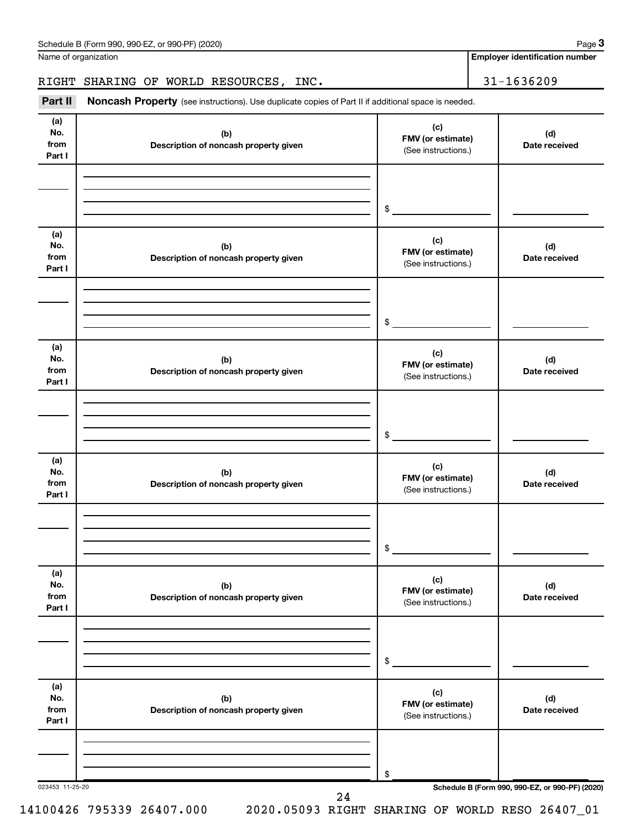| Schedule B (Form 990, 990-EZ, or 990-PF) (2020) | Page |
|-------------------------------------------------|------|
|-------------------------------------------------|------|

Name of organization

**Employer identification number**

RIGHT SHARING OF WORLD RESOURCES, INC. 31-1636209

| (a)<br>No.                   | (b)                                          | (c)                                             | (d)                                             |
|------------------------------|----------------------------------------------|-------------------------------------------------|-------------------------------------------------|
| from<br>Part I               | Description of noncash property given        | FMV (or estimate)<br>(See instructions.)        | Date received                                   |
|                              |                                              |                                                 |                                                 |
|                              |                                              | $$\mathbb{S}$$                                  |                                                 |
| (a)<br>No.<br>from<br>Part I | (b)<br>Description of noncash property given | (c)<br>FMV (or estimate)<br>(See instructions.) | (d)<br>Date received                            |
|                              |                                              | $\frac{1}{2}$                                   |                                                 |
| (a)<br>No.<br>from<br>Part I | (b)<br>Description of noncash property given | (c)<br>FMV (or estimate)<br>(See instructions.) | (d)<br>Date received                            |
|                              |                                              | $\frac{1}{2}$                                   |                                                 |
| (a)<br>No.<br>from<br>Part I | (b)<br>Description of noncash property given | (c)<br>FMV (or estimate)<br>(See instructions.) | (d)<br>Date received                            |
|                              |                                              | \$                                              |                                                 |
| (a)<br>No.<br>from<br>Part I | (b)<br>Description of noncash property given | (c)<br>FMV (or estimate)<br>(See instructions.) | (d)<br>Date received                            |
|                              |                                              | \$                                              |                                                 |
| (a)<br>No.<br>from<br>Part I | (b)<br>Description of noncash property given | (c)<br>FMV (or estimate)<br>(See instructions.) | (d)<br>Date received                            |
|                              |                                              |                                                 |                                                 |
| 023453 11-25-20              |                                              | \$                                              | Schedule B (Form 990, 990-EZ, or 990-PF) (2020) |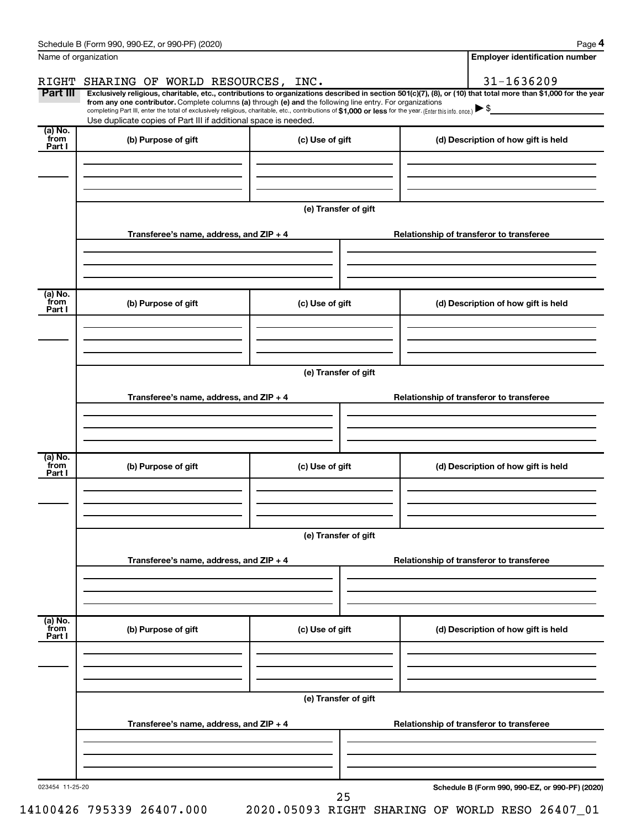| Name of organization                   |                                                                                                                                                                                                                                                                                                                                           |                      | <b>Employer identification number</b>                                                                                                                          |  |
|----------------------------------------|-------------------------------------------------------------------------------------------------------------------------------------------------------------------------------------------------------------------------------------------------------------------------------------------------------------------------------------------|----------------------|----------------------------------------------------------------------------------------------------------------------------------------------------------------|--|
|                                        | RIGHT SHARING OF WORLD RESOURCES, INC.                                                                                                                                                                                                                                                                                                    |                      | 31-1636209                                                                                                                                                     |  |
| Part III                               | from any one contributor. Complete columns (a) through (e) and the following line entry. For organizations<br>completing Part III, enter the total of exclusively religious, charitable, etc., contributions of \$1,000 or less for the year. (Enter this info. once.)<br>Use duplicate copies of Part III if additional space is needed. |                      | Exclusively religious, charitable, etc., contributions to organizations described in section 501(c)(7), (8), or (10) that total more than \$1,000 for the year |  |
| $\overline{a}$ ) No.<br>from<br>Part I | (b) Purpose of gift                                                                                                                                                                                                                                                                                                                       | (c) Use of gift      | (d) Description of how gift is held                                                                                                                            |  |
|                                        |                                                                                                                                                                                                                                                                                                                                           |                      |                                                                                                                                                                |  |
|                                        |                                                                                                                                                                                                                                                                                                                                           | (e) Transfer of gift |                                                                                                                                                                |  |
|                                        | Transferee's name, address, and ZIP + 4                                                                                                                                                                                                                                                                                                   |                      | Relationship of transferor to transferee                                                                                                                       |  |
| $\overline{a}$ ) No.                   |                                                                                                                                                                                                                                                                                                                                           |                      |                                                                                                                                                                |  |
| from<br>Part I                         | (b) Purpose of gift                                                                                                                                                                                                                                                                                                                       | (c) Use of gift      | (d) Description of how gift is held                                                                                                                            |  |
|                                        |                                                                                                                                                                                                                                                                                                                                           | (e) Transfer of gift |                                                                                                                                                                |  |
|                                        | Transferee's name, address, and ZIP + 4                                                                                                                                                                                                                                                                                                   |                      | Relationship of transferor to transferee                                                                                                                       |  |
| $\overline{a}$ ) No.                   |                                                                                                                                                                                                                                                                                                                                           |                      |                                                                                                                                                                |  |
| from<br>Part I                         | (b) Purpose of gift                                                                                                                                                                                                                                                                                                                       | (c) Use of gift      | (d) Description of how gift is held                                                                                                                            |  |
|                                        |                                                                                                                                                                                                                                                                                                                                           | (e) Transfer of gift |                                                                                                                                                                |  |
|                                        | Transferee's name, address, and ZIP + 4                                                                                                                                                                                                                                                                                                   |                      | Relationship of transferor to transferee                                                                                                                       |  |
|                                        |                                                                                                                                                                                                                                                                                                                                           |                      |                                                                                                                                                                |  |
| (a) No.<br>from<br>Part I              | (b) Purpose of gift                                                                                                                                                                                                                                                                                                                       | (c) Use of gift      | (d) Description of how gift is held                                                                                                                            |  |
|                                        |                                                                                                                                                                                                                                                                                                                                           | (e) Transfer of gift |                                                                                                                                                                |  |
|                                        | Transferee's name, address, and ZIP + 4                                                                                                                                                                                                                                                                                                   |                      | Relationship of transferor to transferee                                                                                                                       |  |
|                                        |                                                                                                                                                                                                                                                                                                                                           |                      |                                                                                                                                                                |  |
| 023454 11-25-20                        |                                                                                                                                                                                                                                                                                                                                           | 25                   | Schedule B (Form 990, 990-EZ, or 990-PF) (2020)                                                                                                                |  |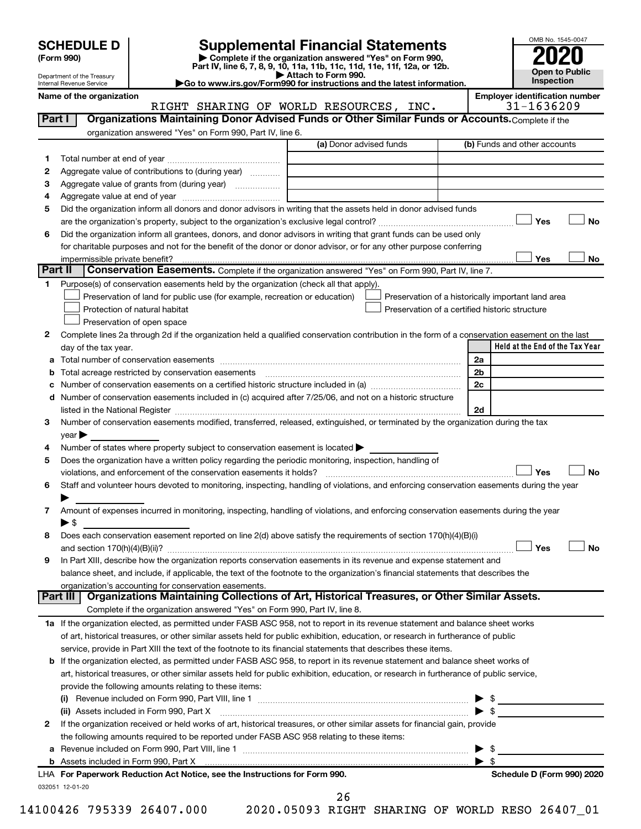Department of the Treasury Internal Revenue Service

| (Form 990) |  |
|------------|--|
|------------|--|

# **SCHEDULE D Supplemental Financial Statements**<br> **Form 990 2020**<br> **Part IV** line 6.7.8.9.10, 11a, 11b, 11d, 11d, 11d, 11d, 11d, 12a, 0r, 12b

**(Form 990) | Complete if the organization answered "Yes" on Form 990, Part IV, line 6, 7, 8, 9, 10, 11a, 11b, 11c, 11d, 11e, 11f, 12a, or 12b.**

**| Attach to Form 990. |Go to www.irs.gov/Form990 for instructions and the latest information.**



Name of the organization<br>**RIGHT SHARING OF WORLD RESOURCES, INC.** [Employer identification number<br>31-1636209 RIGHT SHARING OF WORLD RESOURCES, INC.

|         | organization answered "Yes" on Form 990, Part IV, line 6.                                                                                                                                                                      | (a) Donor advised funds | (b) Funds and other accounts                       |
|---------|--------------------------------------------------------------------------------------------------------------------------------------------------------------------------------------------------------------------------------|-------------------------|----------------------------------------------------|
| 1       |                                                                                                                                                                                                                                |                         |                                                    |
| 2       | Aggregate value of contributions to (during year)                                                                                                                                                                              |                         |                                                    |
| 3       | Aggregate value of grants from (during year)                                                                                                                                                                                   |                         |                                                    |
| 4       |                                                                                                                                                                                                                                |                         |                                                    |
| 5       | Did the organization inform all donors and donor advisors in writing that the assets held in donor advised funds                                                                                                               |                         |                                                    |
|         |                                                                                                                                                                                                                                |                         | Yes<br>No                                          |
| 6       | Did the organization inform all grantees, donors, and donor advisors in writing that grant funds can be used only                                                                                                              |                         |                                                    |
|         | for charitable purposes and not for the benefit of the donor or donor advisor, or for any other purpose conferring                                                                                                             |                         |                                                    |
|         |                                                                                                                                                                                                                                |                         | Yes<br>No                                          |
| Part II | Conservation Easements. Complete if the organization answered "Yes" on Form 990, Part IV, line 7.                                                                                                                              |                         |                                                    |
| 1.      | Purpose(s) of conservation easements held by the organization (check all that apply).                                                                                                                                          |                         |                                                    |
|         | Preservation of land for public use (for example, recreation or education)                                                                                                                                                     |                         | Preservation of a historically important land area |
|         | Protection of natural habitat                                                                                                                                                                                                  |                         | Preservation of a certified historic structure     |
|         | Preservation of open space                                                                                                                                                                                                     |                         |                                                    |
| 2       | Complete lines 2a through 2d if the organization held a qualified conservation contribution in the form of a conservation easement on the last                                                                                 |                         |                                                    |
|         | day of the tax year.                                                                                                                                                                                                           |                         | Held at the End of the Tax Year                    |
|         |                                                                                                                                                                                                                                |                         | 2a                                                 |
| b       | Total acreage restricted by conservation easements [11] [12] matter and acreage restricted by conservation easements [12] matter and acreage restricted by conservation easements [12] matter and acreage restricted by conser |                         | 2b                                                 |
|         |                                                                                                                                                                                                                                |                         | 2c                                                 |
|         | d Number of conservation easements included in (c) acquired after 7/25/06, and not on a historic structure                                                                                                                     |                         |                                                    |
|         | listed in the National Register [1111] listed in the National Register [111] listed in the National Register [11] listed in the National Register [11] listed in the National Register [11] listed in the National Register [1 |                         | 2d                                                 |
| 3       | Number of conservation easements modified, transferred, released, extinguished, or terminated by the organization during the tax                                                                                               |                         |                                                    |
|         | $year \blacktriangleright$                                                                                                                                                                                                     |                         |                                                    |
| 4       | Number of states where property subject to conservation easement is located $\blacktriangleright$                                                                                                                              |                         |                                                    |
| 5       | Does the organization have a written policy regarding the periodic monitoring, inspection, handling of                                                                                                                         |                         |                                                    |
|         |                                                                                                                                                                                                                                |                         |                                                    |
|         | violations, and enforcement of the conservation easements it holds?                                                                                                                                                            |                         | Yes<br><b>No</b>                                   |
| 6       | Staff and volunteer hours devoted to monitoring, inspecting, handling of violations, and enforcing conservation easements during the year                                                                                      |                         |                                                    |
|         |                                                                                                                                                                                                                                |                         |                                                    |
| 7       | Amount of expenses incurred in monitoring, inspecting, handling of violations, and enforcing conservation easements during the year                                                                                            |                         |                                                    |
|         | $\blacktriangleright$ \$                                                                                                                                                                                                       |                         |                                                    |
| 8       | Does each conservation easement reported on line 2(d) above satisfy the requirements of section 170(h)(4)(B)(i)                                                                                                                |                         |                                                    |
|         |                                                                                                                                                                                                                                |                         | Yes<br>No                                          |
| 9       | In Part XIII, describe how the organization reports conservation easements in its revenue and expense statement and                                                                                                            |                         |                                                    |
|         | balance sheet, and include, if applicable, the text of the footnote to the organization's financial statements that describes the                                                                                              |                         |                                                    |
|         | organization's accounting for conservation easements.                                                                                                                                                                          |                         |                                                    |
|         | Organizations Maintaining Collections of Art, Historical Treasures, or Other Similar Assets.<br><b>Part III</b>                                                                                                                |                         |                                                    |
|         | Complete if the organization answered "Yes" on Form 990, Part IV, line 8.                                                                                                                                                      |                         |                                                    |
|         | 1a If the organization elected, as permitted under FASB ASC 958, not to report in its revenue statement and balance sheet works                                                                                                |                         |                                                    |
|         | of art, historical treasures, or other similar assets held for public exhibition, education, or research in furtherance of public                                                                                              |                         |                                                    |
|         | service, provide in Part XIII the text of the footnote to its financial statements that describes these items.                                                                                                                 |                         |                                                    |
|         | <b>b</b> If the organization elected, as permitted under FASB ASC 958, to report in its revenue statement and balance sheet works of                                                                                           |                         |                                                    |
|         | art, historical treasures, or other similar assets held for public exhibition, education, or research in furtherance of public service,                                                                                        |                         |                                                    |
|         | provide the following amounts relating to these items:                                                                                                                                                                         |                         |                                                    |
|         |                                                                                                                                                                                                                                |                         |                                                    |
|         | (ii) Assets included in Form 990, Part X                                                                                                                                                                                       |                         | $\blacktriangleright$ \$                           |
| 2       | If the organization received or held works of art, historical treasures, or other similar assets for financial gain, provide                                                                                                   |                         |                                                    |
|         | the following amounts required to be reported under FASB ASC 958 relating to these items:                                                                                                                                      |                         |                                                    |
|         |                                                                                                                                                                                                                                |                         | -\$                                                |
|         |                                                                                                                                                                                                                                |                         | $\blacktriangleright$ s                            |
|         | LHA For Paperwork Reduction Act Notice, see the Instructions for Form 990.                                                                                                                                                     |                         | Schedule D (Form 990) 2020                         |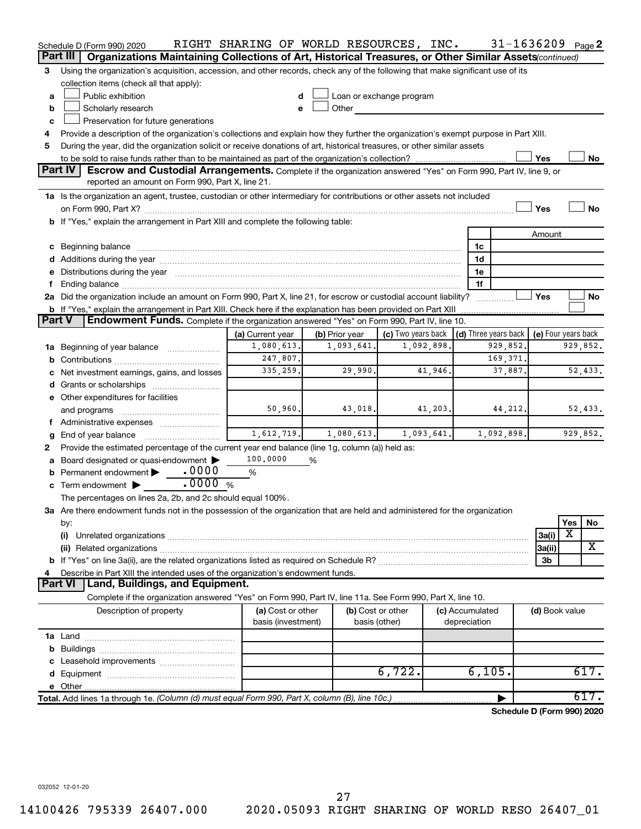|               | Schedule D (Form 990) 2020                                                                                                                                                                                                     | RIGHT SHARING OF WORLD RESOURCES, INC. |                |                          |                              | $31 - 1636209$ Page 2      |                     |     |          |
|---------------|--------------------------------------------------------------------------------------------------------------------------------------------------------------------------------------------------------------------------------|----------------------------------------|----------------|--------------------------|------------------------------|----------------------------|---------------------|-----|----------|
|               | Part III<br>Organizations Maintaining Collections of Art, Historical Treasures, or Other Similar Assets (continued)                                                                                                            |                                        |                |                          |                              |                            |                     |     |          |
| 3             | Using the organization's acquisition, accession, and other records, check any of the following that make significant use of its                                                                                                |                                        |                |                          |                              |                            |                     |     |          |
|               | collection items (check all that apply):                                                                                                                                                                                       |                                        |                |                          |                              |                            |                     |     |          |
| a             | Public exhibition                                                                                                                                                                                                              |                                        |                | Loan or exchange program |                              |                            |                     |     |          |
| b             | Scholarly research                                                                                                                                                                                                             |                                        | Other          |                          |                              |                            |                     |     |          |
| c             | Preservation for future generations                                                                                                                                                                                            |                                        |                |                          |                              |                            |                     |     |          |
|               | Provide a description of the organization's collections and explain how they further the organization's exempt purpose in Part XIII.                                                                                           |                                        |                |                          |                              |                            |                     |     |          |
| 5             | During the year, did the organization solicit or receive donations of art, historical treasures, or other similar assets                                                                                                       |                                        |                |                          |                              |                            |                     |     |          |
|               |                                                                                                                                                                                                                                |                                        |                |                          |                              |                            | Yes                 |     | No       |
|               | <b>Part IV</b><br><b>Escrow and Custodial Arrangements.</b> Complete if the organization answered "Yes" on Form 990, Part IV, line 9, or                                                                                       |                                        |                |                          |                              |                            |                     |     |          |
|               | reported an amount on Form 990, Part X, line 21.                                                                                                                                                                               |                                        |                |                          |                              |                            |                     |     |          |
|               | 1a Is the organization an agent, trustee, custodian or other intermediary for contributions or other assets not included                                                                                                       |                                        |                |                          |                              |                            |                     |     |          |
|               | on Form 990, Part X? <b>William Constitution Constitution</b> Construction Construction Construction Constitution Con                                                                                                          |                                        |                |                          |                              |                            | Yes                 |     | No       |
|               | b If "Yes," explain the arrangement in Part XIII and complete the following table:                                                                                                                                             |                                        |                |                          |                              |                            |                     |     |          |
|               |                                                                                                                                                                                                                                |                                        |                |                          |                              |                            | Amount              |     |          |
|               | c Beginning balance measurements and the contract of the contract of the contract of the contract of the contract of the contract of the contract of the contract of the contract of the contract of the contract of the contr |                                        |                |                          | 1c                           |                            |                     |     |          |
|               |                                                                                                                                                                                                                                |                                        |                |                          | 1d                           |                            |                     |     |          |
|               | e Distributions during the year manufactured and continuum and contact the year manufactured and contact the year manufactured and contact the year manufactured and contact the year manufactured and contact the year manufa |                                        |                |                          | 1e                           |                            |                     |     |          |
|               |                                                                                                                                                                                                                                |                                        |                |                          | 1f                           |                            |                     |     |          |
|               | 2a Did the organization include an amount on Form 990, Part X, line 21, for escrow or custodial account liability?                                                                                                             |                                        |                |                          |                              |                            | Yes                 |     | No       |
|               | <b>b</b> If "Yes," explain the arrangement in Part XIII. Check here if the explanation has been provided on Part XIII                                                                                                          |                                        |                |                          |                              |                            |                     |     |          |
| <b>Part V</b> | Endowment Funds. Complete if the organization answered "Yes" on Form 990, Part IV, line 10.                                                                                                                                    |                                        |                |                          |                              |                            |                     |     |          |
|               |                                                                                                                                                                                                                                | (a) Current year                       | (b) Prior year | (c) Two years back       | $\vert$ (d) Three years back |                            | (e) Four years back |     |          |
|               | <b>1a</b> Beginning of year balance                                                                                                                                                                                            | 1,080,613.                             | 1,093,641.     | 1,092,898.               |                              | 929,852.                   |                     |     | 929,852. |
|               |                                                                                                                                                                                                                                | 247,807.                               |                |                          |                              |                            |                     |     |          |
|               | c Net investment earnings, gains, and losses                                                                                                                                                                                   | 335, 259.                              | 29,990.        | 41,946.                  |                              | 37,887.                    |                     |     | 52,433.  |
|               |                                                                                                                                                                                                                                |                                        |                |                          |                              |                            |                     |     |          |
|               | e Other expenditures for facilities                                                                                                                                                                                            |                                        |                |                          |                              |                            |                     |     |          |
|               | and programs                                                                                                                                                                                                                   | 50,960.                                | 43,018.        | 41, 203.                 |                              | 44,212.                    |                     |     | 52,433.  |
|               | f Administrative expenses                                                                                                                                                                                                      |                                        |                |                          |                              |                            |                     |     |          |
| g             | End of year balance                                                                                                                                                                                                            | 1,612,719.                             | 1,080,613.     | 1,093,641.               |                              | 1,092,898.                 |                     |     | 929,852. |
|               | Provide the estimated percentage of the current year end balance (line 1g, column (a)) held as:                                                                                                                                |                                        |                |                          |                              |                            |                     |     |          |
|               | Board designated or quasi-endowment                                                                                                                                                                                            | 100,0000                               | %              |                          |                              |                            |                     |     |          |
|               | .0000<br><b>b</b> Permanent endowment $\blacktriangleright$                                                                                                                                                                    | %                                      |                |                          |                              |                            |                     |     |          |
|               | .0000<br>c Term endowment $\blacktriangleright$                                                                                                                                                                                | %                                      |                |                          |                              |                            |                     |     |          |
|               | The percentages on lines 2a, 2b, and 2c should equal 100%.                                                                                                                                                                     |                                        |                |                          |                              |                            |                     |     |          |
|               | 3a Are there endowment funds not in the possession of the organization that are held and administered for the organization                                                                                                     |                                        |                |                          |                              |                            |                     |     |          |
|               | by:                                                                                                                                                                                                                            |                                        |                |                          |                              |                            |                     | Yes | No.      |
|               | (i)                                                                                                                                                                                                                            |                                        |                |                          |                              |                            | 3a(i)               | х   |          |
|               |                                                                                                                                                                                                                                |                                        |                |                          |                              |                            | 3a(ii)              |     | х        |
|               |                                                                                                                                                                                                                                |                                        |                |                          |                              |                            | Зb                  |     |          |
|               | Describe in Part XIII the intended uses of the organization's endowment funds.                                                                                                                                                 |                                        |                |                          |                              |                            |                     |     |          |
|               | Land, Buildings, and Equipment.<br>Part VI                                                                                                                                                                                     |                                        |                |                          |                              |                            |                     |     |          |
|               | Complete if the organization answered "Yes" on Form 990, Part IV, line 11a. See Form 990, Part X, line 10.                                                                                                                     |                                        |                |                          |                              |                            |                     |     |          |
|               | Description of property                                                                                                                                                                                                        | (a) Cost or other                      |                | (b) Cost or other        | (c) Accumulated              |                            | (d) Book value      |     |          |
|               |                                                                                                                                                                                                                                | basis (investment)                     |                | basis (other)            | depreciation                 |                            |                     |     |          |
|               |                                                                                                                                                                                                                                |                                        |                |                          |                              |                            |                     |     |          |
|               |                                                                                                                                                                                                                                |                                        |                |                          |                              |                            |                     |     |          |
|               |                                                                                                                                                                                                                                |                                        |                |                          |                              |                            |                     |     |          |
|               |                                                                                                                                                                                                                                |                                        |                | 6,722.                   | 6,105.                       |                            |                     |     | 617.     |
|               |                                                                                                                                                                                                                                |                                        |                |                          |                              |                            |                     |     |          |
|               | Total. Add lines 1a through 1e. (Column (d) must equal Form 990, Part X, column (B), line 10c.)                                                                                                                                |                                        |                |                          |                              |                            |                     |     | 617.     |
|               |                                                                                                                                                                                                                                |                                        |                |                          |                              | Schedule D (Form 990) 2020 |                     |     |          |

032052 12-01-20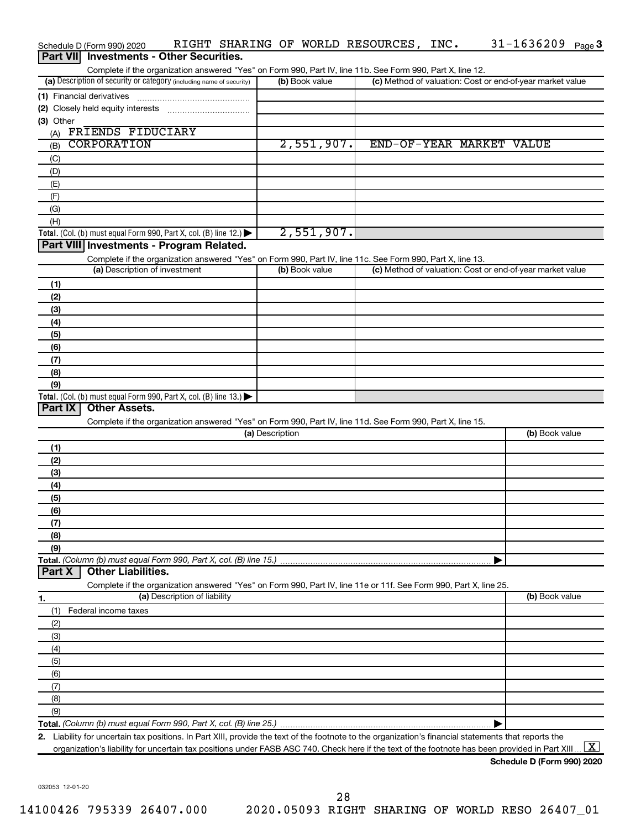| Schedule D (Form 990) 2020                                                                                                                              |                 | RIGHT SHARING OF WORLD RESOURCES, INC. | $31 - 1636209$ Page 3                                     |
|---------------------------------------------------------------------------------------------------------------------------------------------------------|-----------------|----------------------------------------|-----------------------------------------------------------|
| Part VII Investments - Other Securities.                                                                                                                |                 |                                        |                                                           |
| Complete if the organization answered "Yes" on Form 990, Part IV, line 11b. See Form 990, Part X, line 12.                                              |                 |                                        |                                                           |
| (a) Description of security or category (including name of security)                                                                                    | (b) Book value  |                                        | (c) Method of valuation: Cost or end-of-year market value |
| (1) Financial derivatives                                                                                                                               |                 |                                        |                                                           |
|                                                                                                                                                         |                 |                                        |                                                           |
| (3) Other                                                                                                                                               |                 |                                        |                                                           |
| (A) FRIENDS FIDUCIARY                                                                                                                                   |                 |                                        |                                                           |
| <b>CORPORATION</b><br>(B)                                                                                                                               | 2,551,907.      | END-OF-YEAR MARKET VALUE               |                                                           |
| (C)                                                                                                                                                     |                 |                                        |                                                           |
| (D)                                                                                                                                                     |                 |                                        |                                                           |
| (E)                                                                                                                                                     |                 |                                        |                                                           |
| (F)                                                                                                                                                     |                 |                                        |                                                           |
| (G)                                                                                                                                                     |                 |                                        |                                                           |
| (H)                                                                                                                                                     | 2,551,907.      |                                        |                                                           |
| Total. (Col. (b) must equal Form 990, Part X, col. (B) line 12.) $\blacktriangleright$                                                                  |                 |                                        |                                                           |
| Part VIII Investments - Program Related.                                                                                                                |                 |                                        |                                                           |
| Complete if the organization answered "Yes" on Form 990, Part IV, line 11c. See Form 990, Part X, line 13.<br>(a) Description of investment             | (b) Book value  |                                        | (c) Method of valuation: Cost or end-of-year market value |
|                                                                                                                                                         |                 |                                        |                                                           |
| (1)                                                                                                                                                     |                 |                                        |                                                           |
| (2)                                                                                                                                                     |                 |                                        |                                                           |
| (3)                                                                                                                                                     |                 |                                        |                                                           |
| (4)                                                                                                                                                     |                 |                                        |                                                           |
| (5)                                                                                                                                                     |                 |                                        |                                                           |
| (6)                                                                                                                                                     |                 |                                        |                                                           |
| (7)                                                                                                                                                     |                 |                                        |                                                           |
| (8)                                                                                                                                                     |                 |                                        |                                                           |
| (9)                                                                                                                                                     |                 |                                        |                                                           |
| Total. (Col. (b) must equal Form 990, Part X, col. (B) line 13.) $\blacktriangleright$<br>Part IX<br><b>Other Assets.</b>                               |                 |                                        |                                                           |
| Complete if the organization answered "Yes" on Form 990, Part IV, line 11d. See Form 990, Part X, line 15.                                              |                 |                                        |                                                           |
|                                                                                                                                                         | (a) Description |                                        | (b) Book value                                            |
| (1)                                                                                                                                                     |                 |                                        |                                                           |
| (2)                                                                                                                                                     |                 |                                        |                                                           |
| (3)                                                                                                                                                     |                 |                                        |                                                           |
| (4)                                                                                                                                                     |                 |                                        |                                                           |
| (5)                                                                                                                                                     |                 |                                        |                                                           |
| (6)                                                                                                                                                     |                 |                                        |                                                           |
| (7)                                                                                                                                                     |                 |                                        |                                                           |
| (8)                                                                                                                                                     |                 |                                        |                                                           |
| (9)                                                                                                                                                     |                 |                                        |                                                           |
| Total. (Column (b) must equal Form 990, Part X, col. (B) line 15.)                                                                                      |                 |                                        |                                                           |
| <b>Other Liabilities.</b><br>Part X                                                                                                                     |                 |                                        |                                                           |
| Complete if the organization answered "Yes" on Form 990, Part IV, line 11e or 11f. See Form 990, Part X, line 25.                                       |                 |                                        |                                                           |
| (a) Description of liability<br>1.                                                                                                                      |                 |                                        | (b) Book value                                            |
| Federal income taxes<br>(1)                                                                                                                             |                 |                                        |                                                           |
| (2)                                                                                                                                                     |                 |                                        |                                                           |
| (3)                                                                                                                                                     |                 |                                        |                                                           |
| (4)                                                                                                                                                     |                 |                                        |                                                           |
| (5)                                                                                                                                                     |                 |                                        |                                                           |
| (6)                                                                                                                                                     |                 |                                        |                                                           |
| (7)                                                                                                                                                     |                 |                                        |                                                           |
| (8)                                                                                                                                                     |                 |                                        |                                                           |
| (9)                                                                                                                                                     |                 |                                        |                                                           |
|                                                                                                                                                         |                 |                                        |                                                           |
| Liability for uncertain tax positions. In Part XIII, provide the text of the footnote to the organization's financial statements that reports the<br>2. |                 |                                        |                                                           |
| organization's liability for uncertain tax positions under FASB ASC 740. Check here if the text of the footnote has been provided in Part XIII          |                 |                                        | $\lfloor x \rfloor$                                       |

032053 12-01-20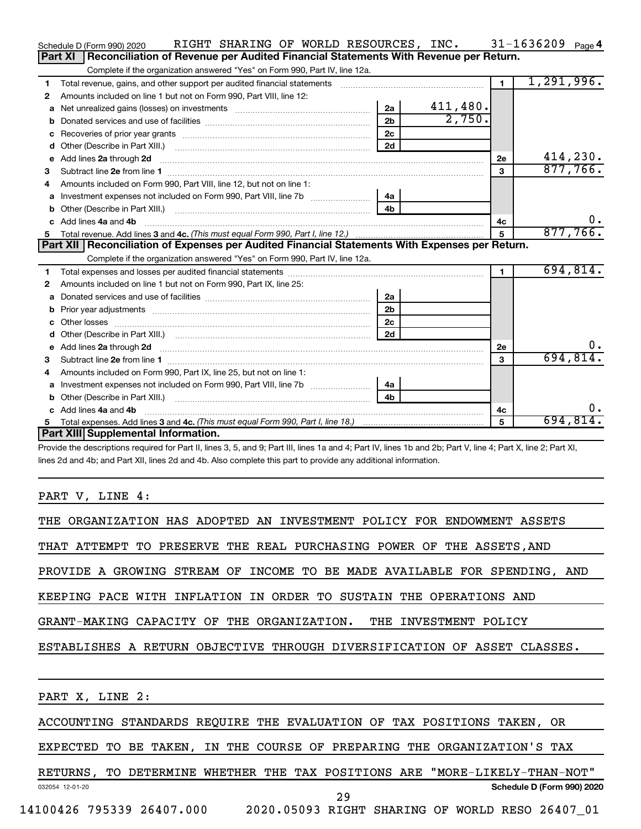|              | RIGHT SHARING OF WORLD RESOURCES, INC.<br>Schedule D (Form 990) 2020                                                                                                                                                                |                |           |                | $31 - 1636209$ Page 4 |
|--------------|-------------------------------------------------------------------------------------------------------------------------------------------------------------------------------------------------------------------------------------|----------------|-----------|----------------|-----------------------|
|              | Reconciliation of Revenue per Audited Financial Statements With Revenue per Return.<br>Part XI                                                                                                                                      |                |           |                |                       |
|              | Complete if the organization answered "Yes" on Form 990, Part IV, line 12a.                                                                                                                                                         |                |           |                |                       |
| 1            | Total revenue, gains, and other support per audited financial statements [[[[[[[[[[[[[[[[[[[[[[[[]]]]]]]]]]]]                                                                                                                       |                |           | $\blacksquare$ | 1, 291, 996.          |
| 2            | Amounts included on line 1 but not on Form 990, Part VIII, line 12:                                                                                                                                                                 |                |           |                |                       |
| a            | Net unrealized gains (losses) on investments [111] Net unrealized mains (losses) on investments [11] Metamanian                                                                                                                     | 2a             | 411, 480. |                |                       |
| b            |                                                                                                                                                                                                                                     | 2 <sub>b</sub> | 2,750.    |                |                       |
| c            |                                                                                                                                                                                                                                     | 2 <sub>c</sub> |           |                |                       |
| d            |                                                                                                                                                                                                                                     | 2d             |           |                |                       |
| е            | Add lines 2a through 2d <b>continuum continuum contracts</b> and an analysis of the contract of the contract of the contract of the contract of the contract of the contract of the contract of the contract of the contract of the |                |           | 2e             | 414,230.              |
| 3            |                                                                                                                                                                                                                                     |                |           | 3              | 877,766.              |
| 4            | Amounts included on Form 990, Part VIII, line 12, but not on line 1:                                                                                                                                                                |                |           |                |                       |
|              |                                                                                                                                                                                                                                     | 4a             |           |                |                       |
| b            | Other (Describe in Part XIII.) (2000) (2000) (2000) (2010) (2010) (2010) (2010) (2010) (2010) (2010) (2010) (20                                                                                                                     | 4 <sub>b</sub> |           |                |                       |
| C.           | Add lines 4a and 4b                                                                                                                                                                                                                 |                |           | 4c             | 0.                    |
|              |                                                                                                                                                                                                                                     | 5              | 877,766.  |                |                       |
|              | Part XII   Reconciliation of Expenses per Audited Financial Statements With Expenses per Return.                                                                                                                                    |                |           |                |                       |
|              | Complete if the organization answered "Yes" on Form 990, Part IV, line 12a.                                                                                                                                                         |                |           |                |                       |
| 1            |                                                                                                                                                                                                                                     |                |           | $\blacksquare$ | 694,814.              |
| 2            | Amounts included on line 1 but not on Form 990, Part IX, line 25:                                                                                                                                                                   |                |           |                |                       |
| a            |                                                                                                                                                                                                                                     | 2a             |           |                |                       |
| b            | Prior year adjustments [111] matter contracts and prior year adjustments [11] matter contracts and prior year adjustments and the contracts of the contracts and prior year and prior year.                                         | 2 <sub>b</sub> |           |                |                       |
| c            |                                                                                                                                                                                                                                     | 2 <sub>c</sub> |           |                |                       |
| d            |                                                                                                                                                                                                                                     | 2d             |           |                |                       |
| е            | Add lines 2a through 2d <b>contained a contained a contained a contained a</b> contained a contact the contact of the contact of the contact of the contact of the contact of the contact of the contact of the contact of the cont |                |           | 2e             | 0.                    |
| З            |                                                                                                                                                                                                                                     |                |           | 3              | 694,814.              |
| 4            |                                                                                                                                                                                                                                     |                |           |                |                       |
|              | Amounts included on Form 990, Part IX, line 25, but not on line 1:                                                                                                                                                                  |                |           |                |                       |
| a            |                                                                                                                                                                                                                                     | 4a             |           |                |                       |
| b            |                                                                                                                                                                                                                                     | 4b             |           |                |                       |
| $\mathbf{c}$ | Add lines 4a and 4b                                                                                                                                                                                                                 |                |           | 4с             | 0.                    |
|              | Part XIII Supplemental Information.                                                                                                                                                                                                 |                |           | 5              | 694,814.              |

Provide the descriptions required for Part II, lines 3, 5, and 9; Part III, lines 1a and 4; Part IV, lines 1b and 2b; Part V, line 4; Part X, line 2; Part XI, lines 2d and 4b; and Part XII, lines 2d and 4b. Also complete this part to provide any additional information.

## PART V, LINE 4:

| THE ORGANIZATION HAS ADOPTED AN INVESTMENT POLICY FOR ENDOWMENT ASSETS                      |
|---------------------------------------------------------------------------------------------|
| THAT ATTEMPT TO PRESERVE THE REAL PURCHASING POWER OF THE ASSETS, AND                       |
| PROVIDE A GROWING STREAM OF INCOME TO BE MADE AVAILABLE FOR SPENDING, AND                   |
| KEEPING PACE WITH INFLATION IN ORDER TO SUSTAIN THE OPERATIONS AND                          |
| GRANT-MAKING CAPACITY OF THE ORGANIZATION. THE INVESTMENT POLICY                            |
| ESTABLISHES A RETURN OBJECTIVE THROUGH DIVERSIFICATION OF ASSET CLASSES.                    |
| PART X, LINE 2:                                                                             |
| ACCOUNTING STANDARDS REQUIRE THE EVALUATION OF TAX POSITIONS TAKEN, OR                      |
| EXPECTED TO BE TAKEN, IN THE COURSE OF PREPARING THE ORGANIZATION'S TAX                     |
| <u> MO DEMEDNING WUGMUGO MUG MAY DOCIMIONS ADG "MODG I TVGIV MUAN NOM"</u><br>ס התכווחים כד |

032054 12-01-20 **Schedule D (Form 990) 2020** RETURNS, TO DETERMINE WHETHER THE TAX POSITIONS ARE "MORE-LIKELY-THAN-NOT" 14100426 795339 26407.000 2020.05093 RIGHT SHARING OF WORLD RESO 26407\_01 29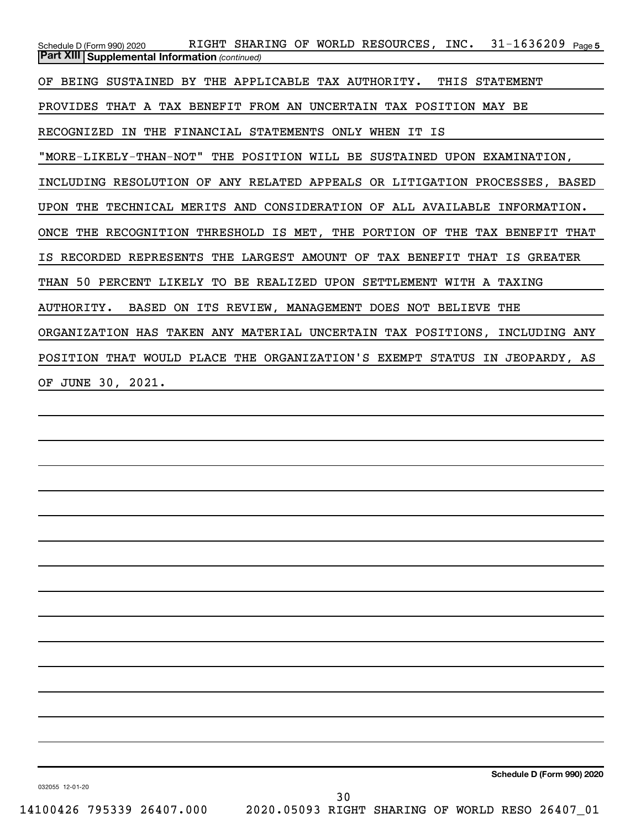31-1636209 Page 5 *(continued)* **Part XIII Supplemental Information**  Schedule D (Form 990) 2020 RIGHT SHARING OF WORLD RESOURCES , INC 31-1636209 Page OF BEING SUSTAINED BY THE APPLICABLE TAX AUTHORITY. THIS STATEMENT PROVIDES THAT A TAX BENEFIT FROM AN UNCERTAIN TAX POSITION MAY BE RECOGNIZED IN THE FINANCIAL STATEMENTS ONLY WHEN IT IS "MORE-LIKELY-THAN-NOT" THE POSITION WILL BE SUSTAINED UPON EXAMINATION, INCLUDING RESOLUTION OF ANY RELATED APPEALS OR LITIGATION PROCESSES, BASED UPON THE TECHNICAL MERITS AND CONSIDERATION OF ALL AVAILABLE INFORMATION. ONCE THE RECOGNITION THRESHOLD IS MET, THE PORTION OF THE TAX BENEFIT THAT IS RECORDED REPRESENTS THE LARGEST AMOUNT OF TAX BENEFIT THAT IS GREATER THAN 50 PERCENT LIKELY TO BE REALIZED UPON SETTLEMENT WITH A TAXING AUTHORITY. BASED ON ITS REVIEW, MANAGEMENT DOES NOT BELIEVE THE ORGANIZATION HAS TAKEN ANY MATERIAL UNCERTAIN TAX POSITIONS, INCLUDING ANY POSITION THAT WOULD PLACE THE ORGANIZATION'S EXEMPT STATUS IN JEOPARDY, AS OF JUNE 30, 2021.

032055 12-01-20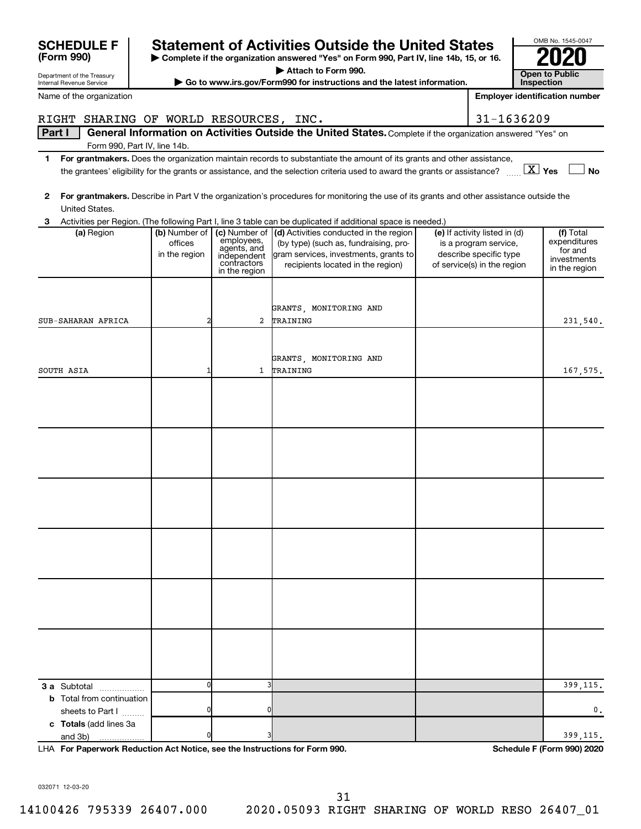| <b>SCHEDULE F</b>                |                                  |                            | <b>Statement of Activities Outside the United States</b>                                                                                                                                                                                                                               |                                                 |            | OMB No. 1545-0047                     |
|----------------------------------|----------------------------------|----------------------------|----------------------------------------------------------------------------------------------------------------------------------------------------------------------------------------------------------------------------------------------------------------------------------------|-------------------------------------------------|------------|---------------------------------------|
| (Form 990)                       |                                  |                            | Complete if the organization answered "Yes" on Form 990, Part IV, line 14b, 15, or 16.                                                                                                                                                                                                 |                                                 |            |                                       |
| Department of the Treasury       |                                  |                            | Attach to Form 990.                                                                                                                                                                                                                                                                    |                                                 |            | <b>Open to Public</b>                 |
| Internal Revenue Service         |                                  |                            | Go to www.irs.gov/Form990 for instructions and the latest information.                                                                                                                                                                                                                 |                                                 | Inspection |                                       |
| Name of the organization         |                                  |                            |                                                                                                                                                                                                                                                                                        |                                                 |            | <b>Employer identification number</b> |
| RIGHT                            | SHARING OF WORLD RESOURCES, INC. |                            |                                                                                                                                                                                                                                                                                        | 31-1636209                                      |            |                                       |
| Part I                           |                                  |                            | General Information on Activities Outside the United States. Complete if the organization answered "Yes" on                                                                                                                                                                            |                                                 |            |                                       |
| Form 990, Part IV, line 14b.     |                                  |                            |                                                                                                                                                                                                                                                                                        |                                                 |            |                                       |
| 1                                |                                  |                            | For grantmakers. Does the organization maintain records to substantiate the amount of its grants and other assistance,<br>the grantees' eligibility for the grants or assistance, and the selection criteria used to award the grants or assistance? $\ldots$ $\boxed{\textbf{X}}$ Yes |                                                 |            | <b>No</b>                             |
| 2<br>United States.              |                                  |                            | For grantmakers. Describe in Part V the organization's procedures for monitoring the use of its grants and other assistance outside the                                                                                                                                                |                                                 |            |                                       |
| 3                                |                                  |                            | Activities per Region. (The following Part I, line 3 table can be duplicated if additional space is needed.)                                                                                                                                                                           |                                                 |            |                                       |
| (a) Region                       | (b) Number of                    | employees,                 | (c) Number of (d) Activities conducted in the region                                                                                                                                                                                                                                   | (e) If activity listed in (d)                   |            | (f) Total                             |
|                                  | offices<br>in the region         | agents, and                | (by type) (such as, fundraising, pro-<br>gram services, investments, grants to                                                                                                                                                                                                         | is a program service,<br>describe specific type |            | expenditures<br>for and               |
|                                  |                                  | independent<br>contractors | recipients located in the region)                                                                                                                                                                                                                                                      | of service(s) in the region                     |            | investments                           |
|                                  |                                  | in the region              |                                                                                                                                                                                                                                                                                        |                                                 |            | in the region                         |
|                                  |                                  |                            |                                                                                                                                                                                                                                                                                        |                                                 |            |                                       |
|                                  |                                  |                            | GRANTS, MONITORING AND                                                                                                                                                                                                                                                                 |                                                 |            |                                       |
| SUB-SAHARAN AFRICA               | 2                                | 2                          | TRAINING                                                                                                                                                                                                                                                                               |                                                 |            | 231,540.                              |
|                                  |                                  |                            |                                                                                                                                                                                                                                                                                        |                                                 |            |                                       |
|                                  |                                  |                            |                                                                                                                                                                                                                                                                                        |                                                 |            |                                       |
|                                  |                                  |                            | GRANTS, MONITORING AND                                                                                                                                                                                                                                                                 |                                                 |            |                                       |
| SOUTH ASIA                       |                                  | 1                          | TRAINING                                                                                                                                                                                                                                                                               |                                                 |            | 167,575.                              |
|                                  |                                  |                            |                                                                                                                                                                                                                                                                                        |                                                 |            |                                       |
|                                  |                                  |                            |                                                                                                                                                                                                                                                                                        |                                                 |            |                                       |
|                                  |                                  |                            |                                                                                                                                                                                                                                                                                        |                                                 |            |                                       |
|                                  |                                  |                            |                                                                                                                                                                                                                                                                                        |                                                 |            |                                       |
|                                  |                                  |                            |                                                                                                                                                                                                                                                                                        |                                                 |            |                                       |
|                                  |                                  |                            |                                                                                                                                                                                                                                                                                        |                                                 |            |                                       |
|                                  |                                  |                            |                                                                                                                                                                                                                                                                                        |                                                 |            |                                       |
|                                  |                                  |                            |                                                                                                                                                                                                                                                                                        |                                                 |            |                                       |
|                                  |                                  |                            |                                                                                                                                                                                                                                                                                        |                                                 |            |                                       |
|                                  |                                  |                            |                                                                                                                                                                                                                                                                                        |                                                 |            |                                       |
|                                  |                                  |                            |                                                                                                                                                                                                                                                                                        |                                                 |            |                                       |
|                                  |                                  |                            |                                                                                                                                                                                                                                                                                        |                                                 |            |                                       |
|                                  |                                  |                            |                                                                                                                                                                                                                                                                                        |                                                 |            |                                       |
|                                  |                                  |                            |                                                                                                                                                                                                                                                                                        |                                                 |            |                                       |
|                                  |                                  |                            |                                                                                                                                                                                                                                                                                        |                                                 |            |                                       |
|                                  |                                  |                            |                                                                                                                                                                                                                                                                                        |                                                 |            |                                       |
|                                  |                                  |                            |                                                                                                                                                                                                                                                                                        |                                                 |            |                                       |
|                                  |                                  |                            |                                                                                                                                                                                                                                                                                        |                                                 |            |                                       |
|                                  |                                  |                            |                                                                                                                                                                                                                                                                                        |                                                 |            |                                       |
|                                  |                                  |                            |                                                                                                                                                                                                                                                                                        |                                                 |            |                                       |
|                                  |                                  |                            |                                                                                                                                                                                                                                                                                        |                                                 |            |                                       |
| <b>3 a</b> Subtotal              | 0                                |                            |                                                                                                                                                                                                                                                                                        |                                                 |            | 399, 115.                             |
| <b>b</b> Total from continuation |                                  |                            |                                                                                                                                                                                                                                                                                        |                                                 |            |                                       |
| sheets to Part I                 | 0                                | 0                          |                                                                                                                                                                                                                                                                                        |                                                 |            | 0.                                    |
| c Totals (add lines 3a           |                                  |                            |                                                                                                                                                                                                                                                                                        |                                                 |            |                                       |
| and 3b)                          | 0                                |                            |                                                                                                                                                                                                                                                                                        |                                                 |            | 399, 115.                             |

**For Paperwork Reduction Act Notice, see the Instructions for Form 990. Schedule F (Form 990) 2020** LHA

032071 12-03-20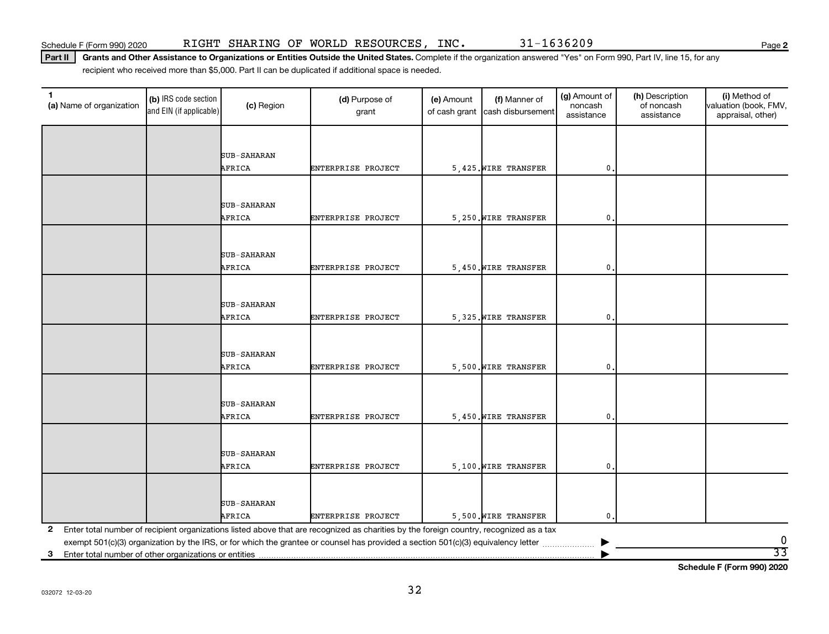**2**

Part II | Grants and Other Assistance to Organizations or Entities Outside the United States. Complete if the organization answered "Yes" on Form 990, Part IV, line 15, for any recipient who received more than \$5,000. Part II can be duplicated if additional space is needed.

| 1<br>(a) Name of organization                              | (b) IRS code section<br>and EIN (if applicable) | (c) Region         | (d) Purpose of<br>grant                                                                                                                 | (e) Amount<br>of cash grant | (f) Manner of<br>cash disbursement | (g) Amount of<br>noncash<br>assistance | (h) Description<br>of noncash<br>assistance | (i) Method of<br>valuation (book, FMV,<br>appraisal, other) |
|------------------------------------------------------------|-------------------------------------------------|--------------------|-----------------------------------------------------------------------------------------------------------------------------------------|-----------------------------|------------------------------------|----------------------------------------|---------------------------------------------|-------------------------------------------------------------|
|                                                            |                                                 |                    |                                                                                                                                         |                             |                                    |                                        |                                             |                                                             |
|                                                            |                                                 | <b>SUB-SAHARAN</b> |                                                                                                                                         |                             |                                    |                                        |                                             |                                                             |
|                                                            |                                                 | AFRICA             | ENTERPRISE PROJECT                                                                                                                      |                             | 5,425. WIRE TRANSFER               | 0                                      |                                             |                                                             |
|                                                            |                                                 |                    |                                                                                                                                         |                             |                                    |                                        |                                             |                                                             |
|                                                            |                                                 |                    |                                                                                                                                         |                             |                                    |                                        |                                             |                                                             |
|                                                            |                                                 | <b>SUB-SAHARAN</b> |                                                                                                                                         |                             |                                    |                                        |                                             |                                                             |
|                                                            |                                                 | AFRICA             | ENTERPRISE PROJECT                                                                                                                      |                             | 5,250. WIRE TRANSFER               | 0                                      |                                             |                                                             |
|                                                            |                                                 |                    |                                                                                                                                         |                             |                                    |                                        |                                             |                                                             |
|                                                            |                                                 | <b>SUB-SAHARAN</b> |                                                                                                                                         |                             |                                    |                                        |                                             |                                                             |
|                                                            |                                                 | AFRICA             | ENTERPRISE PROJECT                                                                                                                      |                             | 5,450. WIRE TRANSFER               | 0                                      |                                             |                                                             |
|                                                            |                                                 |                    |                                                                                                                                         |                             |                                    |                                        |                                             |                                                             |
|                                                            |                                                 |                    |                                                                                                                                         |                             |                                    |                                        |                                             |                                                             |
|                                                            |                                                 | <b>SUB-SAHARAN</b> |                                                                                                                                         |                             |                                    |                                        |                                             |                                                             |
|                                                            |                                                 | AFRICA             | ENTERPRISE PROJECT                                                                                                                      |                             | 5,325. WIRE TRANSFER               | 0                                      |                                             |                                                             |
|                                                            |                                                 |                    |                                                                                                                                         |                             |                                    |                                        |                                             |                                                             |
|                                                            |                                                 |                    |                                                                                                                                         |                             |                                    |                                        |                                             |                                                             |
|                                                            |                                                 | <b>SUB-SAHARAN</b> |                                                                                                                                         |                             |                                    |                                        |                                             |                                                             |
|                                                            |                                                 | AFRICA             | ENTERPRISE PROJECT                                                                                                                      |                             | 5,500. WIRE TRANSFER               | 0                                      |                                             |                                                             |
|                                                            |                                                 |                    |                                                                                                                                         |                             |                                    |                                        |                                             |                                                             |
|                                                            |                                                 | <b>SUB-SAHARAN</b> |                                                                                                                                         |                             |                                    |                                        |                                             |                                                             |
|                                                            |                                                 | AFRICA             | ENTERPRISE PROJECT                                                                                                                      |                             | 5,450. WIRE TRANSFER               | $\mathbf{0}$                           |                                             |                                                             |
|                                                            |                                                 |                    |                                                                                                                                         |                             |                                    |                                        |                                             |                                                             |
|                                                            |                                                 |                    |                                                                                                                                         |                             |                                    |                                        |                                             |                                                             |
|                                                            |                                                 | SUB-SAHARAN        |                                                                                                                                         |                             |                                    |                                        |                                             |                                                             |
|                                                            |                                                 | AFRICA             | ENTERPRISE PROJECT                                                                                                                      |                             | 5,100. WIRE TRANSFER               | 0                                      |                                             |                                                             |
|                                                            |                                                 |                    |                                                                                                                                         |                             |                                    |                                        |                                             |                                                             |
|                                                            |                                                 |                    |                                                                                                                                         |                             |                                    |                                        |                                             |                                                             |
|                                                            |                                                 | <b>SUB-SAHARAN</b> |                                                                                                                                         |                             |                                    |                                        |                                             |                                                             |
|                                                            |                                                 | AFRICA             | ENTERPRISE PROJECT                                                                                                                      |                             | 5,500. WIRE TRANSFER               | 0                                      |                                             |                                                             |
| $\mathbf{2}$                                               |                                                 |                    | Enter total number of recipient organizations listed above that are recognized as charities by the foreign country, recognized as a tax |                             |                                    |                                        |                                             | $\pmb{0}$                                                   |
| Enter total number of other organizations or entities<br>3 |                                                 |                    | exempt 501(c)(3) organization by the IRS, or for which the grantee or counsel has provided a section 501(c)(3) equivalency letter       |                             |                                    |                                        |                                             | $\overline{33}$                                             |
|                                                            |                                                 |                    |                                                                                                                                         |                             |                                    |                                        |                                             |                                                             |

**Schedule F (Form 990) 2020**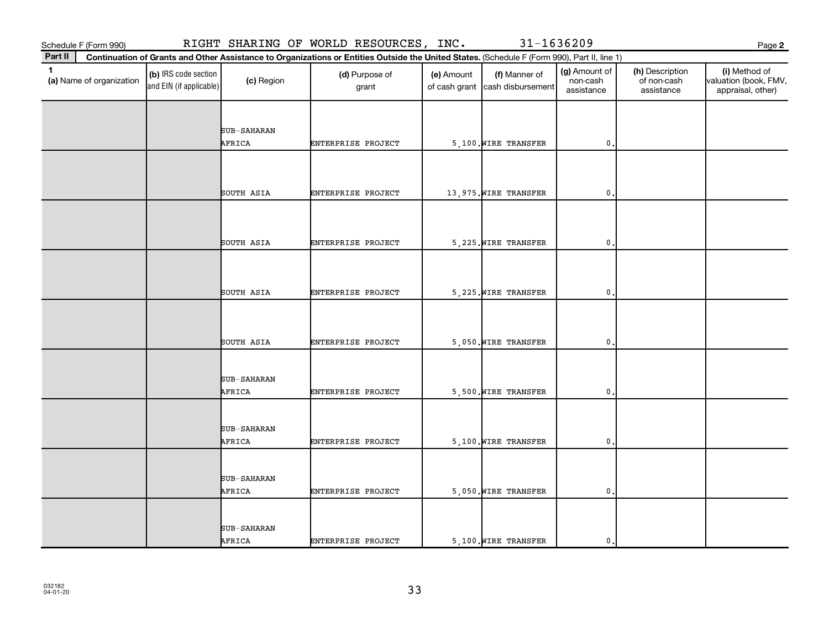Schedule F (Form 990) RIGHT SHARING OF WORLD RESOURCES, INC.  $31-1636209$ 

| Part II                                  | Continuation of Grants and Other Assistance to Organizations or Entities Outside the United States. (Schedule F (Form 990), Part II, line 1) |                              |                           |            |                                                  |                                         |                                              |                                                             |  |  |
|------------------------------------------|----------------------------------------------------------------------------------------------------------------------------------------------|------------------------------|---------------------------|------------|--------------------------------------------------|-----------------------------------------|----------------------------------------------|-------------------------------------------------------------|--|--|
| $\mathbf{1}$<br>(a) Name of organization | (b) IRS code section<br>and EIN (if applicable)                                                                                              | (c) Region                   | (d) Purpose of<br>grant   | (e) Amount | (f) Manner of<br>of cash grant cash disbursement | (g) Amount of<br>non-cash<br>assistance | (h) Description<br>of non-cash<br>assistance | (i) Method of<br>valuation (book, FMV,<br>appraisal, other) |  |  |
|                                          |                                                                                                                                              | <b>SUB-SAHARAN</b>           |                           |            |                                                  | $\mathbf{0}$ .                          |                                              |                                                             |  |  |
|                                          |                                                                                                                                              | AFRICA                       | ENTERPRISE PROJECT        |            | 5,100. WIRE TRANSFER                             |                                         |                                              |                                                             |  |  |
|                                          |                                                                                                                                              | SOUTH ASIA                   | ENTERPRISE PROJECT        |            | 13,975. WIRE TRANSFER                            | $\mathbf 0$ .                           |                                              |                                                             |  |  |
|                                          |                                                                                                                                              | SOUTH ASIA                   | ENTERPRISE PROJECT        |            | 5,225. WIRE TRANSFER                             | $\mathbf 0$ .                           |                                              |                                                             |  |  |
|                                          |                                                                                                                                              |                              |                           |            |                                                  |                                         |                                              |                                                             |  |  |
|                                          |                                                                                                                                              | SOUTH ASIA                   | ENTERPRISE PROJECT        |            | 5,225. WIRE TRANSFER                             | $\mathfrak o$ .                         |                                              |                                                             |  |  |
|                                          |                                                                                                                                              | SOUTH ASIA                   | <b>ENTERPRISE PROJECT</b> |            | 5,050. WIRE TRANSFER                             | $\mathfrak o$ .                         |                                              |                                                             |  |  |
|                                          |                                                                                                                                              | <b>SUB-SAHARAN</b><br>AFRICA | ENTERPRISE PROJECT        |            | 5,500. WIRE TRANSFER                             | $\mathbf{0}$ .                          |                                              |                                                             |  |  |
|                                          |                                                                                                                                              | <b>SUB-SAHARAN</b><br>AFRICA | ENTERPRISE PROJECT        |            | 5,100. WIRE TRANSFER                             | $\mathbf{0}$ .                          |                                              |                                                             |  |  |
|                                          |                                                                                                                                              | <b>SUB-SAHARAN</b>           |                           |            |                                                  |                                         |                                              |                                                             |  |  |
|                                          |                                                                                                                                              | AFRICA<br>SUB-SAHARAN        | ENTERPRISE PROJECT        |            | 5,050. WIRE TRANSFER                             | 0.                                      |                                              |                                                             |  |  |
|                                          |                                                                                                                                              | AFRICA                       | ENTERPRISE PROJECT        |            | 5,100. WIRE TRANSFER                             | $\mathbf{0}$ .                          |                                              |                                                             |  |  |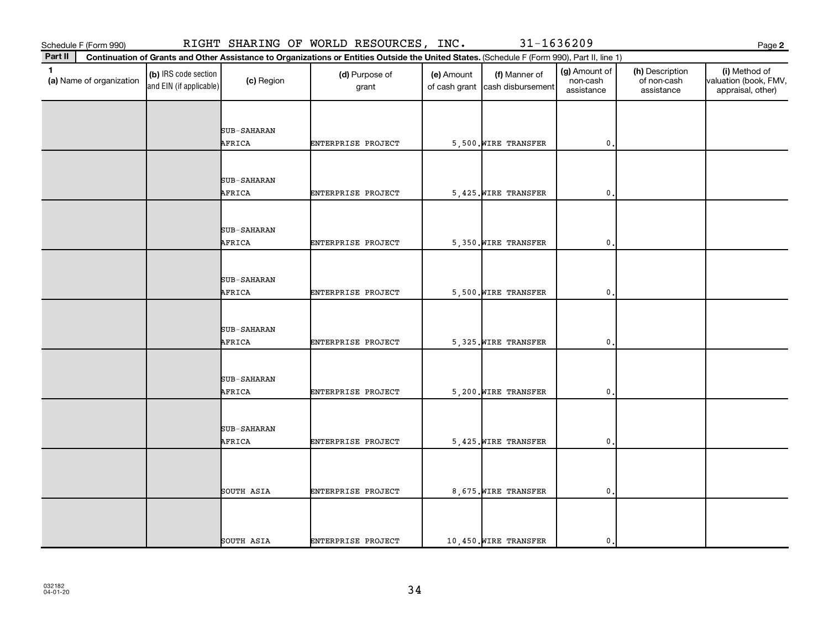Schedule F (Form 990) RIGHT SHARING OF WORLD RESOURCES, INC.  $31-1636209$ 

| Part II                                  |                                                 |                              | Continuation of Grants and Other Assistance to Organizations or Entities Outside the United States. (Schedule F (Form 990), Part II, line 1) |            |                                                  |                                         |                                              |                                                             |
|------------------------------------------|-------------------------------------------------|------------------------------|----------------------------------------------------------------------------------------------------------------------------------------------|------------|--------------------------------------------------|-----------------------------------------|----------------------------------------------|-------------------------------------------------------------|
| $\mathbf{1}$<br>(a) Name of organization | (b) IRS code section<br>and EIN (if applicable) | (c) Region                   | (d) Purpose of<br>grant                                                                                                                      | (e) Amount | (f) Manner of<br>of cash grant cash disbursement | (g) Amount of<br>non-cash<br>assistance | (h) Description<br>of non-cash<br>assistance | (i) Method of<br>valuation (book, FMV,<br>appraisal, other) |
|                                          |                                                 |                              |                                                                                                                                              |            |                                                  |                                         |                                              |                                                             |
|                                          |                                                 | SUB-SAHARAN                  |                                                                                                                                              |            |                                                  |                                         |                                              |                                                             |
|                                          |                                                 | AFRICA                       | ENTERPRISE PROJECT                                                                                                                           |            | 5,500. WIRE TRANSFER                             | $\mathbf{0}$                            |                                              |                                                             |
|                                          |                                                 |                              |                                                                                                                                              |            |                                                  |                                         |                                              |                                                             |
|                                          |                                                 | SUB-SAHARAN                  |                                                                                                                                              |            |                                                  |                                         |                                              |                                                             |
|                                          |                                                 | AFRICA                       | <b>ENTERPRISE PROJECT</b>                                                                                                                    |            | 5,425. WIRE TRANSFER                             | $\mathbf{0}$                            |                                              |                                                             |
|                                          |                                                 |                              |                                                                                                                                              |            |                                                  |                                         |                                              |                                                             |
|                                          |                                                 | SUB-SAHARAN                  |                                                                                                                                              |            |                                                  |                                         |                                              |                                                             |
|                                          |                                                 | AFRICA                       | <b>ENTERPRISE PROJECT</b>                                                                                                                    |            | 5,350. WIRE TRANSFER                             | $\mathbf{0}$                            |                                              |                                                             |
|                                          |                                                 |                              |                                                                                                                                              |            |                                                  |                                         |                                              |                                                             |
|                                          |                                                 |                              |                                                                                                                                              |            |                                                  |                                         |                                              |                                                             |
|                                          |                                                 | <b>SUB-SAHARAN</b><br>AFRICA | ENTERPRISE PROJECT                                                                                                                           |            | 5,500. WIRE TRANSFER                             | 0.                                      |                                              |                                                             |
|                                          |                                                 |                              |                                                                                                                                              |            |                                                  |                                         |                                              |                                                             |
|                                          |                                                 |                              |                                                                                                                                              |            |                                                  |                                         |                                              |                                                             |
|                                          |                                                 | SUB-SAHARAN                  |                                                                                                                                              |            |                                                  |                                         |                                              |                                                             |
|                                          |                                                 | AFRICA                       | <b>ENTERPRISE PROJECT</b>                                                                                                                    |            | 5,325. WIRE TRANSFER                             | 0.                                      |                                              |                                                             |
|                                          |                                                 |                              |                                                                                                                                              |            |                                                  |                                         |                                              |                                                             |
|                                          |                                                 | SUB-SAHARAN                  |                                                                                                                                              |            |                                                  |                                         |                                              |                                                             |
|                                          |                                                 | AFRICA                       | <b>ENTERPRISE PROJECT</b>                                                                                                                    |            | 5,200. WIRE TRANSFER                             | 0.                                      |                                              |                                                             |
|                                          |                                                 |                              |                                                                                                                                              |            |                                                  |                                         |                                              |                                                             |
|                                          |                                                 | SUB-SAHARAN                  |                                                                                                                                              |            |                                                  |                                         |                                              |                                                             |
|                                          |                                                 | AFRICA                       | <b>ENTERPRISE PROJECT</b>                                                                                                                    |            | 5,425. WIRE TRANSFER                             | $\mathbf{0}$                            |                                              |                                                             |
|                                          |                                                 |                              |                                                                                                                                              |            |                                                  |                                         |                                              |                                                             |
|                                          |                                                 |                              |                                                                                                                                              |            |                                                  |                                         |                                              |                                                             |
|                                          |                                                 | SOUTH ASIA                   | ENTERPRISE PROJECT                                                                                                                           |            | 8,675. WIRE TRANSFER                             | $\mathbf 0$ .                           |                                              |                                                             |
|                                          |                                                 |                              |                                                                                                                                              |            |                                                  |                                         |                                              |                                                             |
|                                          |                                                 |                              |                                                                                                                                              |            |                                                  |                                         |                                              |                                                             |
|                                          |                                                 | SOUTH ASIA                   | <b>ENTERPRISE PROJECT</b>                                                                                                                    |            | 10,450. WIRE TRANSFER                            | 0.                                      |                                              |                                                             |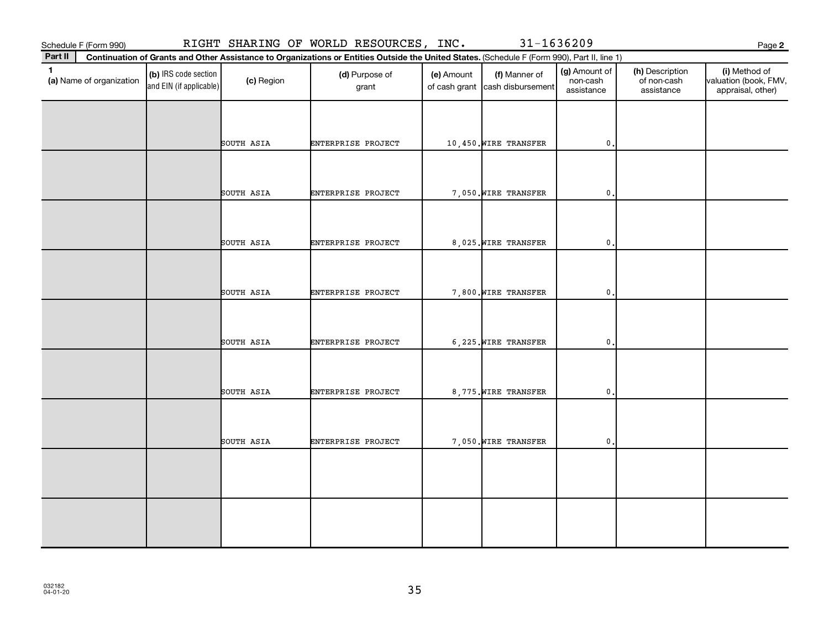Schedule F (Form 990) RIGHT SHARING OF WORLD RESOURCES, INC.  $31-1636209$ 

| Part II      | Continuation of Grants and Other Assistance to Organizations or Entities Outside the United States. (Schedule F (Form 990), Part II, line 1) |                                                 |            |                         |            |                                                  |                                         |                                              |                                                             |  |  |
|--------------|----------------------------------------------------------------------------------------------------------------------------------------------|-------------------------------------------------|------------|-------------------------|------------|--------------------------------------------------|-----------------------------------------|----------------------------------------------|-------------------------------------------------------------|--|--|
| $\mathbf{1}$ | (a) Name of organization                                                                                                                     | (b) IRS code section<br>and EIN (if applicable) | (c) Region | (d) Purpose of<br>grant | (e) Amount | (f) Manner of<br>of cash grant cash disbursement | (g) Amount of<br>non-cash<br>assistance | (h) Description<br>of non-cash<br>assistance | (i) Method of<br>valuation (book, FMV,<br>appraisal, other) |  |  |
|              |                                                                                                                                              |                                                 |            |                         |            |                                                  |                                         |                                              |                                                             |  |  |
|              |                                                                                                                                              |                                                 | SOUTH ASIA | ENTERPRISE PROJECT      |            | 10,450. WIRE TRANSFER                            | 0.                                      |                                              |                                                             |  |  |
|              |                                                                                                                                              |                                                 |            |                         |            |                                                  |                                         |                                              |                                                             |  |  |
|              |                                                                                                                                              |                                                 | SOUTH ASIA | ENTERPRISE PROJECT      |            | 7,050. WIRE TRANSFER                             | 0.                                      |                                              |                                                             |  |  |
|              |                                                                                                                                              |                                                 |            |                         |            |                                                  |                                         |                                              |                                                             |  |  |
|              |                                                                                                                                              |                                                 | SOUTH ASIA | ENTERPRISE PROJECT      |            | 8,025. WIRE TRANSFER                             | $\mathbf{0}$ .                          |                                              |                                                             |  |  |
|              |                                                                                                                                              |                                                 |            |                         |            |                                                  |                                         |                                              |                                                             |  |  |
|              |                                                                                                                                              |                                                 | SOUTH ASIA | ENTERPRISE PROJECT      |            | 7,800. WIRE TRANSFER                             | $\mathbf 0$ .                           |                                              |                                                             |  |  |
|              |                                                                                                                                              |                                                 |            |                         |            |                                                  |                                         |                                              |                                                             |  |  |
|              |                                                                                                                                              |                                                 | SOUTH ASIA | ENTERPRISE PROJECT      |            | 6,225. WIRE TRANSFER                             | $\mathbf{0}$                            |                                              |                                                             |  |  |
|              |                                                                                                                                              |                                                 |            |                         |            |                                                  |                                         |                                              |                                                             |  |  |
|              |                                                                                                                                              |                                                 | SOUTH ASIA | ENTERPRISE PROJECT      |            | 8,775. WIRE TRANSFER                             | 0.                                      |                                              |                                                             |  |  |
|              |                                                                                                                                              |                                                 | SOUTH ASIA | ENTERPRISE PROJECT      |            | 7,050. WIRE TRANSFER                             | $\mathfrak o$ .                         |                                              |                                                             |  |  |
|              |                                                                                                                                              |                                                 |            |                         |            |                                                  |                                         |                                              |                                                             |  |  |
|              |                                                                                                                                              |                                                 |            |                         |            |                                                  |                                         |                                              |                                                             |  |  |
|              |                                                                                                                                              |                                                 |            |                         |            |                                                  |                                         |                                              |                                                             |  |  |
|              |                                                                                                                                              |                                                 |            |                         |            |                                                  |                                         |                                              |                                                             |  |  |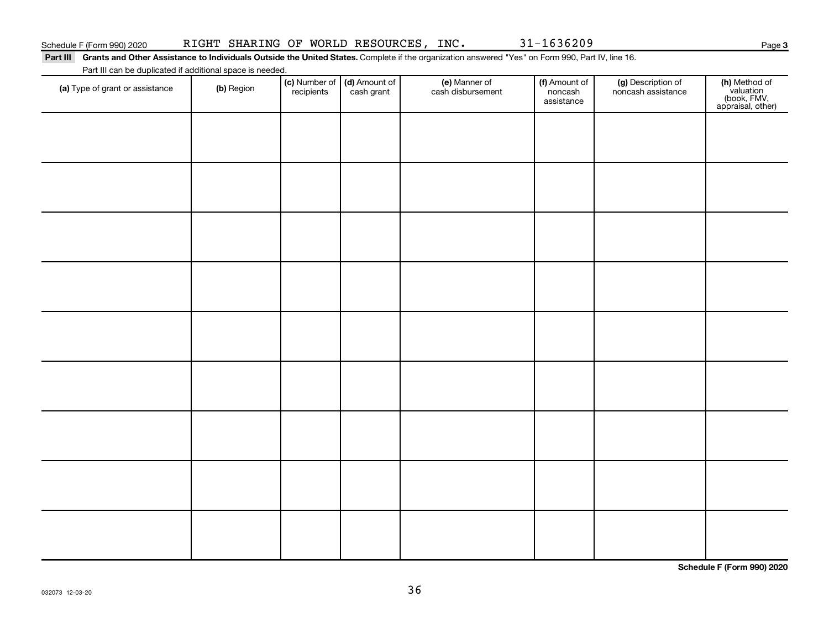**3**

Part III Grants and Other Assistance to Individuals Outside the United States. Complete if the organization answered "Yes" on Form 990, Part IV, line 16. Part III can be duplicated if additional space is needed.

| (a) Type of grant or assistance | (b) Region | (c) Number of (d) Amount of<br>recipients cash grant | (e) Manner of<br>cash disbursement | (f) Amount of<br>noncash<br>assistance | (g) Description of<br>noncash assistance | (h) Method of<br>valuation<br>(book, FMV,<br>appraisal, other) |
|---------------------------------|------------|------------------------------------------------------|------------------------------------|----------------------------------------|------------------------------------------|----------------------------------------------------------------|
|                                 |            |                                                      |                                    |                                        |                                          |                                                                |
|                                 |            |                                                      |                                    |                                        |                                          |                                                                |
|                                 |            |                                                      |                                    |                                        |                                          |                                                                |
|                                 |            |                                                      |                                    |                                        |                                          |                                                                |
|                                 |            |                                                      |                                    |                                        |                                          |                                                                |
|                                 |            |                                                      |                                    |                                        |                                          |                                                                |
|                                 |            |                                                      |                                    |                                        |                                          |                                                                |
|                                 |            |                                                      |                                    |                                        |                                          |                                                                |
|                                 |            |                                                      |                                    |                                        |                                          |                                                                |
|                                 |            |                                                      |                                    |                                        |                                          |                                                                |
|                                 |            |                                                      |                                    |                                        |                                          |                                                                |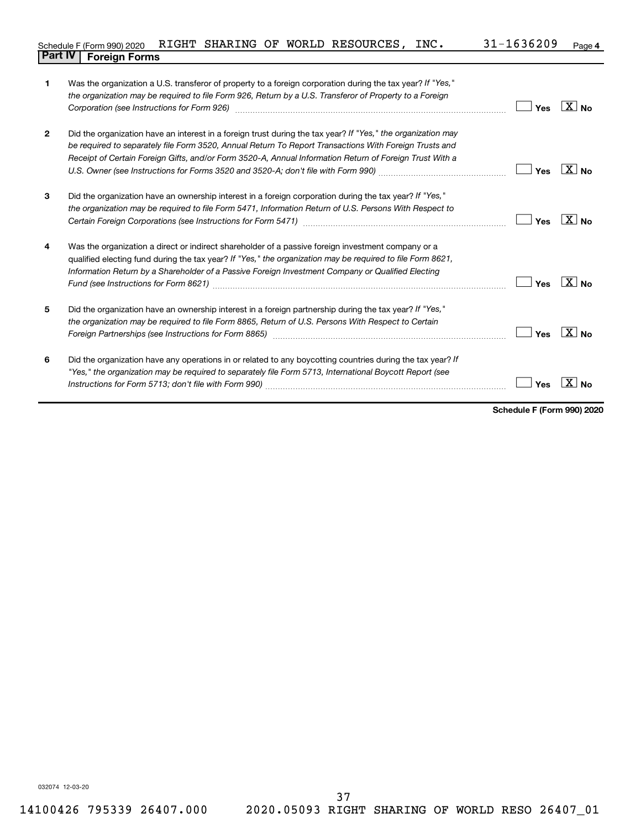|                                |  |  | Schedule F (Form 990) 2020 RIGHT SHARING OF WORLD RESOURCES, INC. | 31-1636209 . | Page 4 |
|--------------------------------|--|--|-------------------------------------------------------------------|--------------|--------|
| <b>Part IV   Foreign Forms</b> |  |  |                                                                   |              |        |

| 1              | Was the organization a U.S. transferor of property to a foreign corporation during the tax year? If "Yes,"<br>the organization may be required to file Form 926, Return by a U.S. Transferor of Property to a Foreign<br>Corporation (see Instructions for Form 926) [11] matter continuum matter of the Instruction (see Instructions for Form 926) | Yes | $\overline{X}$ No     |
|----------------|------------------------------------------------------------------------------------------------------------------------------------------------------------------------------------------------------------------------------------------------------------------------------------------------------------------------------------------------------|-----|-----------------------|
| $\overline{2}$ | Did the organization have an interest in a foreign trust during the tax year? If "Yes," the organization may<br>be required to separately file Form 3520, Annual Return To Report Transactions With Foreign Trusts and<br>Receipt of Certain Foreign Gifts, and/or Form 3520-A, Annual Information Return of Foreign Trust With a                    | Yes | $\overline{X}$ No     |
| 3              | Did the organization have an ownership interest in a foreign corporation during the tax year? If "Yes,"<br>the organization may be required to file Form 5471, Information Return of U.S. Persons With Respect to                                                                                                                                    | Yes | $X_{\text{No}}$       |
| 4              | Was the organization a direct or indirect shareholder of a passive foreign investment company or a<br>qualified electing fund during the tax year? If "Yes," the organization may be required to file Form 8621,<br>Information Return by a Shareholder of a Passive Foreign Investment Company or Qualified Electing                                | Yes | $\boxed{\text{X}}$ No |
| 5              | Did the organization have an ownership interest in a foreign partnership during the tax year? If "Yes,"<br>the organization may be required to file Form 8865, Return of U.S. Persons With Respect to Certain                                                                                                                                        | Yes | $\boxed{\text{X}}$ No |
| 6              | Did the organization have any operations in or related to any boycotting countries during the tax year? If<br>"Yes," the organization may be required to separately file Form 5713, International Boycott Report (see                                                                                                                                | Yes |                       |

**Schedule F (Form 990) 2020**

032074 12-03-20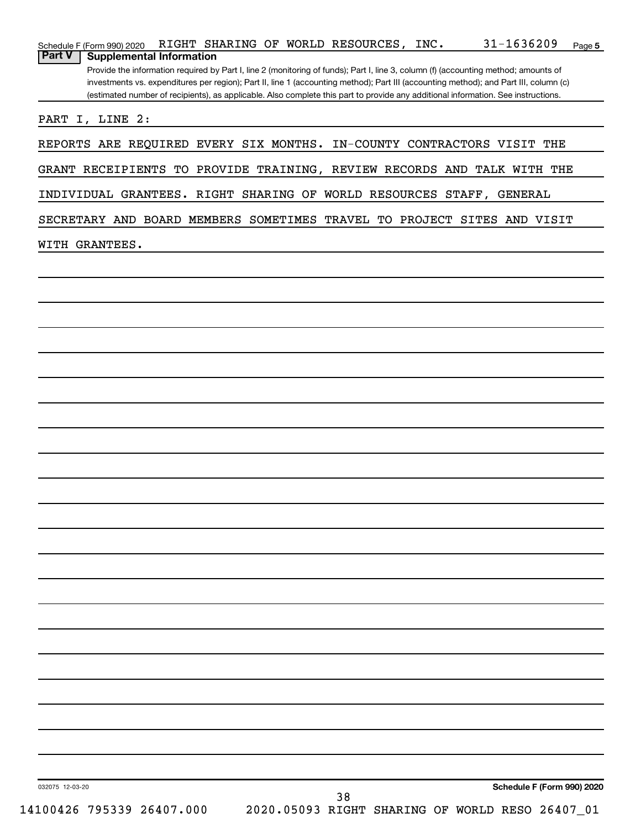|                 |                |                           |  |    | investments vs. expenditures per region); Part II, line 1 (accounting method); Part III (accounting method); and Part III, column (c)<br>(estimated number of recipients), as applicable. Also complete this part to provide any additional information. See instructions. |  |                            |
|-----------------|----------------|---------------------------|--|----|----------------------------------------------------------------------------------------------------------------------------------------------------------------------------------------------------------------------------------------------------------------------------|--|----------------------------|
| PART I, LINE 2: |                |                           |  |    |                                                                                                                                                                                                                                                                            |  |                            |
|                 |                |                           |  |    | REPORTS ARE REQUIRED EVERY SIX MONTHS. IN-COUNTY CONTRACTORS VISIT THE                                                                                                                                                                                                     |  |                            |
|                 |                |                           |  |    | GRANT RECEIPIENTS TO PROVIDE TRAINING, REVIEW RECORDS AND TALK WITH THE                                                                                                                                                                                                    |  |                            |
|                 |                |                           |  |    | INDIVIDUAL GRANTEES. RIGHT SHARING OF WORLD RESOURCES STAFF, GENERAL                                                                                                                                                                                                       |  |                            |
|                 |                |                           |  |    | SECRETARY AND BOARD MEMBERS SOMETIMES TRAVEL TO PROJECT SITES AND VISIT                                                                                                                                                                                                    |  |                            |
|                 | WITH GRANTEES. |                           |  |    |                                                                                                                                                                                                                                                                            |  |                            |
|                 |                |                           |  |    |                                                                                                                                                                                                                                                                            |  |                            |
|                 |                |                           |  |    |                                                                                                                                                                                                                                                                            |  |                            |
|                 |                |                           |  |    |                                                                                                                                                                                                                                                                            |  |                            |
|                 |                |                           |  |    |                                                                                                                                                                                                                                                                            |  |                            |
|                 |                |                           |  |    |                                                                                                                                                                                                                                                                            |  |                            |
|                 |                |                           |  |    |                                                                                                                                                                                                                                                                            |  |                            |
|                 |                |                           |  |    |                                                                                                                                                                                                                                                                            |  |                            |
|                 |                |                           |  |    |                                                                                                                                                                                                                                                                            |  |                            |
|                 |                |                           |  |    |                                                                                                                                                                                                                                                                            |  |                            |
|                 |                |                           |  |    |                                                                                                                                                                                                                                                                            |  |                            |
|                 |                |                           |  |    |                                                                                                                                                                                                                                                                            |  |                            |
|                 |                |                           |  |    |                                                                                                                                                                                                                                                                            |  |                            |
|                 |                |                           |  |    |                                                                                                                                                                                                                                                                            |  |                            |
|                 |                |                           |  |    |                                                                                                                                                                                                                                                                            |  |                            |
|                 |                |                           |  |    |                                                                                                                                                                                                                                                                            |  |                            |
|                 |                |                           |  |    |                                                                                                                                                                                                                                                                            |  |                            |
|                 |                |                           |  |    |                                                                                                                                                                                                                                                                            |  |                            |
|                 |                |                           |  |    |                                                                                                                                                                                                                                                                            |  |                            |
|                 |                |                           |  |    |                                                                                                                                                                                                                                                                            |  |                            |
|                 |                |                           |  |    |                                                                                                                                                                                                                                                                            |  |                            |
|                 |                |                           |  |    |                                                                                                                                                                                                                                                                            |  |                            |
|                 |                |                           |  |    |                                                                                                                                                                                                                                                                            |  |                            |
|                 |                |                           |  |    |                                                                                                                                                                                                                                                                            |  |                            |
|                 |                |                           |  |    |                                                                                                                                                                                                                                                                            |  |                            |
| 032075 12-03-20 |                |                           |  | 38 |                                                                                                                                                                                                                                                                            |  | Schedule F (Form 990) 2020 |
|                 |                | 14100426 795339 26407.000 |  |    | 2020.05093 RIGHT SHARING OF WORLD RESO 26407_01                                                                                                                                                                                                                            |  |                            |

Schedule F (Form 990) 2020  $\;$  <code>RIGHT SHARING OF WORLD RESOURCES</code> , <code>INC.</code>  $\;$  <code>31–1636209</code>  $\;$  <code>Page</code>

**Part V F** (Form 990) 2020 **RIGHT** SH<br>**Part V Supplemental Information** 

Provide the information required by Part I, line 2 (monitoring of funds); Part I, line 3, column (f) (accounting method; amounts of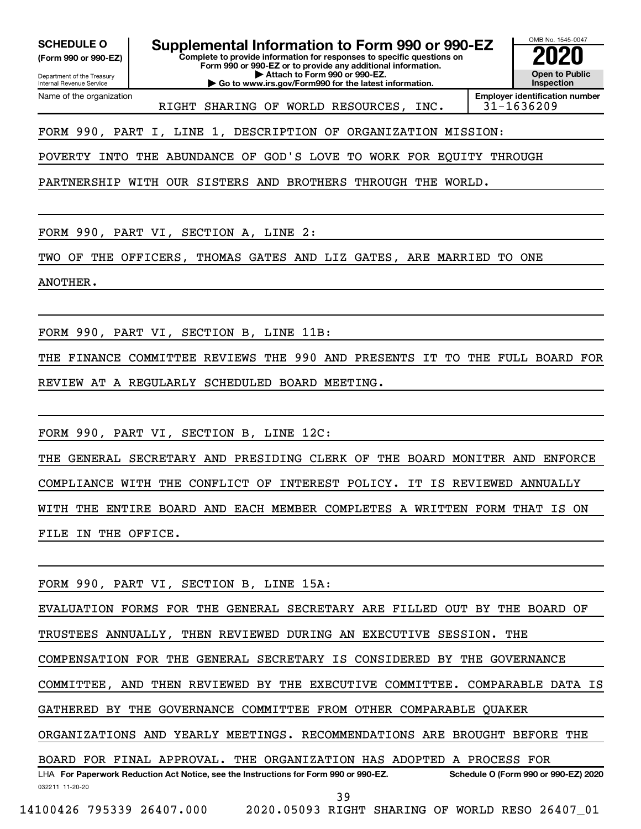Department of the Treasury **(Form 990 or 990-EZ)**

Name of the organization

Internal Revenue Service

**SCHEDULE O Supplemental Information to Form 990 or 990-EZ 2020**<br>(Form 990 or 990-EZ) **2020** 

**Complete to provide information for responses to specific questions on Form 990 or 990-EZ or to provide any additional information.**

**| Attach to Form 990 or 990-EZ. | Go to www.irs.gov/Form990 for the latest information.** OMB No. 1545-0047 **Open to Public Inspection**

RIGHT SHARING OF WORLD RESOURCES, INC. | 31-1636209

**Employer identification number**

FORM 990, PART I, LINE 1, DESCRIPTION OF ORGANIZATION MISSION:

POVERTY INTO THE ABUNDANCE OF GOD'S LOVE TO WORK FOR EQUITY THROUGH

PARTNERSHIP WITH OUR SISTERS AND BROTHERS THROUGH THE WORLD.

FORM 990, PART VI, SECTION A, LINE 2:

TWO OF THE OFFICERS, THOMAS GATES AND LIZ GATES, ARE MARRIED TO ONE

ANOTHER.

FORM 990, PART VI, SECTION B, LINE 11B:

THE FINANCE COMMITTEE REVIEWS THE 990 AND PRESENTS IT TO THE FULL BOARD FOR REVIEW AT A REGULARLY SCHEDULED BOARD MEETING.

FORM 990, PART VI, SECTION B, LINE 12C:

THE GENERAL SECRETARY AND PRESIDING CLERK OF THE BOARD MONITER AND ENFORCE COMPLIANCE WITH THE CONFLICT OF INTEREST POLICY. IT IS REVIEWED ANNUALLY WITH THE ENTIRE BOARD AND EACH MEMBER COMPLETES A WRITTEN FORM THAT IS ON FILE IN THE OFFICE.

FORM 990, PART VI, SECTION B, LINE 15A:

EVALUATION FORMS FOR THE GENERAL SECRETARY ARE FILLED OUT BY THE BOARD OF

TRUSTEES ANNUALLY, THEN REVIEWED DURING AN EXECUTIVE SESSION. THE

COMPENSATION FOR THE GENERAL SECRETARY IS CONSIDERED BY THE GOVERNANCE

COMMITTEE, AND THEN REVIEWED BY THE EXECUTIVE COMMITTEE. COMPARABLE DATA IS

GATHERED BY THE GOVERNANCE COMMITTEE FROM OTHER COMPARABLE QUAKER

ORGANIZATIONS AND YEARLY MEETINGS. RECOMMENDATIONS ARE BROUGHT BEFORE THE

BOARD FOR FINAL APPROVAL. THE ORGANIZATION HAS ADOPTED A PROCESS FOR

032211 11-20-20 **For Paperwork Reduction Act Notice, see the Instructions for Form 990 or 990-EZ. Schedule O (Form 990 or 990-EZ) 2020** LHA 39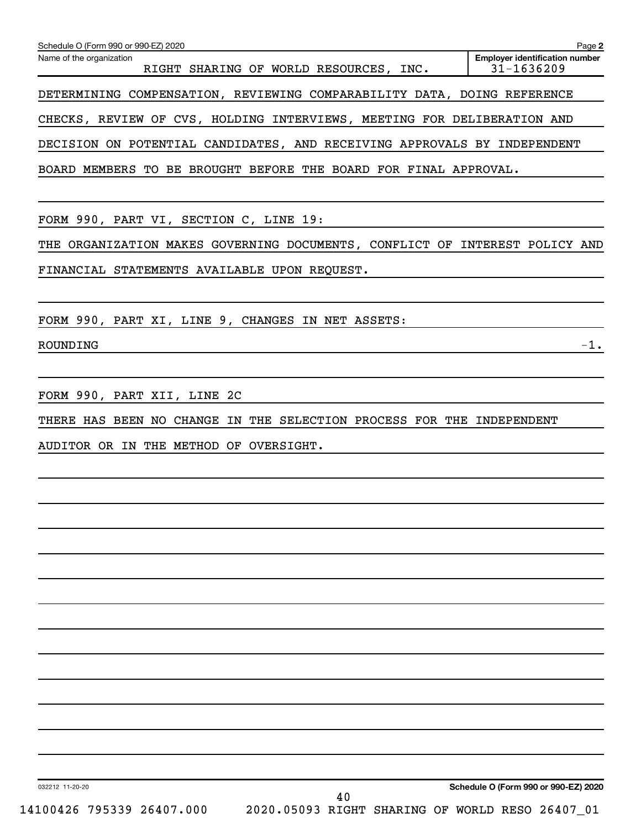| Schedule O (Form 990 or 990-EZ) 2020                                        | Page 2                                              |
|-----------------------------------------------------------------------------|-----------------------------------------------------|
| Name of the organization<br>RIGHT SHARING OF WORLD RESOURCES, INC.          | <b>Employer identification number</b><br>31-1636209 |
| DETERMINING COMPENSATION, REVIEWING COMPARABILITY DATA, DOING REFERENCE     |                                                     |
| CHECKS, REVIEW OF CVS, HOLDING INTERVIEWS, MEETING FOR DELIBERATION AND     |                                                     |
| DECISION ON POTENTIAL CANDIDATES, AND RECEIVING APPROVALS BY INDEPENDENT    |                                                     |
| BOARD MEMBERS TO BE BROUGHT BEFORE THE BOARD FOR FINAL APPROVAL.            |                                                     |
|                                                                             |                                                     |
| FORM 990, PART VI, SECTION C, LINE 19:                                      |                                                     |
| THE ORGANIZATION MAKES GOVERNING DOCUMENTS, CONFLICT OF INTEREST POLICY AND |                                                     |
| FINANCIAL STATEMENTS AVAILABLE UPON REQUEST.                                |                                                     |
|                                                                             |                                                     |
| FORM 990, PART XI, LINE 9, CHANGES IN NET ASSETS:                           |                                                     |
| ROUNDING                                                                    | $-1$ .                                              |
|                                                                             |                                                     |
| FORM 990, PART XII, LINE 2C                                                 |                                                     |
| THERE HAS BEEN NO CHANGE IN THE SELECTION PROCESS FOR THE INDEPENDENT       |                                                     |
| AUDITOR OR IN THE METHOD OF OVERSIGHT.                                      |                                                     |
|                                                                             |                                                     |
|                                                                             |                                                     |
|                                                                             |                                                     |
|                                                                             |                                                     |
|                                                                             |                                                     |
|                                                                             |                                                     |
|                                                                             |                                                     |
|                                                                             |                                                     |
|                                                                             |                                                     |
|                                                                             |                                                     |
|                                                                             |                                                     |
|                                                                             |                                                     |
|                                                                             |                                                     |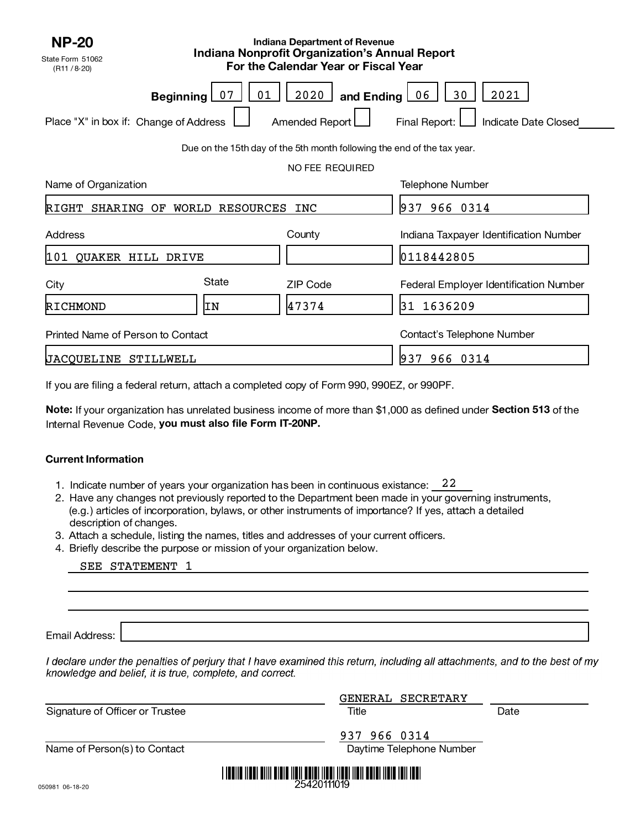| <b>NP-20</b><br>State Form 51062<br>(R11 / 8-20) |                                                      | <b>Indiana Department of Revenue</b><br><b>Indiana Nonprofit Organization's Annual Report</b><br>For the Calendar Year or Fiscal Year |                                        |  |  |  |
|--------------------------------------------------|------------------------------------------------------|---------------------------------------------------------------------------------------------------------------------------------------|----------------------------------------|--|--|--|
| <b>Beginning</b>                                 | 01<br>07                                             | 2020<br>and Ending [                                                                                                                  | 2021<br>30<br>06                       |  |  |  |
| Place "X" in box if: Change of Address           | Indicate Date Closed<br>Final Report:                |                                                                                                                                       |                                        |  |  |  |
|                                                  |                                                      | Due on the 15th day of the 5th month following the end of the tax year.                                                               |                                        |  |  |  |
|                                                  |                                                      | NO FEE REQUIRED                                                                                                                       |                                        |  |  |  |
| Name of Organization                             |                                                      | <b>Telephone Number</b>                                                                                                               |                                        |  |  |  |
|                                                  | 937 966 0314<br>RIGHT SHARING OF WORLD RESOURCES INC |                                                                                                                                       |                                        |  |  |  |
| Address                                          |                                                      | County                                                                                                                                | Indiana Taxpayer Identification Number |  |  |  |
| QUAKER HILL DRIVE<br> 101                        |                                                      |                                                                                                                                       | 0118442805                             |  |  |  |
| City                                             | State                                                | <b>ZIP Code</b>                                                                                                                       | Federal Employer Identification Number |  |  |  |
| RICHMOND                                         | ΙN                                                   | 47374                                                                                                                                 | 31 1636209                             |  |  |  |
| Printed Name of Person to Contact                |                                                      |                                                                                                                                       | Contact's Telephone Number             |  |  |  |
| JACQUELINE<br>STILLWELL                          |                                                      |                                                                                                                                       | 937<br>966 0314                        |  |  |  |

If you are filing a federal return, attach a completed copy of Form 990, 990EZ, or 990PF.

Note: If your organization has unrelated business income of more than \$1,000 as defined under Section 513 of the Internal Revenue Code, you must also file Form IT-20NP.

## **Current Information**

- 1. Indicate number of years your organization has been in continuous existance: 22
- 2. Have any changes not previously reported to the Department been made in your governing instruments, (e.g.) articles of incorporation, bylaws, or other instruments of importance? If yes, attach a detailed description of changes.
- 3. Attach a schedule, listing the names, titles and addresses of your current officers.
- 4. Briefly describe the purpose or mission of your organization below.

|  | SEE STATEMENT |  |
|--|---------------|--|
|--|---------------|--|

Email Address:

I declare under the penalties of perjury that I have examined this return, including all attachments, and to the best of my knowledge and belief, it is true, complete, and correct.

|                                 | GENERAL SECRETARY                                                                        |      |
|---------------------------------|------------------------------------------------------------------------------------------|------|
| Signature of Officer or Trustee | Title                                                                                    | Date |
|                                 | 937 966 0314                                                                             |      |
| Name of Person(s) to Contact    | Daytime Telephone Number                                                                 |      |
|                                 | <u>i indin indi dili bible ildi. Bulu ildi ildi ildi ildi bulu ildi ildi bible ildi.</u> |      |
| 50081 06-18-20                  | 25420111019                                                                              |      |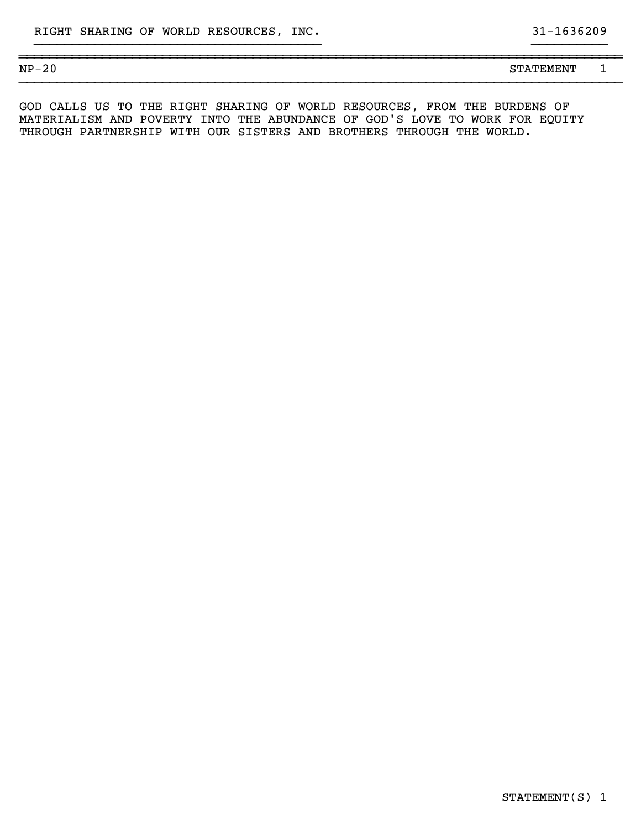| $NP-20$<br>4 V | -----------<br>σп<br>STATEMENT |  |
|----------------|--------------------------------|--|
|                |                                |  |

}}}}}}}}}}}}}}}}}}}}}}}}}}}}}}}}}}}}}} }}}}}}}}}}

GOD CALLS US TO THE RIGHT SHARING OF WORLD RESOURCES, FROM THE BURDENS OF MATERIALISM AND POVERTY INTO THE ABUNDANCE OF GOD'S LOVE TO WORK FOR EQUITY THROUGH PARTNERSHIP WITH OUR SISTERS AND BROTHERS THROUGH THE WORLD.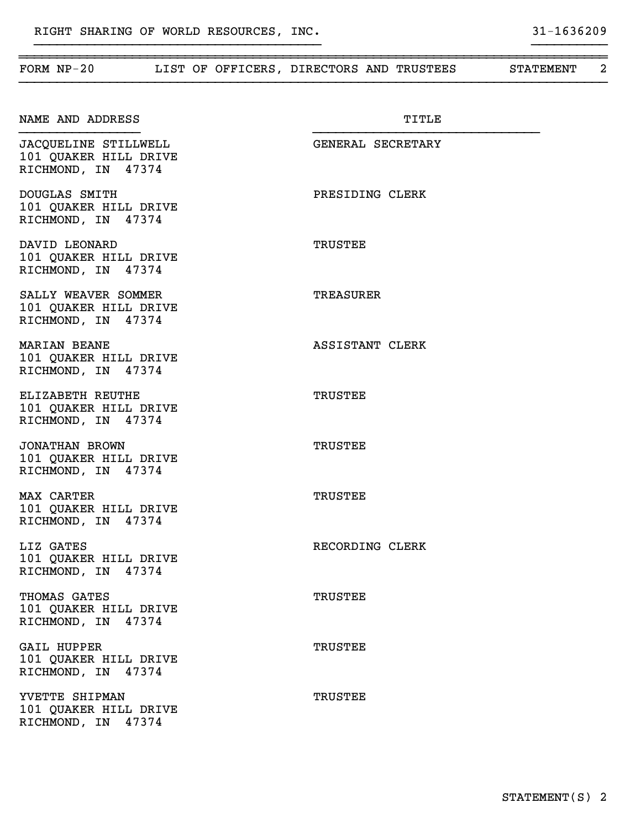| NAME AND ADDRESS                                                     | TITLE             |
|----------------------------------------------------------------------|-------------------|
| JACQUELINE STILLWELL<br>101 QUAKER HILL DRIVE<br>RICHMOND, IN 47374  | GENERAL SECRETARY |
| DOUGLAS SMITH<br>101 QUAKER HILL DRIVE<br>RICHMOND, IN 47374         | PRESIDING CLERK   |
| DAVID LEONARD<br>101 QUAKER HILL DRIVE<br>RICHMOND, IN 47374         | <b>TRUSTEE</b>    |
| SALLY WEAVER SOMMER<br>101 QUAKER HILL DRIVE<br>RICHMOND, IN 47374   | <b>TREASURER</b>  |
| <b>MARIAN BEANE</b><br>101 QUAKER HILL DRIVE<br>RICHMOND, IN 47374   | ASSISTANT CLERK   |
| ELIZABETH REUTHE<br>101 QUAKER HILL DRIVE<br>RICHMOND, IN 47374      | <b>TRUSTEE</b>    |
| <b>JONATHAN BROWN</b><br>101 QUAKER HILL DRIVE<br>RICHMOND, IN 47374 | <b>TRUSTEE</b>    |
| <b>MAX CARTER</b><br>101 QUAKER HILL DRIVE<br>RICHMOND, IN 47374     | <b>TRUSTEE</b>    |
| LIZ GATES<br>101 QUAKER HILL DRIVE<br>RICHMOND, IN 47374             | RECORDING CLERK   |
| THOMAS GATES<br>101 QUAKER HILL DRIVE<br>RICHMOND, IN 47374          | <b>TRUSTEE</b>    |
| <b>GAIL HUPPER</b><br>101 QUAKER HILL DRIVE<br>RICHMOND, IN 47374    | TRUSTEE           |
| YVETTE SHIPMAN<br>101 QUAKER HILL DRIVE<br>RICHMOND, IN 47374        | <b>TRUSTEE</b>    |

}}}}}}}}}}}}}}}}}}}}}}}}}}}}}}}}}}}}}}}}}}}}}}}}}}}}}}}}}}}}}}}}}}}}}}}}}}}}}}

}}}}}}}}}}}}}}}}}}}}}}}}}}}}}}}}}}}}}} }}}}}}}}}}

~~~~~~~~~~~~~~~~~~~~~~~~~~~~~~~~~~~~~~~~~~~~~~~~~~~~~~~~~~~~~~~~~~~~~~~~~~~~~~ FORM NP-20 LIST OF OFFICERS, DIRECTORS AND TRUSTEES STATEMENT 2